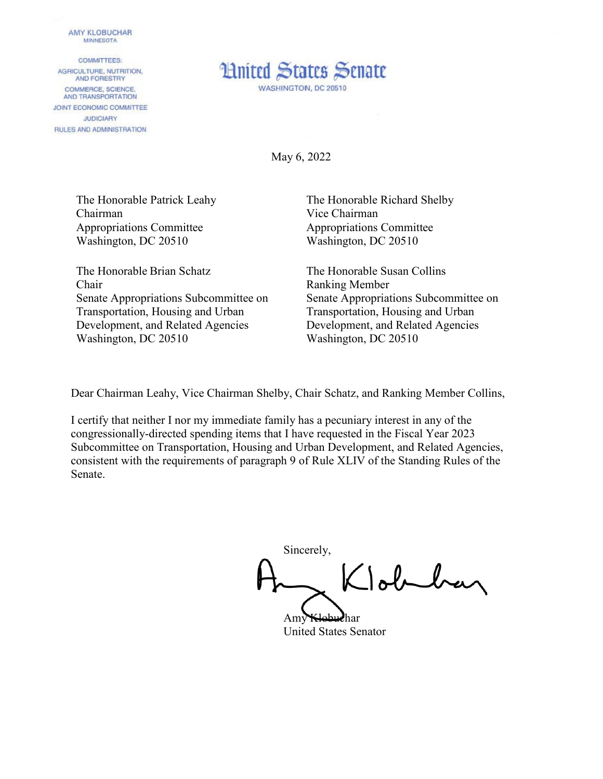## **AMY KLOBUCHAR MINNESOTA**

**COMMITTEES:** AGRICULTURE, NUTRITION, AND FORESTRY COMMERCE, SCIENCE. AND TRANSPORTATION JOINT ECONOMIC COMMITTEE **JUDICIARY** RULES AND ADMINISTRATION



May 6, 2022

The Honorable Patrick Leahy Chairman Appropriations Committee Washington, DC 20510

The Honorable Brian Schatz Chair Senate Appropriations Subcommittee on Transportation, Housing and Urban Development, and Related Agencies Washington, DC 20510

The Honorable Richard Shelby Vice Chairman Appropriations Committee Washington, DC 20510

The Honorable Susan Collins Ranking Member Senate Appropriations Subcommittee on Transportation, Housing and Urban Development, and Related Agencies Washington, DC 20510

Dear Chairman Leahy, Vice Chairman Shelby, Chair Schatz, and Ranking Member Collins,

I certify that neither I nor my immediate family has a pecuniary interest in any of the congressionally-directed spending items that I have requested in the Fiscal Year 2023 Subcommittee on Transportation, Housing and Urban Development, and Related Agencies, consistent with the requirements of paragraph 9 of Rule XLIV of the Standing Rules of the Senate.

Sincerely, Tobelay

Amy Klobuchar United States Senator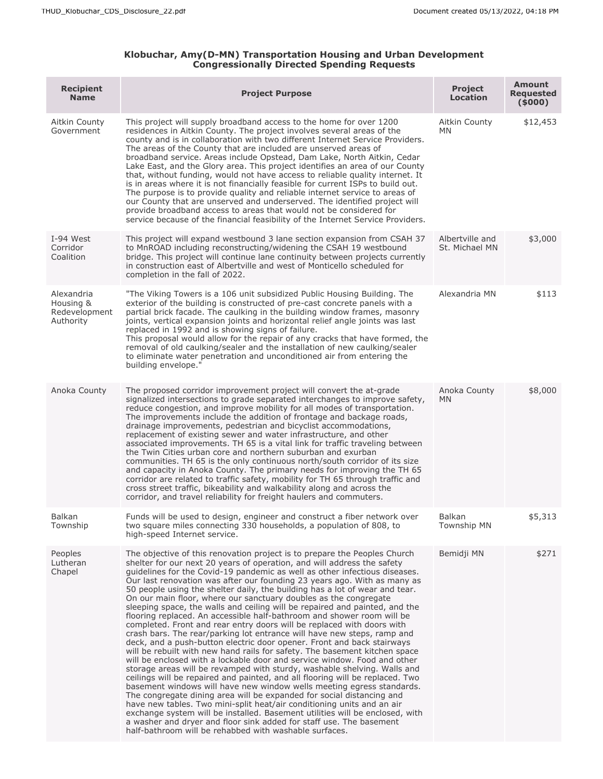## **Klobuchar, Amy(D-MN) Transportation Housing and Urban Development Congressionally Directed Spending Requests**

| <b>Recipient</b><br><b>Name</b>                       | <b>Project Purpose</b>                                                                                                                                                                                                                                                                                                                                                                                                                                                                                                                                                                                                                                                                                                                                                                                                                                                                                                                                                                                                                                                                                                                                                                                                                                                                                                                                                                                                                                                                                                                                                                                                        | <b>Project</b><br><b>Location</b> | <b>Amount</b><br>Requested<br>(5000) |
|-------------------------------------------------------|-------------------------------------------------------------------------------------------------------------------------------------------------------------------------------------------------------------------------------------------------------------------------------------------------------------------------------------------------------------------------------------------------------------------------------------------------------------------------------------------------------------------------------------------------------------------------------------------------------------------------------------------------------------------------------------------------------------------------------------------------------------------------------------------------------------------------------------------------------------------------------------------------------------------------------------------------------------------------------------------------------------------------------------------------------------------------------------------------------------------------------------------------------------------------------------------------------------------------------------------------------------------------------------------------------------------------------------------------------------------------------------------------------------------------------------------------------------------------------------------------------------------------------------------------------------------------------------------------------------------------------|-----------------------------------|--------------------------------------|
| Aitkin County<br>Government                           | This project will supply broadband access to the home for over 1200<br>residences in Aitkin County. The project involves several areas of the<br>county and is in collaboration with two different Internet Service Providers.<br>The areas of the County that are included are unserved areas of<br>broadband service. Areas include Opstead, Dam Lake, North Aitkin, Cedar<br>Lake East, and the Glory area. This project identifies an area of our County<br>that, without funding, would not have access to reliable quality internet. It<br>is in areas where it is not financially feasible for current ISPs to build out.<br>The purpose is to provide quality and reliable internet service to areas of<br>our County that are unserved and underserved. The identified project will<br>provide broadband access to areas that would not be considered for<br>service because of the financial feasibility of the Internet Service Providers.                                                                                                                                                                                                                                                                                                                                                                                                                                                                                                                                                                                                                                                                         | Aitkin County<br>MN               | \$12,453                             |
| I-94 West<br>Corridor<br>Coalition                    | This project will expand westbound 3 lane section expansion from CSAH 37<br>to MnROAD including reconstructing/widening the CSAH 19 westbound<br>bridge. This project will continue lane continuity between projects currently<br>in construction east of Albertville and west of Monticello scheduled for<br>completion in the fall of 2022.                                                                                                                                                                                                                                                                                                                                                                                                                                                                                                                                                                                                                                                                                                                                                                                                                                                                                                                                                                                                                                                                                                                                                                                                                                                                                 | Albertville and<br>St. Michael MN | \$3,000                              |
| Alexandria<br>Housing &<br>Redevelopment<br>Authority | "The Viking Towers is a 106 unit subsidized Public Housing Building. The<br>exterior of the building is constructed of pre-cast concrete panels with a<br>partial brick facade. The caulking in the building window frames, masonry<br>joints, vertical expansion joints and horizontal relief angle joints was last<br>replaced in 1992 and is showing signs of failure.<br>This proposal would allow for the repair of any cracks that have formed, the<br>removal of old caulking/sealer and the installation of new caulking/sealer<br>to eliminate water penetration and unconditioned air from entering the<br>building envelope."                                                                                                                                                                                                                                                                                                                                                                                                                                                                                                                                                                                                                                                                                                                                                                                                                                                                                                                                                                                      | Alexandria MN                     | \$113                                |
| Anoka County                                          | The proposed corridor improvement project will convert the at-grade<br>signalized intersections to grade separated interchanges to improve safety,<br>reduce congestion, and improve mobility for all modes of transportation.<br>The improvements include the addition of frontage and backage roads,<br>drainage improvements, pedestrian and bicyclist accommodations,<br>replacement of existing sewer and water infrastructure, and other<br>associated improvements. TH 65 is a vital link for traffic traveling between<br>the Twin Cities urban core and northern suburban and exurban<br>communities. TH 65 is the only continuous north/south corridor of its size<br>and capacity in Anoka County. The primary needs for improving the TH 65<br>corridor are related to traffic safety, mobility for TH 65 through traffic and<br>cross street traffic, bikeability and walkability along and across the<br>corridor, and travel reliability for freight haulers and commuters.                                                                                                                                                                                                                                                                                                                                                                                                                                                                                                                                                                                                                                    | Anoka County<br>MN                | \$8,000                              |
| <b>Balkan</b><br>Township                             | Funds will be used to design, engineer and construct a fiber network over<br>two square miles connecting 330 households, a population of 808, to<br>high-speed Internet service.                                                                                                                                                                                                                                                                                                                                                                                                                                                                                                                                                                                                                                                                                                                                                                                                                                                                                                                                                                                                                                                                                                                                                                                                                                                                                                                                                                                                                                              | Balkan<br><b>Township MN</b>      | \$5,313                              |
| Peoples<br>Lutheran<br>Chapel                         | The objective of this renovation project is to prepare the Peoples Church<br>shelter for our next 20 years of operation, and will address the safety<br>guidelines for the Covid-19 pandemic as well as other infectious diseases.<br>Our last renovation was after our founding 23 years ago. With as many as<br>50 people using the shelter daily, the building has a lot of wear and tear.<br>On our main floor, where our sanctuary doubles as the congregate<br>sleeping space, the walls and ceiling will be repaired and painted, and the<br>flooring replaced. An accessible half-bathroom and shower room will be<br>completed. Front and rear entry doors will be replaced with doors with<br>crash bars. The rear/parking lot entrance will have new steps, ramp and<br>deck, and a push-button electric door opener. Front and back stairways<br>will be rebuilt with new hand rails for safety. The basement kitchen space<br>will be enclosed with a lockable door and service window. Food and other<br>storage areas will be revamped with sturdy, washable shelving. Walls and<br>ceilings will be repaired and painted, and all flooring will be replaced. Two<br>basement windows will have new window wells meeting egress standards.<br>The congregate dining area will be expanded for social distancing and<br>have new tables. Two mini-split heat/air conditioning units and an air<br>exchange system will be installed. Basement utilities will be enclosed, with<br>a washer and dryer and floor sink added for staff use. The basement<br>half-bathroom will be rehabbed with washable surfaces. | Bemidji MN                        | \$271                                |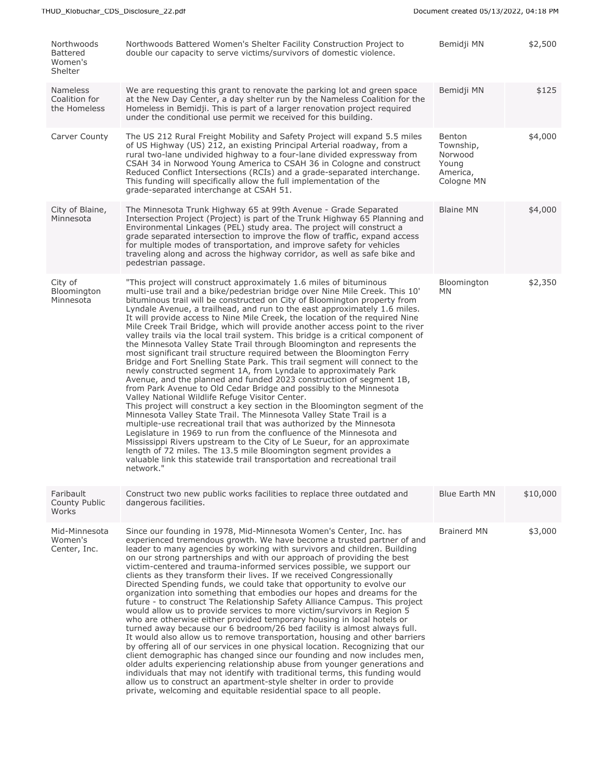| Northwoods<br><b>Battered</b><br>Women's<br>Shelter | Northwoods Battered Women's Shelter Facility Construction Project to<br>double our capacity to serve victims/survivors of domestic violence.                                                                                                                                                                                                                                                                                                                                                                                                                                                                                                                                                                                                                                                                                                                                                                                                                                                                                                                                                                                                                                                                                                                                                                                                                                                                                                                                                                                                                                                                           | Bemidji MN                                                        | \$2,500  |
|-----------------------------------------------------|------------------------------------------------------------------------------------------------------------------------------------------------------------------------------------------------------------------------------------------------------------------------------------------------------------------------------------------------------------------------------------------------------------------------------------------------------------------------------------------------------------------------------------------------------------------------------------------------------------------------------------------------------------------------------------------------------------------------------------------------------------------------------------------------------------------------------------------------------------------------------------------------------------------------------------------------------------------------------------------------------------------------------------------------------------------------------------------------------------------------------------------------------------------------------------------------------------------------------------------------------------------------------------------------------------------------------------------------------------------------------------------------------------------------------------------------------------------------------------------------------------------------------------------------------------------------------------------------------------------------|-------------------------------------------------------------------|----------|
| <b>Nameless</b><br>Coalition for<br>the Homeless    | We are requesting this grant to renovate the parking lot and green space<br>at the New Day Center, a day shelter run by the Nameless Coalition for the<br>Homeless in Bemidji. This is part of a larger renovation project required<br>under the conditional use permit we received for this building.                                                                                                                                                                                                                                                                                                                                                                                                                                                                                                                                                                                                                                                                                                                                                                                                                                                                                                                                                                                                                                                                                                                                                                                                                                                                                                                 | Bemidji MN                                                        | \$125    |
| Carver County                                       | The US 212 Rural Freight Mobility and Safety Project will expand 5.5 miles<br>of US Highway (US) 212, an existing Principal Arterial roadway, from a<br>rural two-lane undivided highway to a four-lane divided expressway from<br>CSAH 34 in Norwood Young America to CSAH 36 in Cologne and construct<br>Reduced Conflict Intersections (RCIs) and a grade-separated interchange.<br>This funding will specifically allow the full implementation of the<br>grade-separated interchange at CSAH 51.                                                                                                                                                                                                                                                                                                                                                                                                                                                                                                                                                                                                                                                                                                                                                                                                                                                                                                                                                                                                                                                                                                                  | Benton<br>Township,<br>Norwood<br>Young<br>America,<br>Cologne MN | \$4,000  |
| City of Blaine,<br>Minnesota                        | The Minnesota Trunk Highway 65 at 99th Avenue - Grade Separated<br>Intersection Project (Project) is part of the Trunk Highway 65 Planning and<br>Environmental Linkages (PEL) study area. The project will construct a<br>grade separated intersection to improve the flow of traffic, expand access<br>for multiple modes of transportation, and improve safety for vehicles<br>traveling along and across the highway corridor, as well as safe bike and<br>pedestrian passage.                                                                                                                                                                                                                                                                                                                                                                                                                                                                                                                                                                                                                                                                                                                                                                                                                                                                                                                                                                                                                                                                                                                                     | <b>Blaine MN</b>                                                  | \$4,000  |
| City of<br>Bloomington<br>Minnesota                 | "This project will construct approximately 1.6 miles of bituminous<br>multi-use trail and a bike/pedestrian bridge over Nine Mile Creek. This 10'<br>bituminous trail will be constructed on City of Bloomington property from<br>Lyndale Avenue, a trailhead, and run to the east approximately 1.6 miles.<br>It will provide access to Nine Mile Creek, the location of the required Nine<br>Mile Creek Trail Bridge, which will provide another access point to the river<br>valley trails via the local trail system. This bridge is a critical component of<br>the Minnesota Valley State Trail through Bloomington and represents the<br>most significant trail structure required between the Bloomington Ferry<br>Bridge and Fort Snelling State Park. This trail segment will connect to the<br>newly constructed segment 1A, from Lyndale to approximately Park<br>Avenue, and the planned and funded 2023 construction of segment 1B,<br>from Park Avenue to Old Cedar Bridge and possibly to the Minnesota<br>Valley National Wildlife Refuge Visitor Center.<br>This project will construct a key section in the Bloomington segment of the<br>Minnesota Valley State Trail. The Minnesota Valley State Trail is a<br>multiple-use recreational trail that was authorized by the Minnesota<br>Legislature in 1969 to run from the confluence of the Minnesota and<br>Mississippi Rivers upstream to the City of Le Sueur, for an approximate<br>length of 72 miles. The 13.5 mile Bloomington segment provides a<br>valuable link this statewide trail transportation and recreational trail<br>network." | Bloomington<br>ΜN                                                 | \$2,350  |
| Faribault<br>County Public<br>Works                 | Construct two new public works facilities to replace three outdated and<br>dangerous facilities.                                                                                                                                                                                                                                                                                                                                                                                                                                                                                                                                                                                                                                                                                                                                                                                                                                                                                                                                                                                                                                                                                                                                                                                                                                                                                                                                                                                                                                                                                                                       | Blue Earth MN                                                     | \$10,000 |
| Mid-Minnesota<br>Women's<br>Center, Inc.            | Since our founding in 1978, Mid-Minnesota Women's Center, Inc. has<br>experienced tremendous growth. We have become a trusted partner of and<br>leader to many agencies by working with survivors and children. Building<br>on our strong partnerships and with our approach of providing the best<br>victim-centered and trauma-informed services possible, we support our<br>clients as they transform their lives. If we received Congressionally<br>Directed Spending funds, we could take that opportunity to evolve our<br>organization into something that embodies our hopes and dreams for the<br>future - to construct The Relationship Safety Alliance Campus. This project<br>would allow us to provide services to more victim/survivors in Region 5<br>who are otherwise either provided temporary housing in local hotels or<br>turned away because our 6 bedroom/26 bed facility is almost always full.<br>It would also allow us to remove transportation, housing and other barriers<br>by offering all of our services in one physical location. Recognizing that our<br>client demographic has changed since our founding and now includes men,<br>older adults experiencing relationship abuse from younger generations and<br>individuals that may not identify with traditional terms, this funding would<br>allow us to construct an apartment-style shelter in order to provide<br>private, welcoming and equitable residential space to all people.                                                                                                                                          | <b>Brainerd MN</b>                                                | \$3,000  |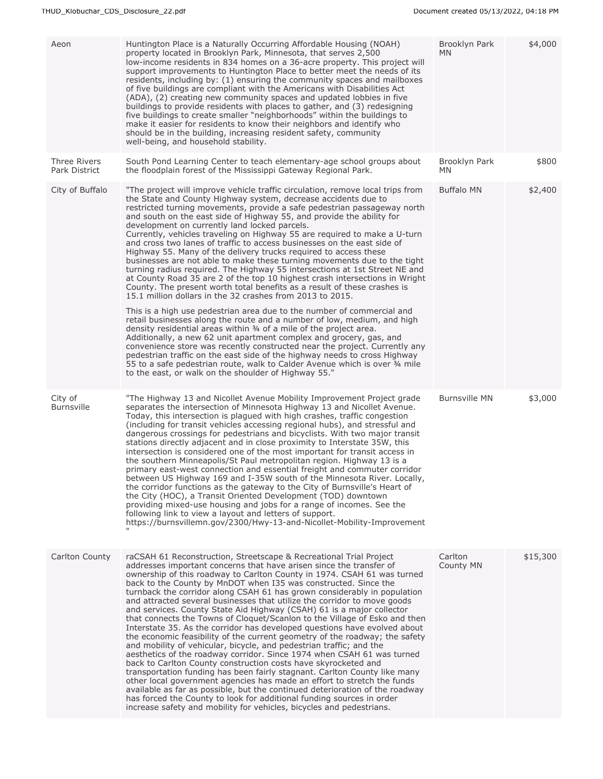| Aeon                                 | Huntington Place is a Naturally Occurring Affordable Housing (NOAH)<br>property located in Brooklyn Park, Minnesota, that serves 2,500<br>low-income residents in 834 homes on a 36-acre property. This project will<br>support improvements to Huntington Place to better meet the needs of its<br>residents, including by: (1) ensuring the community spaces and mailboxes<br>of five buildings are compliant with the Americans with Disabilities Act<br>(ADA), (2) creating new community spaces and updated lobbies in five<br>buildings to provide residents with places to gather, and (3) redesigning<br>five buildings to create smaller "neighborhoods" within the buildings to<br>make it easier for residents to know their neighbors and identify who<br>should be in the building, increasing resident safety, community<br>well-being, and household stability.                                                                                                                                                                                                                                                                                                                                                                                                                                                                                                                                                                                                                                                                                            | Brooklyn Park<br>ΜN  | \$4,000  |
|--------------------------------------|---------------------------------------------------------------------------------------------------------------------------------------------------------------------------------------------------------------------------------------------------------------------------------------------------------------------------------------------------------------------------------------------------------------------------------------------------------------------------------------------------------------------------------------------------------------------------------------------------------------------------------------------------------------------------------------------------------------------------------------------------------------------------------------------------------------------------------------------------------------------------------------------------------------------------------------------------------------------------------------------------------------------------------------------------------------------------------------------------------------------------------------------------------------------------------------------------------------------------------------------------------------------------------------------------------------------------------------------------------------------------------------------------------------------------------------------------------------------------------------------------------------------------------------------------------------------------|----------------------|----------|
| <b>Three Rivers</b><br>Park District | South Pond Learning Center to teach elementary-age school groups about<br>the floodplain forest of the Mississippi Gateway Regional Park.                                                                                                                                                                                                                                                                                                                                                                                                                                                                                                                                                                                                                                                                                                                                                                                                                                                                                                                                                                                                                                                                                                                                                                                                                                                                                                                                                                                                                                 | Brooklyn Park<br>MN. | \$800    |
| City of Buffalo                      | "The project will improve vehicle traffic circulation, remove local trips from<br>the State and County Highway system, decrease accidents due to<br>restricted turning movements, provide a safe pedestrian passageway north<br>and south on the east side of Highway 55, and provide the ability for<br>development on currently land locked parcels.<br>Currently, vehicles traveling on Highway 55 are required to make a U-turn<br>and cross two lanes of traffic to access businesses on the east side of<br>Highway 55. Many of the delivery trucks required to access these<br>businesses are not able to make these turning movements due to the tight<br>turning radius required. The Highway 55 intersections at 1st Street NE and<br>at County Road 35 are 2 of the top 10 highest crash intersections in Wright<br>County. The present worth total benefits as a result of these crashes is<br>15.1 million dollars in the 32 crashes from 2013 to 2015.<br>This is a high use pedestrian area due to the number of commercial and<br>retail businesses along the route and a number of low, medium, and high<br>density residential areas within 3/4 of a mile of the project area.<br>Additionally, a new 62 unit apartment complex and grocery, gas, and<br>convenience store was recently constructed near the project. Currently any<br>pedestrian traffic on the east side of the highway needs to cross Highway<br>55 to a safe pedestrian route, walk to Calder Avenue which is over 3/4 mile<br>to the east, or walk on the shoulder of Highway 55." | <b>Buffalo MN</b>    | \$2,400  |
| City of<br><b>Burnsville</b>         | "The Highway 13 and Nicollet Avenue Mobility Improvement Project grade<br>separates the intersection of Minnesota Highway 13 and Nicollet Avenue.<br>Today, this intersection is plagued with high crashes, traffic congestion<br>(including for transit vehicles accessing regional hubs), and stressful and<br>dangerous crossings for pedestrians and bicyclists. With two major transit<br>stations directly adjacent and in close proximity to Interstate 35W, this<br>intersection is considered one of the most important for transit access in<br>the southern Minneapolis/St Paul metropolitan region. Highway 13 is a<br>primary east-west connection and essential freight and commuter corridor<br>between US Highway 169 and I-35W south of the Minnesota River. Locally,<br>the corridor functions as the gateway to the City of Burnsville's Heart of<br>the City (HOC), a Transit Oriented Development (TOD) downtown<br>providing mixed-use housing and jobs for a range of incomes. See the<br>following link to view a layout and letters of support.<br>https://burnsvillemn.gov/2300/Hwy-13-and-Nicollet-Mobility-Improvement                                                                                                                                                                                                                                                                                                                                                                                                                        | <b>Burnsville MN</b> | \$3,000  |
| Carlton County                       | raCSAH 61 Reconstruction, Streetscape & Recreational Trial Project<br>addresses important concerns that have arisen since the transfer of<br>ownership of this roadway to Carlton County in 1974. CSAH 61 was turned<br>back to the County by MnDOT when I35 was constructed. Since the<br>turnback the corridor along CSAH 61 has grown considerably in population<br>and attracted several businesses that utilize the corridor to move goods<br>and services. County State Aid Highway (CSAH) 61 is a major collector<br>that connects the Towns of Cloquet/Scanlon to the Village of Esko and then<br>Interstate 35. As the corridor has developed questions have evolved about<br>the economic feasibility of the current geometry of the roadway; the safety<br>and mobility of vehicular, bicycle, and pedestrian traffic; and the<br>aesthetics of the roadway corridor. Since 1974 when CSAH 61 was turned<br>back to Carlton County construction costs have skyrocketed and<br>transportation funding has been fairly stagnant. Carlton County like many<br>other local government agencies has made an effort to stretch the funds<br>available as far as possible, but the continued deterioration of the roadway<br>has forced the County to look for additional funding sources in order<br>increase safety and mobility for vehicles, bicycles and pedestrians.                                                                                                                                                                                            | Carlton<br>County MN | \$15,300 |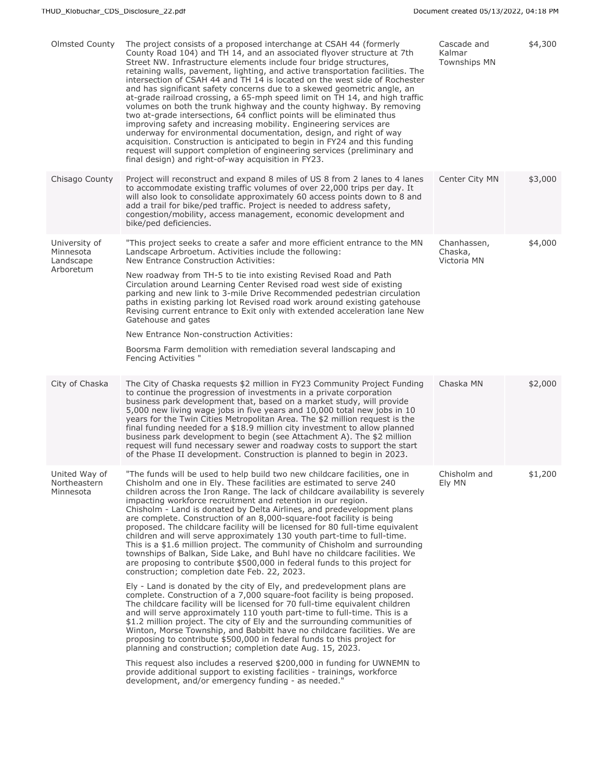| Olmsted County                                       | The project consists of a proposed interchange at CSAH 44 (formerly<br>County Road 104) and TH 14, and an associated flyover structure at 7th<br>Street NW. Infrastructure elements include four bridge structures,<br>retaining walls, pavement, lighting, and active transportation facilities. The<br>intersection of CSAH 44 and TH 14 is located on the west side of Rochester<br>and has significant safety concerns due to a skewed geometric angle, an<br>at-grade railroad crossing, a 65-mph speed limit on TH 14, and high traffic<br>volumes on both the trunk highway and the county highway. By removing<br>two at-grade intersections, 64 conflict points will be eliminated thus<br>improving safety and increasing mobility. Engineering services are<br>underway for environmental documentation, design, and right of way<br>acquisition. Construction is anticipated to begin in FY24 and this funding<br>request will support completion of engineering services (preliminary and<br>final design) and right-of-way acquisition in FY23. | Cascade and<br>Kalmar<br><b>Townships MN</b> | \$4,300 |
|------------------------------------------------------|---------------------------------------------------------------------------------------------------------------------------------------------------------------------------------------------------------------------------------------------------------------------------------------------------------------------------------------------------------------------------------------------------------------------------------------------------------------------------------------------------------------------------------------------------------------------------------------------------------------------------------------------------------------------------------------------------------------------------------------------------------------------------------------------------------------------------------------------------------------------------------------------------------------------------------------------------------------------------------------------------------------------------------------------------------------|----------------------------------------------|---------|
| Chisago County                                       | Project will reconstruct and expand 8 miles of US 8 from 2 lanes to 4 lanes<br>to accommodate existing traffic volumes of over 22,000 trips per day. It<br>will also look to consolidate approximately 60 access points down to 8 and<br>add a trail for bike/ped traffic. Project is needed to address safety,<br>congestion/mobility, access management, economic development and<br>bike/ped deficiencies.                                                                                                                                                                                                                                                                                                                                                                                                                                                                                                                                                                                                                                                 | Center City MN                               | \$3,000 |
| University of<br>Minnesota<br>Landscape<br>Arboretum | "This project seeks to create a safer and more efficient entrance to the MN<br>Landscape Arbroetum. Activities include the following:<br>New Entrance Construction Activities:<br>New roadway from TH-5 to tie into existing Revised Road and Path<br>Circulation around Learning Center Revised road west side of existing<br>parking and new link to 3-mile Drive Recommended pedestrian circulation<br>paths in existing parking lot Revised road work around existing gatehouse<br>Revising current entrance to Exit only with extended acceleration lane New<br>Gatehouse and gates<br>New Entrance Non-construction Activities:<br>Boorsma Farm demolition with remediation several landscaping and<br>Fencing Activities "                                                                                                                                                                                                                                                                                                                             | Chanhassen,<br>Chaska,<br>Victoria MN        | \$4,000 |
| City of Chaska                                       | The City of Chaska requests \$2 million in FY23 Community Project Funding<br>to continue the progression of investments in a private corporation<br>business park development that, based on a market study, will provide<br>5,000 new living wage jobs in five years and 10,000 total new jobs in 10<br>years for the Twin Cities Metropolitan Area. The \$2 million request is the<br>final funding needed for a \$18.9 million city investment to allow planned<br>business park development to begin (see Attachment A). The \$2 million<br>request will fund necessary sewer and roadway costs to support the start<br>of the Phase II development. Construction is planned to begin in 2023.                                                                                                                                                                                                                                                                                                                                                            | Chaska MN                                    | \$2,000 |
| United Way of<br>Northeastern<br>Minnesota           | "The funds will be used to help build two new childcare facilities, one in<br>Chisholm and one in Ely. These facilities are estimated to serve 240<br>children across the Iron Range. The lack of childcare availability is severely<br>impacting workforce recruitment and retention in our region.<br>Chisholm - Land is donated by Delta Airlines, and predevelopment plans<br>are complete. Construction of an 8,000-square-foot facility is being<br>proposed. The childcare facility will be licensed for 80 full-time equivalent<br>children and will serve approximately 130 youth part-time to full-time.<br>This is a \$1.6 million project. The community of Chisholm and surrounding<br>townships of Balkan, Side Lake, and Buhl have no childcare facilities. We<br>are proposing to contribute \$500,000 in federal funds to this project for<br>construction; completion date Feb. 22, 2023.                                                                                                                                                   | Chisholm and<br>Ely MN                       | \$1,200 |
|                                                      | Ely - Land is donated by the city of Ely, and predevelopment plans are<br>complete. Construction of a 7,000 square-foot facility is being proposed.<br>The childcare facility will be licensed for 70 full-time equivalent children<br>and will serve approximately 110 youth part-time to full-time. This is a<br>\$1.2 million project. The city of Ely and the surrounding communities of<br>Winton, Morse Township, and Babbitt have no childcare facilities. We are<br>proposing to contribute \$500,000 in federal funds to this project for<br>planning and construction; completion date Aug. 15, 2023.                                                                                                                                                                                                                                                                                                                                                                                                                                               |                                              |         |
|                                                      | This request also includes a reserved \$200,000 in funding for UWNEMN to<br>provide additional support to existing facilities - trainings, workforce<br>development, and/or emergency funding - as needed."                                                                                                                                                                                                                                                                                                                                                                                                                                                                                                                                                                                                                                                                                                                                                                                                                                                   |                                              |         |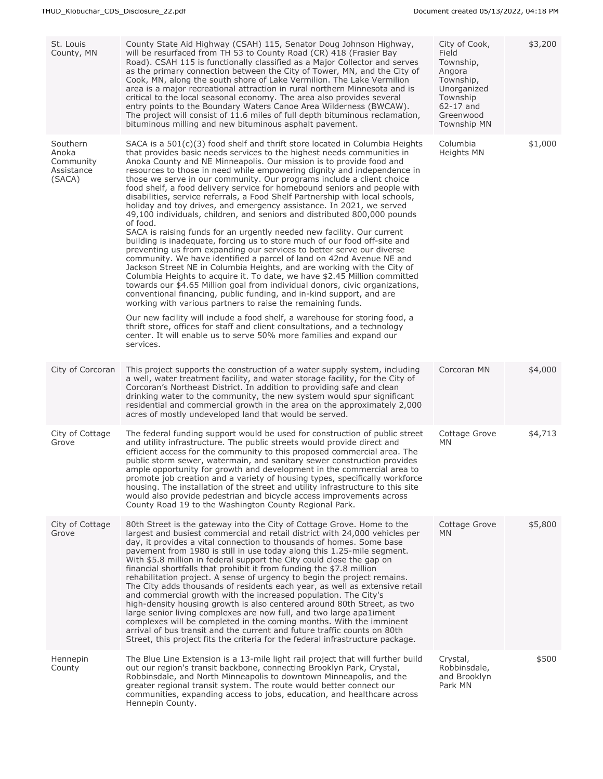| St. Louis<br>County, MN                                | County State Aid Highway (CSAH) 115, Senator Doug Johnson Highway,<br>will be resurfaced from TH 53 to County Road (CR) 418 (Frasier Bay<br>Road). CSAH 115 is functionally classified as a Major Collector and serves<br>as the primary connection between the City of Tower, MN, and the City of<br>Cook, MN, along the south shore of Lake Vermilion. The Lake Vermilion<br>area is a major recreational attraction in rural northern Minnesota and is<br>critical to the local seasonal economy. The area also provides several<br>entry points to the Boundary Waters Canoe Area Wilderness (BWCAW).<br>The project will consist of 11.6 miles of full depth bituminous reclamation,<br>bituminous milling and new bituminous asphalt pavement.                                                                                                                                                                                                                                                                                                                                                                                                                                                                                                                                                                                                                                                                                                                                                                                                                                                                                                     | City of Cook,<br>Field<br>Township,<br>Angora<br>Township,<br>Unorganized<br>Township<br>62-17 and<br>Greenwood<br><b>Township MN</b> | \$3,200 |
|--------------------------------------------------------|----------------------------------------------------------------------------------------------------------------------------------------------------------------------------------------------------------------------------------------------------------------------------------------------------------------------------------------------------------------------------------------------------------------------------------------------------------------------------------------------------------------------------------------------------------------------------------------------------------------------------------------------------------------------------------------------------------------------------------------------------------------------------------------------------------------------------------------------------------------------------------------------------------------------------------------------------------------------------------------------------------------------------------------------------------------------------------------------------------------------------------------------------------------------------------------------------------------------------------------------------------------------------------------------------------------------------------------------------------------------------------------------------------------------------------------------------------------------------------------------------------------------------------------------------------------------------------------------------------------------------------------------------------|---------------------------------------------------------------------------------------------------------------------------------------|---------|
| Southern<br>Anoka<br>Community<br>Assistance<br>(SACA) | SACA is a $501(c)(3)$ food shelf and thrift store located in Columbia Heights<br>that provides basic needs services to the highest needs communities in<br>Anoka County and NE Minneapolis. Our mission is to provide food and<br>resources to those in need while empowering dignity and independence in<br>those we serve in our community. Our programs include a client choice<br>food shelf, a food delivery service for homebound seniors and people with<br>disabilities, service referrals, a Food Shelf Partnership with local schools,<br>holiday and toy drives, and emergency assistance. In 2021, we served<br>49,100 individuals, children, and seniors and distributed 800,000 pounds<br>of food.<br>SACA is raising funds for an urgently needed new facility. Our current<br>building is inadequate, forcing us to store much of our food off-site and<br>preventing us from expanding our services to better serve our diverse<br>community. We have identified a parcel of land on 42nd Avenue NE and<br>Jackson Street NE in Columbia Heights, and are working with the City of<br>Columbia Heights to acquire it. To date, we have \$2.45 Million committed<br>towards our \$4.65 Million goal from individual donors, civic organizations,<br>conventional financing, public funding, and in-kind support, and are<br>working with various partners to raise the remaining funds.<br>Our new facility will include a food shelf, a warehouse for storing food, a<br>thrift store, offices for staff and client consultations, and a technology<br>center. It will enable us to serve 50% more families and expand our<br>services. | Columbia<br>Heights MN                                                                                                                | \$1,000 |
| City of Corcoran                                       | This project supports the construction of a water supply system, including<br>a well, water treatment facility, and water storage facility, for the City of<br>Corcoran's Northeast District. In addition to providing safe and clean<br>drinking water to the community, the new system would spur significant<br>residential and commercial growth in the area on the approximately 2,000<br>acres of mostly undeveloped land that would be served.                                                                                                                                                                                                                                                                                                                                                                                                                                                                                                                                                                                                                                                                                                                                                                                                                                                                                                                                                                                                                                                                                                                                                                                                    | Corcoran MN                                                                                                                           | \$4,000 |
| City of Cottage<br>Grove                               | The federal funding support would be used for construction of public street<br>and utility infrastructure. The public streets would provide direct and<br>efficient access for the community to this proposed commercial area. The<br>public storm sewer, watermain, and sanitary sewer construction provides<br>ample opportunity for growth and development in the commercial area to<br>promote job creation and a variety of housing types, specifically workforce<br>housing. The installation of the street and utility infrastructure to this site<br>would also provide pedestrian and bicycle access improvements across<br>County Road 19 to the Washington County Regional Park.                                                                                                                                                                                                                                                                                                                                                                                                                                                                                                                                                                                                                                                                                                                                                                                                                                                                                                                                                              | Cottage Grove<br>MN                                                                                                                   | \$4,713 |
| City of Cottage<br>Grove                               | 80th Street is the gateway into the City of Cottage Grove. Home to the<br>largest and busiest commercial and retail district with 24,000 vehicles per<br>day, it provides a vital connection to thousands of homes. Some base<br>pavement from 1980 is still in use today along this 1.25-mile segment.<br>With \$5.8 million in federal support the City could close the gap on<br>financial shortfalls that prohibit it from funding the \$7.8 million<br>rehabilitation project. A sense of urgency to begin the project remains.<br>The City adds thousands of residents each year, as well as extensive retail<br>and commercial growth with the increased population. The City's<br>high-density housing growth is also centered around 80th Street, as two<br>large senior living complexes are now full, and two large apa1iment<br>complexes will be completed in the coming months. With the imminent<br>arrival of bus transit and the current and future traffic counts on 80th<br>Street, this project fits the criteria for the federal infrastructure package.                                                                                                                                                                                                                                                                                                                                                                                                                                                                                                                                                                            | Cottage Grove<br>MN.                                                                                                                  | \$5,800 |
| Hennepin<br>County                                     | The Blue Line Extension is a 13-mile light rail project that will further build<br>out our region's transit backbone, connecting Brooklyn Park, Crystal,<br>Robbinsdale, and North Minneapolis to downtown Minneapolis, and the<br>greater regional transit system. The route would better connect our<br>communities, expanding access to jobs, education, and healthcare across<br>Hennepin County.                                                                                                                                                                                                                                                                                                                                                                                                                                                                                                                                                                                                                                                                                                                                                                                                                                                                                                                                                                                                                                                                                                                                                                                                                                                    | Crystal,<br>Robbinsdale,<br>and Brooklyn<br>Park MN                                                                                   | \$500   |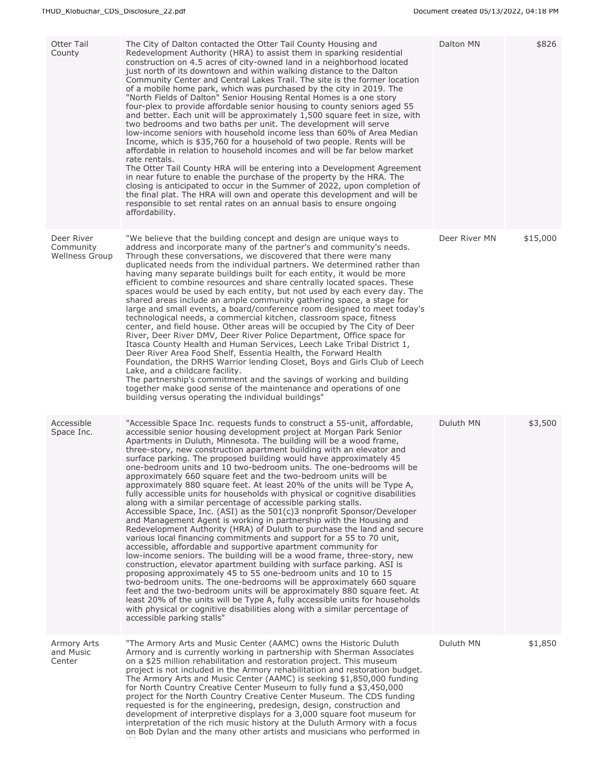| <b>Otter Tail</b><br>County                      | The City of Dalton contacted the Otter Tail County Housing and<br>Redevelopment Authority (HRA) to assist them in sparking residential<br>construction on 4.5 acres of city-owned land in a neighborhood located<br>just north of its downtown and within walking distance to the Dalton<br>Community Center and Central Lakes Trail. The site is the former location<br>of a mobile home park, which was purchased by the city in 2019. The<br>"North Fields of Dalton" Senior Housing Rental Homes is a one story<br>four-plex to provide affordable senior housing to county seniors aged 55<br>and better. Each unit will be approximately 1,500 square feet in size, with<br>two bedrooms and two baths per unit. The development will serve<br>low-income seniors with household income less than 60% of Area Median<br>Income, which is \$35,760 for a household of two people. Rents will be<br>affordable in relation to household incomes and will be far below market<br>rate rentals.<br>The Otter Tail County HRA will be entering into a Development Agreement<br>in near future to enable the purchase of the property by the HRA. The<br>closing is anticipated to occur in the Summer of 2022, upon completion of<br>the final plat. The HRA will own and operate this development and will be<br>responsible to set rental rates on an annual basis to ensure ongoing<br>affordability.                                                                                                                                                                                                                                                                                       | Dalton MN     | \$826    |
|--------------------------------------------------|-------------------------------------------------------------------------------------------------------------------------------------------------------------------------------------------------------------------------------------------------------------------------------------------------------------------------------------------------------------------------------------------------------------------------------------------------------------------------------------------------------------------------------------------------------------------------------------------------------------------------------------------------------------------------------------------------------------------------------------------------------------------------------------------------------------------------------------------------------------------------------------------------------------------------------------------------------------------------------------------------------------------------------------------------------------------------------------------------------------------------------------------------------------------------------------------------------------------------------------------------------------------------------------------------------------------------------------------------------------------------------------------------------------------------------------------------------------------------------------------------------------------------------------------------------------------------------------------------------------------------------------------------------------------------------------------------|---------------|----------|
| Deer River<br>Community<br><b>Wellness Group</b> | "We believe that the building concept and design are unique ways to<br>address and incorporate many of the partner's and community's needs.<br>Through these conversations, we discovered that there were many<br>duplicated needs from the individual partners. We determined rather than<br>having many separate buildings built for each entity, it would be more<br>efficient to combine resources and share centrally located spaces. These<br>spaces would be used by each entity, but not used by each every day. The<br>shared areas include an ample community gathering space, a stage for<br>large and small events, a board/conference room designed to meet today's<br>technological needs, a commercial kitchen, classroom space, fitness<br>center, and field house. Other areas will be occupied by The City of Deer<br>River, Deer River DMV, Deer River Police Department, Office space for<br>Itasca County Health and Human Services, Leech Lake Tribal District 1,<br>Deer River Area Food Shelf, Essentia Health, the Forward Health<br>Foundation, the DRHS Warrior lending Closet, Boys and Girls Club of Leech<br>Lake, and a childcare facility.<br>The partnership's commitment and the savings of working and building<br>together make good sense of the maintenance and operations of one<br>building versus operating the individual buildings"                                                                                                                                                                                                                                                                                                                  | Deer River MN | \$15,000 |
| Accessible<br>Space Inc.                         | "Accessible Space Inc. requests funds to construct a 55-unit, affordable,<br>accessible senior housing development project at Morgan Park Senior<br>Apartments in Duluth, Minnesota. The building will be a wood frame,<br>three-story, new construction apartment building with an elevator and<br>surface parking. The proposed building would have approximately 45<br>one-bedroom units and 10 two-bedroom units. The one-bedrooms will be<br>approximately 660 square feet and the two-bedroom units will be<br>approximately 880 square feet. At least 20% of the units will be Type A,<br>fully accessible units for households with physical or cognitive disabilities<br>along with a similar percentage of accessible parking stalls.<br>Accessible Space, Inc. (ASI) as the $501(c)3$ nonprofit Sponsor/Developer<br>and Management Agent is working in partnership with the Housing and<br>Redevelopment Authority (HRA) of Duluth to purchase the land and secure<br>various local financing commitments and support for a 55 to 70 unit,<br>accessible, affordable and supportive apartment community for<br>low-income seniors. The building will be a wood frame, three-story, new<br>construction, elevator apartment building with surface parking. ASI is<br>proposing approximately 45 to 55 one-bedroom units and 10 to 15<br>two-bedroom units. The one-bedrooms will be approximately 660 square<br>feet and the two-bedroom units will be approximately 880 square feet. At<br>least 20% of the units will be Type A, fully accessible units for households<br>with physical or cognitive disabilities along with a similar percentage of<br>accessible parking stalls" | Duluth MN     | \$3,500  |
| Armory Arts<br>and Music<br>Center               | "The Armory Arts and Music Center (AAMC) owns the Historic Duluth<br>Armory and is currently working in partnership with Sherman Associates<br>on a \$25 million rehabilitation and restoration project. This museum<br>project is not included in the Armory rehabilitation and restoration budget.<br>The Armory Arts and Music Center (AAMC) is seeking \$1,850,000 funding<br>for North Country Creative Center Museum to fully fund a \$3,450,000<br>project for the North Country Creative Center Museum. The CDS funding<br>requested is for the engineering, predesign, design, construction and<br>development of interpretive displays for a 3,000 square foot museum for<br>interpretation of the rich music history at the Duluth Armory with a focus<br>on Bob Dylan and the many other artists and musicians who performed in                                                                                                                                                                                                                                                                                                                                                                                                                                                                                                                                                                                                                                                                                                                                                                                                                                                     | Duluth MN     | \$1,850  |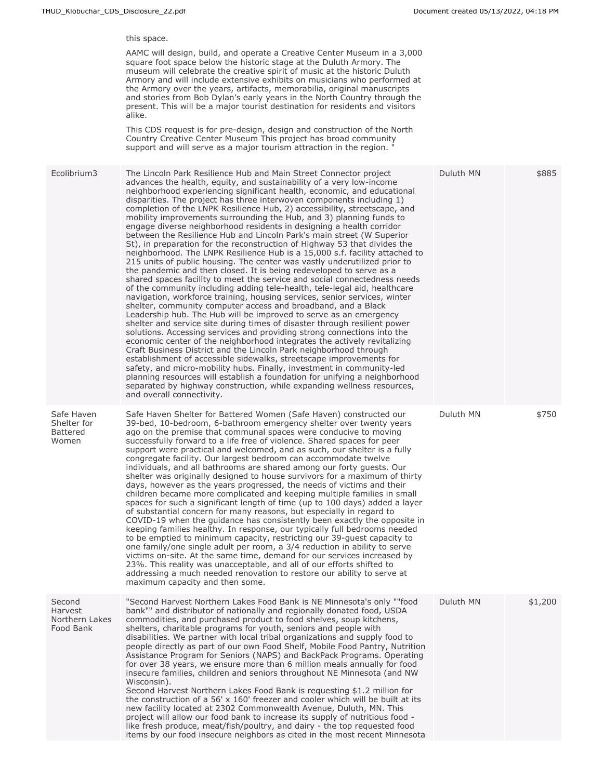this space.

AAMC will design, build, and operate a Creative Center Museum in a 3,000 square foot space below the historic stage at the Duluth Armory. The museum will celebrate the creative spirit of music at the historic Duluth Armory and will include extensive exhibits on musicians who performed at the Armory over the years, artifacts, memorabilia, original manuscripts and stories from Bob Dylan's early years in the North Country through the present. This will be a major tourist destination for residents and visitors alike.

This CDS request is for pre-design, design and construction of the North Country Creative Center Museum This project has broad community support and will serve as a major tourism attraction in the region. "

| Ecolibrium3                                           | The Lincoln Park Resilience Hub and Main Street Connector project<br>advances the health, equity, and sustainability of a very low-income<br>neighborhood experiencing significant health, economic, and educational<br>disparities. The project has three interwoven components including $1$ )<br>completion of the LNPK Resilience Hub, 2) accessibility, streetscape, and<br>mobility improvements surrounding the Hub, and 3) planning funds to<br>engage diverse neighborhood residents in designing a health corridor<br>between the Resilience Hub and Lincoln Park's main street (W Superior<br>St), in preparation for the reconstruction of Highway 53 that divides the<br>neighborhood. The LNPK Resilience Hub is a 15,000 s.f. facility attached to<br>215 units of public housing. The center was vastly underutilized prior to<br>the pandemic and then closed. It is being redeveloped to serve as a<br>shared spaces facility to meet the service and social connectedness needs<br>of the community including adding tele-health, tele-legal aid, healthcare<br>navigation, workforce training, housing services, senior services, winter<br>shelter, community computer access and broadband, and a Black<br>Leadership hub. The Hub will be improved to serve as an emergency<br>shelter and service site during times of disaster through resilient power<br>solutions. Accessing services and providing strong connections into the<br>economic center of the neighborhood integrates the actively revitalizing<br>Craft Business District and the Lincoln Park neighborhood through<br>establishment of accessible sidewalks, streetscape improvements for<br>safety, and micro-mobility hubs. Finally, investment in community-led<br>planning resources will establish a foundation for unifying a neighborhood<br>separated by highway construction, while expanding wellness resources,<br>and overall connectivity. | Duluth MN | \$885   |
|-------------------------------------------------------|--------------------------------------------------------------------------------------------------------------------------------------------------------------------------------------------------------------------------------------------------------------------------------------------------------------------------------------------------------------------------------------------------------------------------------------------------------------------------------------------------------------------------------------------------------------------------------------------------------------------------------------------------------------------------------------------------------------------------------------------------------------------------------------------------------------------------------------------------------------------------------------------------------------------------------------------------------------------------------------------------------------------------------------------------------------------------------------------------------------------------------------------------------------------------------------------------------------------------------------------------------------------------------------------------------------------------------------------------------------------------------------------------------------------------------------------------------------------------------------------------------------------------------------------------------------------------------------------------------------------------------------------------------------------------------------------------------------------------------------------------------------------------------------------------------------------------------------------------------------------------------------------------------------------------------------------------|-----------|---------|
| Safe Haven<br>Shelter for<br><b>Battered</b><br>Women | Safe Haven Shelter for Battered Women (Safe Haven) constructed our<br>39-bed, 10-bedroom, 6-bathroom emergency shelter over twenty years<br>ago on the premise that communal spaces were conducive to moving<br>successfully forward to a life free of violence. Shared spaces for peer<br>support were practical and welcomed, and as such, our shelter is a fully<br>congregate facility. Our largest bedroom can accommodate twelve<br>individuals, and all bathrooms are shared among our forty quests. Our<br>shelter was originally designed to house survivors for a maximum of thirty<br>days, however as the years progressed, the needs of victims and their<br>children became more complicated and keeping multiple families in small<br>spaces for such a significant length of time (up to 100 days) added a layer<br>of substantial concern for many reasons, but especially in regard to<br>COVID-19 when the quidance has consistently been exactly the opposite in<br>keeping families healthy. In response, our typically full bedrooms needed<br>to be emptied to minimum capacity, restricting our 39-guest capacity to<br>one family/one single adult per room, a 3/4 reduction in ability to serve<br>victims on-site. At the same time, demand for our services increased by<br>23%. This reality was unacceptable, and all of our efforts shifted to<br>addressing a much needed renovation to restore our ability to serve at<br>maximum capacity and then some.                                                                                                                                                                                                                                                                                                                                                                                                                                                       | Duluth MN | \$750   |
| Second<br>Harvest<br>Northern Lakes<br>Food Bank      | "Second Harvest Northern Lakes Food Bank is NE Minnesota's only ""food<br>bank"" and distributor of nationally and regionally donated food, USDA<br>commodities, and purchased product to food shelves, soup kitchens,<br>shelters, charitable programs for youth, seniors and people with<br>disabilities. We partner with local tribal organizations and supply food to<br>people directly as part of our own Food Shelf, Mobile Food Pantry, Nutrition<br>Assistance Program for Seniors (NAPS) and BackPack Programs. Operating<br>for over 38 years, we ensure more than 6 million meals annually for food<br>insecure families, children and seniors throughout NE Minnesota (and NW<br>Wisconsin).<br>Second Harvest Northern Lakes Food Bank is requesting \$1.2 million for<br>the construction of a 56' x 160' freezer and cooler which will be built at its<br>new facility located at 2302 Commonwealth Avenue, Duluth, MN. This<br>project will allow our food bank to increase its supply of nutritious food -<br>like fresh produce, meat/fish/poultry, and dairy - the top requested food<br>items by our food insecure neighbors as cited in the most recent Minnesota                                                                                                                                                                                                                                                                                                                                                                                                                                                                                                                                                                                                                                                                                                                                                          | Duluth MN | \$1,200 |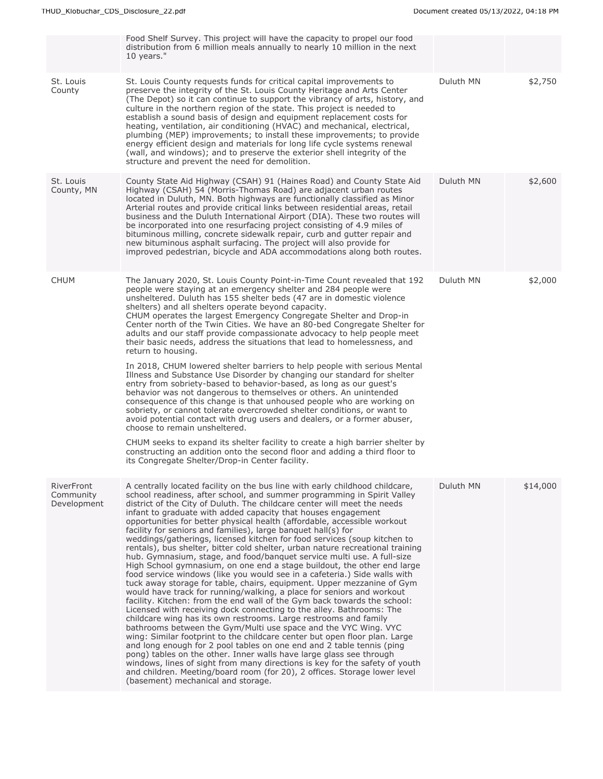|                                        | Food Shelf Survey. This project will have the capacity to propel our food<br>distribution from 6 million meals annually to nearly 10 million in the next<br>10 years."                                                                                                                                                                                                                                                                                                                                                                                                                                                                                                                                                                                                                                                                                                                                                                                                                                                                                                                                                                                                                                                                                                                                                                                                                                                                                                                                                                                                                                                                                                                                                          |           |          |
|----------------------------------------|---------------------------------------------------------------------------------------------------------------------------------------------------------------------------------------------------------------------------------------------------------------------------------------------------------------------------------------------------------------------------------------------------------------------------------------------------------------------------------------------------------------------------------------------------------------------------------------------------------------------------------------------------------------------------------------------------------------------------------------------------------------------------------------------------------------------------------------------------------------------------------------------------------------------------------------------------------------------------------------------------------------------------------------------------------------------------------------------------------------------------------------------------------------------------------------------------------------------------------------------------------------------------------------------------------------------------------------------------------------------------------------------------------------------------------------------------------------------------------------------------------------------------------------------------------------------------------------------------------------------------------------------------------------------------------------------------------------------------------|-----------|----------|
| St. Louis<br>County                    | St. Louis County requests funds for critical capital improvements to<br>preserve the integrity of the St. Louis County Heritage and Arts Center<br>(The Depot) so it can continue to support the vibrancy of arts, history, and<br>culture in the northern region of the state. This project is needed to<br>establish a sound basis of design and equipment replacement costs for<br>heating, ventilation, air conditioning (HVAC) and mechanical, electrical,<br>plumbing (MEP) improvements; to install these improvements; to provide<br>energy efficient design and materials for long life cycle systems renewal<br>(wall, and windows); and to preserve the exterior shell integrity of the<br>structure and prevent the need for demolition.                                                                                                                                                                                                                                                                                                                                                                                                                                                                                                                                                                                                                                                                                                                                                                                                                                                                                                                                                                            | Duluth MN | \$2,750  |
| St. Louis<br>County, MN                | County State Aid Highway (CSAH) 91 (Haines Road) and County State Aid<br>Highway (CSAH) 54 (Morris-Thomas Road) are adjacent urban routes<br>located in Duluth, MN. Both highways are functionally classified as Minor<br>Arterial routes and provide critical links between residential areas, retail<br>business and the Duluth International Airport (DIA). These two routes will<br>be incorporated into one resurfacing project consisting of 4.9 miles of<br>bituminous milling, concrete sidewalk repair, curb and gutter repair and<br>new bituminous asphalt surfacing. The project will also provide for<br>improved pedestrian, bicycle and ADA accommodations along both routes.                                                                                                                                                                                                                                                                                                                                                                                                                                                                                                                                                                                                                                                                                                                                                                                                                                                                                                                                                                                                                                    | Duluth MN | \$2,600  |
| <b>CHUM</b>                            | The January 2020, St. Louis County Point-in-Time Count revealed that 192<br>people were staying at an emergency shelter and 284 people were<br>unsheltered. Duluth has 155 shelter beds (47 are in domestic violence<br>shelters) and all shelters operate beyond capacity.<br>CHUM operates the largest Emergency Congregate Shelter and Drop-in<br>Center north of the Twin Cities. We have an 80-bed Congregate Shelter for<br>adults and our staff provide compassionate advocacy to help people meet<br>their basic needs, address the situations that lead to homelessness, and<br>return to housing.<br>In 2018, CHUM lowered shelter barriers to help people with serious Mental<br>Illness and Substance Use Disorder by changing our standard for shelter<br>entry from sobriety-based to behavior-based, as long as our quest's<br>behavior was not dangerous to themselves or others. An unintended<br>consequence of this change is that unhoused people who are working on<br>sobriety, or cannot tolerate overcrowded shelter conditions, or want to<br>avoid potential contact with drug users and dealers, or a former abuser,<br>choose to remain unsheltered.<br>CHUM seeks to expand its shelter facility to create a high barrier shelter by<br>constructing an addition onto the second floor and adding a third floor to<br>its Congregate Shelter/Drop-in Center facility.                                                                                                                                                                                                                                                                                                                              | Duluth MN | \$2,000  |
| RiverFront<br>Community<br>Development | A centrally located facility on the bus line with early childhood childcare,<br>school readiness, after school, and summer programming in Spirit Valley<br>district of the City of Duluth. The childcare center will meet the needs<br>infant to graduate with added capacity that houses engagement<br>opportunities for better physical health (affordable, accessible workout<br>facility for seniors and families), large banguet hall(s) for<br>weddings/gatherings, licensed kitchen for food services (soup kitchen to<br>rentals), bus shelter, bitter cold shelter, urban nature recreational training<br>hub. Gymnasium, stage, and food/banguet service multi use. A full-size<br>High School gymnasium, on one end a stage buildout, the other end large<br>food service windows (like you would see in a cafeteria.) Side walls with<br>tuck away storage for table, chairs, equipment. Upper mezzanine of Gym<br>would have track for running/walking, a place for seniors and workout<br>facility. Kitchen: from the end wall of the Gym back towards the school:<br>Licensed with receiving dock connecting to the alley. Bathrooms: The<br>childcare wing has its own restrooms. Large restrooms and family<br>bathrooms between the Gym/Multi use space and the VYC Wing. VYC<br>wing: Similar footprint to the childcare center but open floor plan. Large<br>and long enough for 2 pool tables on one end and 2 table tennis (ping<br>pong) tables on the other. Inner walls have large glass see through<br>windows, lines of sight from many directions is key for the safety of youth<br>and children. Meeting/board room (for 20), 2 offices. Storage lower level<br>(basement) mechanical and storage. | Duluth MN | \$14,000 |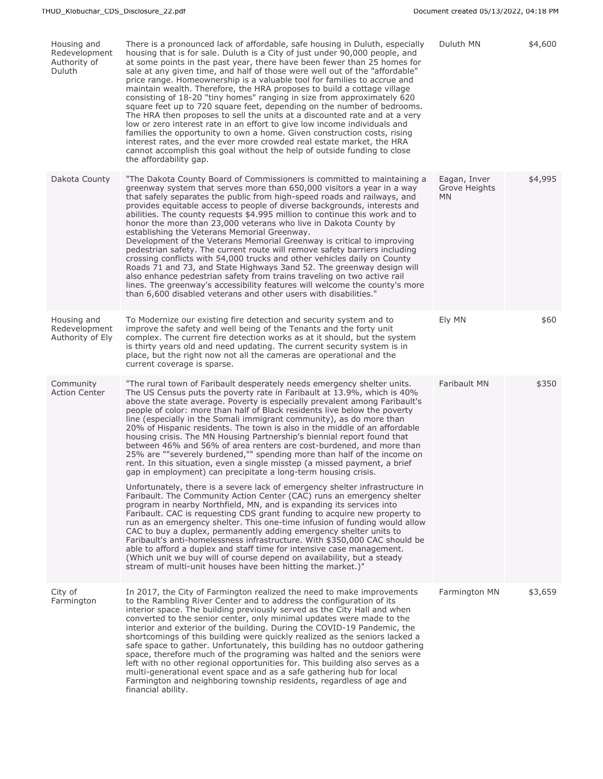| Housing and<br>Redevelopment<br>Authority of<br>Duluth | There is a pronounced lack of affordable, safe housing in Duluth, especially<br>housing that is for sale. Duluth is a City of just under 90,000 people, and<br>at some points in the past year, there have been fewer than 25 homes for<br>sale at any given time, and half of those were well out of the "affordable"<br>price range. Homeownership is a valuable tool for families to accrue and<br>maintain wealth. Therefore, the HRA proposes to build a cottage village<br>consisting of 18-20 "tiny homes" ranging in size from approximately 620<br>square feet up to 720 square feet, depending on the number of bedrooms.<br>The HRA then proposes to sell the units at a discounted rate and at a very<br>low or zero interest rate in an effort to give low income individuals and<br>families the opportunity to own a home. Given construction costs, rising<br>interest rates, and the ever more crowded real estate market, the HRA<br>cannot accomplish this goal without the help of outside funding to close<br>the affordability gap.                                                                                                                                                                                                                                                                                                                                                                                                                                                                                                                                                           | Duluth MN                            | \$4,600 |
|--------------------------------------------------------|---------------------------------------------------------------------------------------------------------------------------------------------------------------------------------------------------------------------------------------------------------------------------------------------------------------------------------------------------------------------------------------------------------------------------------------------------------------------------------------------------------------------------------------------------------------------------------------------------------------------------------------------------------------------------------------------------------------------------------------------------------------------------------------------------------------------------------------------------------------------------------------------------------------------------------------------------------------------------------------------------------------------------------------------------------------------------------------------------------------------------------------------------------------------------------------------------------------------------------------------------------------------------------------------------------------------------------------------------------------------------------------------------------------------------------------------------------------------------------------------------------------------------------------------------------------------------------------------------------------------|--------------------------------------|---------|
| Dakota County                                          | "The Dakota County Board of Commissioners is committed to maintaining a<br>greenway system that serves more than 650,000 visitors a year in a way<br>that safely separates the public from high-speed roads and railways, and<br>provides equitable access to people of diverse backgrounds, interests and<br>abilities. The county requests \$4.995 million to continue this work and to<br>honor the more than 23,000 veterans who live in Dakota County by<br>establishing the Veterans Memorial Greenway.<br>Development of the Veterans Memorial Greenway is critical to improving<br>pedestrian safety. The current route will remove safety barriers including<br>crossing conflicts with 54,000 trucks and other vehicles daily on County<br>Roads 71 and 73, and State Highways 3and 52. The greenway design will<br>also enhance pedestrian safety from trains traveling on two active rail<br>lines. The greenway's accessibility features will welcome the county's more<br>than 6,600 disabled veterans and other users with disabilities."                                                                                                                                                                                                                                                                                                                                                                                                                                                                                                                                                            | Eagan, Inver<br>Grove Heights<br>MN. | \$4,995 |
| Housing and<br>Redevelopment<br>Authority of Ely       | To Modernize our existing fire detection and security system and to<br>improve the safety and well being of the Tenants and the forty unit<br>complex. The current fire detection works as at it should, but the system<br>is thirty years old and need updating. The current security system is in<br>place, but the right now not all the cameras are operational and the<br>current coverage is sparse.                                                                                                                                                                                                                                                                                                                                                                                                                                                                                                                                                                                                                                                                                                                                                                                                                                                                                                                                                                                                                                                                                                                                                                                                          | Ely MN                               | \$60    |
| Community<br><b>Action Center</b>                      | "The rural town of Faribault desperately needs emergency shelter units.<br>The US Census puts the poverty rate in Faribault at 13.9%, which is 40%<br>above the state average. Poverty is especially prevalent among Faribault's<br>people of color: more than half of Black residents live below the poverty<br>line (especially in the Somali immigrant community), as do more than<br>20% of Hispanic residents. The town is also in the middle of an affordable<br>housing crisis. The MN Housing Partnership's biennial report found that<br>between 46% and 56% of area renters are cost-burdened, and more than<br>25% are ""severely burdened,"" spending more than half of the income on<br>rent. In this situation, even a single misstep (a missed payment, a brief<br>gap in employment) can precipitate a long-term housing crisis.<br>Unfortunately, there is a severe lack of emergency shelter infrastructure in<br>Faribault. The Community Action Center (CAC) runs an emergency shelter<br>program in nearby Northfield, MN, and is expanding its services into<br>Faribault. CAC is requesting CDS grant funding to acquire new property to<br>run as an emergency shelter. This one-time infusion of funding would allow<br>CAC to buy a duplex, permanently adding emergency shelter units to<br>Faribault's anti-homelessness infrastructure. With \$350,000 CAC should be<br>able to afford a duplex and staff time for intensive case management.<br>(Which unit we buy will of course depend on availability, but a steady<br>stream of multi-unit houses have been hitting the market.)" | Faribault MN                         | \$350   |
| City of<br>Farmington                                  | In 2017, the City of Farmington realized the need to make improvements<br>to the Rambling River Center and to address the configuration of its<br>interior space. The building previously served as the City Hall and when<br>converted to the senior center, only minimal updates were made to the<br>interior and exterior of the building. During the COVID-19 Pandemic, the<br>shortcomings of this building were quickly realized as the seniors lacked a<br>safe space to gather. Unfortunately, this building has no outdoor gathering<br>space, therefore much of the programing was halted and the seniors were<br>left with no other regional opportunities for. This building also serves as a<br>multi-generational event space and as a safe gathering hub for local<br>Farmington and neighboring township residents, regardless of age and<br>financial ability.                                                                                                                                                                                                                                                                                                                                                                                                                                                                                                                                                                                                                                                                                                                                     | Farmington MN                        | \$3,659 |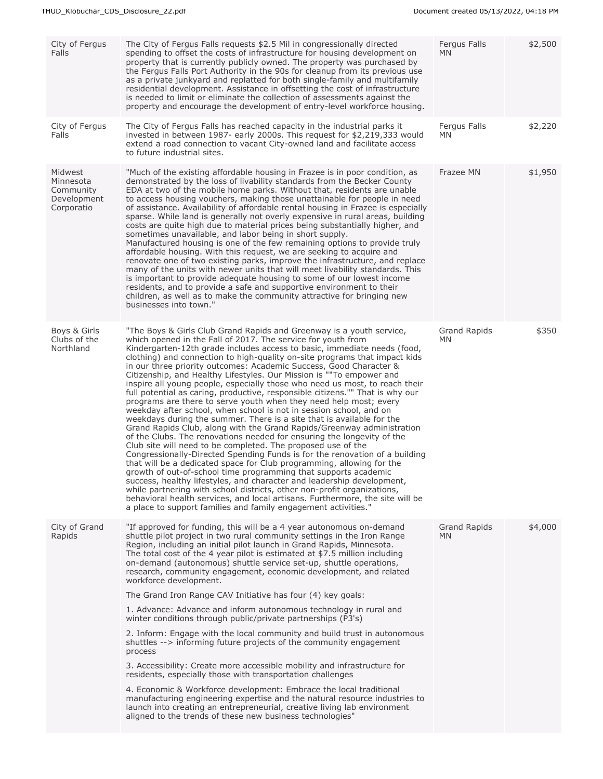| City of Fergus<br>Falls                                        | The City of Fergus Falls requests \$2.5 Mil in congressionally directed<br>spending to offset the costs of infrastructure for housing development on<br>property that is currently publicly owned. The property was purchased by<br>the Fergus Falls Port Authority in the 90s for cleanup from its previous use<br>as a private junkyard and replatted for both single-family and multifamily<br>residential development. Assistance in offsetting the cost of infrastructure<br>is needed to limit or eliminate the collection of assessments against the<br>property and encourage the development of entry-level workforce housing.                                                                                                                                                                                                                                                                                                                                                                                                                                                                                                                                                                                                                                                                                                                                                                                                                                                                                                                                                 | Fergus Falls<br><b>MN</b>  | \$2,500 |
|----------------------------------------------------------------|-----------------------------------------------------------------------------------------------------------------------------------------------------------------------------------------------------------------------------------------------------------------------------------------------------------------------------------------------------------------------------------------------------------------------------------------------------------------------------------------------------------------------------------------------------------------------------------------------------------------------------------------------------------------------------------------------------------------------------------------------------------------------------------------------------------------------------------------------------------------------------------------------------------------------------------------------------------------------------------------------------------------------------------------------------------------------------------------------------------------------------------------------------------------------------------------------------------------------------------------------------------------------------------------------------------------------------------------------------------------------------------------------------------------------------------------------------------------------------------------------------------------------------------------------------------------------------------------|----------------------------|---------|
| City of Fergus<br>Falls                                        | The City of Fergus Falls has reached capacity in the industrial parks it<br>invested in between 1987- early 2000s. This request for \$2,219,333 would<br>extend a road connection to vacant City-owned land and facilitate access<br>to future industrial sites.                                                                                                                                                                                                                                                                                                                                                                                                                                                                                                                                                                                                                                                                                                                                                                                                                                                                                                                                                                                                                                                                                                                                                                                                                                                                                                                        | Fergus Falls<br>MN.        | \$2,220 |
| Midwest<br>Minnesota<br>Community<br>Development<br>Corporatio | "Much of the existing affordable housing in Frazee is in poor condition, as<br>demonstrated by the loss of livability standards from the Becker County<br>EDA at two of the mobile home parks. Without that, residents are unable<br>to access housing vouchers, making those unattainable for people in need<br>of assistance. Availability of affordable rental housing in Frazee is especially<br>sparse. While land is generally not overly expensive in rural areas, building<br>costs are quite high due to material prices being substantially higher, and<br>sometimes unavailable, and labor being in short supply.<br>Manufactured housing is one of the few remaining options to provide truly<br>affordable housing. With this request, we are seeking to acquire and<br>renovate one of two existing parks, improve the infrastructure, and replace<br>many of the units with newer units that will meet livability standards. This<br>is important to provide adequate housing to some of our lowest income<br>residents, and to provide a safe and supportive environment to their<br>children, as well as to make the community attractive for bringing new<br>businesses into town."                                                                                                                                                                                                                                                                                                                                                                                   | Frazee MN                  | \$1,950 |
| Boys & Girls<br>Clubs of the<br>Northland                      | "The Boys & Girls Club Grand Rapids and Greenway is a youth service,<br>which opened in the Fall of 2017. The service for youth from<br>Kindergarten-12th grade includes access to basic, immediate needs (food,<br>clothing) and connection to high-quality on-site programs that impact kids<br>in our three priority outcomes: Academic Success, Good Character &<br>Citizenship, and Healthy Lifestyles. Our Mission is ""To empower and<br>inspire all young people, especially those who need us most, to reach their<br>full potential as caring, productive, responsible citizens."" That is why our<br>programs are there to serve youth when they need help most; every<br>weekday after school, when school is not in session school, and on<br>weekdays during the summer. There is a site that is available for the<br>Grand Rapids Club, along with the Grand Rapids/Greenway administration<br>of the Clubs. The renovations needed for ensuring the longevity of the<br>Club site will need to be completed. The proposed use of the<br>Congressionally-Directed Spending Funds is for the renovation of a building<br>that will be a dedicated space for Club programming, allowing for the<br>growth of out-of-school time programming that supports academic<br>success, healthy lifestyles, and character and leadership development,<br>while partnering with school districts, other non-profit organizations,<br>behavioral health services, and local artisans. Furthermore, the site will be<br>a place to support families and family engagement activities." | <b>Grand Rapids</b><br>MN. | \$350   |
| City of Grand<br>Rapids                                        | "If approved for funding, this will be a 4 year autonomous on-demand<br>shuttle pilot project in two rural community settings in the Iron Range<br>Region, including an initial pilot launch in Grand Rapids, Minnesota.<br>The total cost of the 4 year pilot is estimated at $$7.5$ million including<br>on-demand (autonomous) shuttle service set-up, shuttle operations,<br>research, community engagement, economic development, and related<br>workforce development.<br>The Grand Iron Range CAV Initiative has four (4) key goals:<br>1. Advance: Advance and inform autonomous technology in rural and<br>winter conditions through public/private partnerships (P3's)<br>2. Inform: Engage with the local community and build trust in autonomous<br>shuttles --> informing future projects of the community engagement<br>process<br>3. Accessibility: Create more accessible mobility and infrastructure for<br>residents, especially those with transportation challenges<br>4. Economic & Workforce development: Embrace the local traditional<br>manufacturing engineering expertise and the natural resource industries to<br>launch into creating an entrepreneurial, creative living lab environment<br>aligned to the trends of these new business technologies"                                                                                                                                                                                                                                                                                                    | <b>Grand Rapids</b><br>MN. | \$4,000 |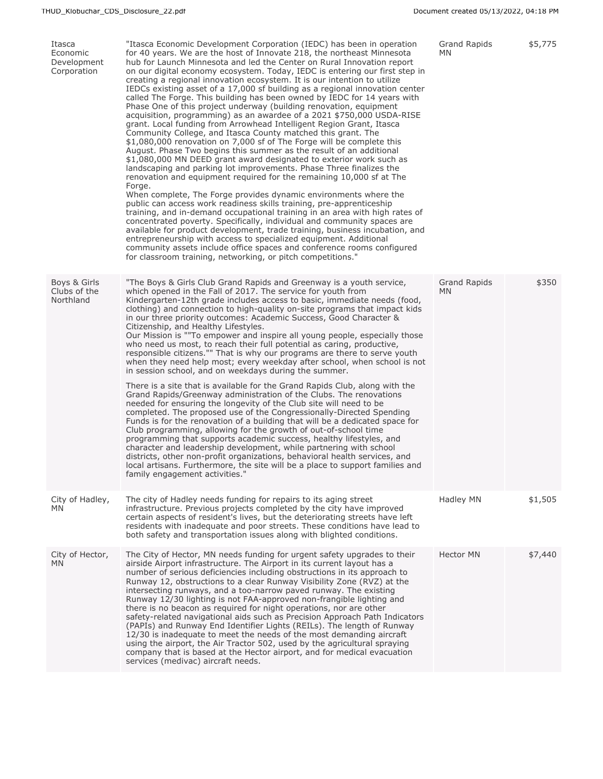| Itasca<br>Economic<br>Development<br>Corporation | "Itasca Economic Development Corporation (IEDC) has been in operation<br>for 40 years. We are the host of Innovate 218, the northeast Minnesota<br>hub for Launch Minnesota and led the Center on Rural Innovation report<br>on our digital economy ecosystem. Today, IEDC is entering our first step in<br>creating a regional innovation ecosystem. It is our intention to utilize<br>IEDCs existing asset of a 17,000 sf building as a regional innovation center<br>called The Forge. This building has been owned by IEDC for 14 years with<br>Phase One of this project underway (building renovation, equipment<br>acquisition, programming) as an awardee of a 2021 \$750,000 USDA-RISE<br>grant. Local funding from Arrowhead Intelligent Region Grant, Itasca<br>Community College, and Itasca County matched this grant. The<br>\$1,080,000 renovation on 7,000 sf of The Forge will be complete this<br>August. Phase Two begins this summer as the result of an additional<br>\$1,080,000 MN DEED grant award designated to exterior work such as<br>landscaping and parking lot improvements. Phase Three finalizes the<br>renovation and equipment required for the remaining 10,000 sf at The<br>Forge.<br>When complete, The Forge provides dynamic environments where the<br>public can access work readiness skills training, pre-apprenticeship<br>training, and in-demand occupational training in an area with high rates of<br>concentrated poverty. Specifically, individual and community spaces are<br>available for product development, trade training, business incubation, and<br>entrepreneurship with access to specialized equipment. Additional<br>community assets include office spaces and conference rooms configured<br>for classroom training, networking, or pitch competitions." | Grand Rapids<br>MN. | \$5,775 |
|--------------------------------------------------|----------------------------------------------------------------------------------------------------------------------------------------------------------------------------------------------------------------------------------------------------------------------------------------------------------------------------------------------------------------------------------------------------------------------------------------------------------------------------------------------------------------------------------------------------------------------------------------------------------------------------------------------------------------------------------------------------------------------------------------------------------------------------------------------------------------------------------------------------------------------------------------------------------------------------------------------------------------------------------------------------------------------------------------------------------------------------------------------------------------------------------------------------------------------------------------------------------------------------------------------------------------------------------------------------------------------------------------------------------------------------------------------------------------------------------------------------------------------------------------------------------------------------------------------------------------------------------------------------------------------------------------------------------------------------------------------------------------------------------------------------------------------------------------------------------------------------|---------------------|---------|
| Boys & Girls<br>Clubs of the<br>Northland        | "The Boys & Girls Club Grand Rapids and Greenway is a youth service,<br>which opened in the Fall of 2017. The service for youth from<br>Kindergarten-12th grade includes access to basic, immediate needs (food,<br>clothing) and connection to high-quality on-site programs that impact kids<br>in our three priority outcomes: Academic Success, Good Character &<br>Citizenship, and Healthy Lifestyles.<br>Our Mission is ""To empower and inspire all young people, especially those<br>who need us most, to reach their full potential as caring, productive,<br>responsible citizens."" That is why our programs are there to serve youth<br>when they need help most; every weekday after school, when school is not<br>in session school, and on weekdays during the summer.<br>There is a site that is available for the Grand Rapids Club, along with the<br>Grand Rapids/Greenway administration of the Clubs. The renovations<br>needed for ensuring the longevity of the Club site will need to be<br>completed. The proposed use of the Congressionally-Directed Spending<br>Funds is for the renovation of a building that will be a dedicated space for<br>Club programming, allowing for the growth of out-of-school time<br>programming that supports academic success, healthy lifestyles, and<br>character and leadership development, while partnering with school<br>districts, other non-profit organizations, behavioral health services, and<br>local artisans. Furthermore, the site will be a place to support families and<br>family engagement activities."                                                                                                                                                                                                                                 | Grand Rapids<br>MN. | \$350   |
| City of Hadley,<br><b>MN</b>                     | The city of Hadley needs funding for repairs to its aging street<br>infrastructure. Previous projects completed by the city have improved<br>certain aspects of resident's lives, but the deteriorating streets have left<br>residents with inadequate and poor streets. These conditions have lead to<br>both safety and transportation issues along with blighted conditions.                                                                                                                                                                                                                                                                                                                                                                                                                                                                                                                                                                                                                                                                                                                                                                                                                                                                                                                                                                                                                                                                                                                                                                                                                                                                                                                                                                                                                                            | Hadley MN           | \$1,505 |
| City of Hector,<br><b>MN</b>                     | The City of Hector, MN needs funding for urgent safety upgrades to their<br>airside Airport infrastructure. The Airport in its current layout has a<br>number of serious deficiencies including obstructions in its approach to<br>Runway 12, obstructions to a clear Runway Visibility Zone (RVZ) at the<br>intersecting runways, and a too-narrow paved runway. The existing<br>Runway 12/30 lighting is not FAA-approved non-frangible lighting and<br>there is no beacon as required for night operations, nor are other<br>safety-related navigational aids such as Precision Approach Path Indicators<br>(PAPIs) and Runway End Identifier Lights (REILs). The length of Runway<br>12/30 is inadequate to meet the needs of the most demanding aircraft<br>using the airport, the Air Tractor 502, used by the agricultural spraying<br>company that is based at the Hector airport, and for medical evacuation<br>services (medivac) aircraft needs.                                                                                                                                                                                                                                                                                                                                                                                                                                                                                                                                                                                                                                                                                                                                                                                                                                                                | <b>Hector MN</b>    | \$7,440 |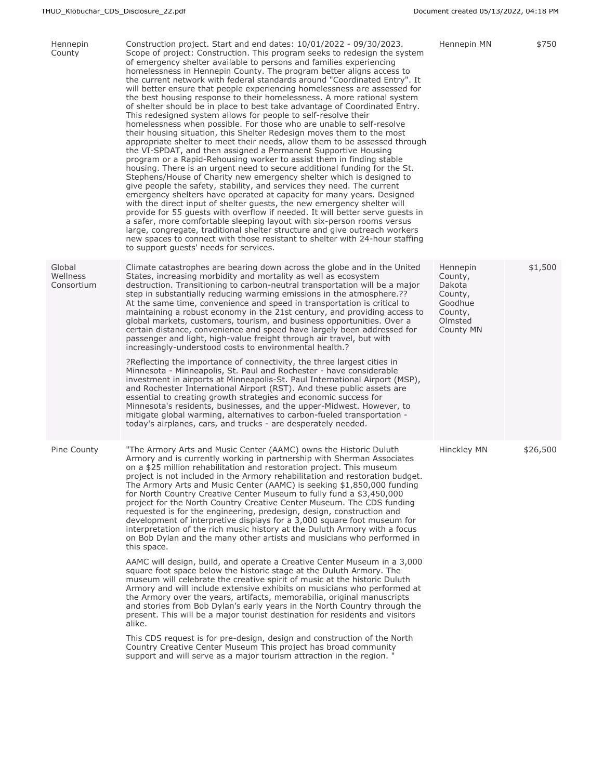| Hennepin<br>County               | Construction project. Start and end dates: $10/01/2022 - 09/30/2023$ .<br>Scope of project: Construction. This program seeks to redesign the system<br>of emergency shelter available to persons and families experiencing<br>homelessness in Hennepin County. The program better aligns access to<br>the current network with federal standards around "Coordinated Entry". It<br>will better ensure that people experiencing homelessness are assessed for<br>the best housing response to their homelessness. A more rational system<br>of shelter should be in place to best take advantage of Coordinated Entry.<br>This redesigned system allows for people to self-resolve their<br>homelessness when possible. For those who are unable to self-resolve<br>their housing situation, this Shelter Redesign moves them to the most<br>appropriate shelter to meet their needs, allow them to be assessed through<br>the VI-SPDAT, and then assigned a Permanent Supportive Housing<br>program or a Rapid-Rehousing worker to assist them in finding stable<br>housing. There is an urgent need to secure additional funding for the St.<br>Stephens/House of Charity new emergency shelter which is designed to<br>give people the safety, stability, and services they need. The current<br>emergency shelters have operated at capacity for many years. Designed<br>with the direct input of shelter guests, the new emergency shelter will<br>provide for 55 quests with overflow if needed. It will better serve quests in<br>a safer, more comfortable sleeping layout with six-person rooms versus<br>large, congregate, traditional shelter structure and give outreach workers<br>new spaces to connect with those resistant to shelter with 24-hour staffing<br>to support quests' needs for services. | Hennepin MN                                                                                   | \$750    |
|----------------------------------|-----------------------------------------------------------------------------------------------------------------------------------------------------------------------------------------------------------------------------------------------------------------------------------------------------------------------------------------------------------------------------------------------------------------------------------------------------------------------------------------------------------------------------------------------------------------------------------------------------------------------------------------------------------------------------------------------------------------------------------------------------------------------------------------------------------------------------------------------------------------------------------------------------------------------------------------------------------------------------------------------------------------------------------------------------------------------------------------------------------------------------------------------------------------------------------------------------------------------------------------------------------------------------------------------------------------------------------------------------------------------------------------------------------------------------------------------------------------------------------------------------------------------------------------------------------------------------------------------------------------------------------------------------------------------------------------------------------------------------------------------------------------------------------------------------------------------|-----------------------------------------------------------------------------------------------|----------|
| Global<br>Wellness<br>Consortium | Climate catastrophes are bearing down across the globe and in the United<br>States, increasing morbidity and mortality as well as ecosystem<br>destruction. Transitioning to carbon-neutral transportation will be a major<br>step in substantially reducing warming emissions in the atmosphere.??<br>At the same time, convenience and speed in transportation is critical to<br>maintaining a robust economy in the 21st century, and providing access to<br>global markets, customers, tourism, and business opportunities. Over a<br>certain distance, convenience and speed have largely been addressed for<br>passenger and light, high-value freight through air travel, but with<br>increasingly-understood costs to environmental health.?<br>?Reflecting the importance of connectivity, the three largest cities in<br>Minnesota - Minneapolis, St. Paul and Rochester - have considerable<br>investment in airports at Minneapolis-St. Paul International Airport (MSP),<br>and Rochester International Airport (RST). And these public assets are<br>essential to creating growth strategies and economic success for<br>Minnesota's residents, businesses, and the upper-Midwest. However, to<br>mitigate global warming, alternatives to carbon-fueled transportation -<br>today's airplanes, cars, and trucks - are desperately needed.                                                                                                                                                                                                                                                                                                                                                                                                                                                              | Hennepin<br>County,<br>Dakota<br>County,<br>Goodhue<br>County,<br>Olmsted<br><b>County MN</b> | \$1,500  |
| Pine County                      | "The Armory Arts and Music Center (AAMC) owns the Historic Duluth<br>Armory and is currently working in partnership with Sherman Associates<br>on a \$25 million rehabilitation and restoration project. This museum<br>project is not included in the Armory rehabilitation and restoration budget.<br>The Armory Arts and Music Center (AAMC) is seeking \$1,850,000 funding<br>for North Country Creative Center Museum to fully fund a \$3,450,000<br>project for the North Country Creative Center Museum. The CDS funding<br>requested is for the engineering, predesign, design, construction and<br>development of interpretive displays for a 3,000 square foot museum for<br>interpretation of the rich music history at the Duluth Armory with a focus<br>on Bob Dylan and the many other artists and musicians who performed in<br>this space.<br>AAMC will design, build, and operate a Creative Center Museum in a 3,000                                                                                                                                                                                                                                                                                                                                                                                                                                                                                                                                                                                                                                                                                                                                                                                                                                                                                | Hinckley MN                                                                                   | \$26,500 |
|                                  | square foot space below the historic stage at the Duluth Armory. The<br>museum will celebrate the creative spirit of music at the historic Duluth<br>Armory and will include extensive exhibits on musicians who performed at<br>the Armory over the years, artifacts, memorabilia, original manuscripts<br>and stories from Bob Dylan's early years in the North Country through the<br>present. This will be a major tourist destination for residents and visitors<br>alike.<br>This CDS request is for pre-design, design and construction of the North<br>Country Creative Center Museum This project has broad community<br>support and will serve as a major tourism attraction in the region. "                                                                                                                                                                                                                                                                                                                                                                                                                                                                                                                                                                                                                                                                                                                                                                                                                                                                                                                                                                                                                                                                                                               |                                                                                               |          |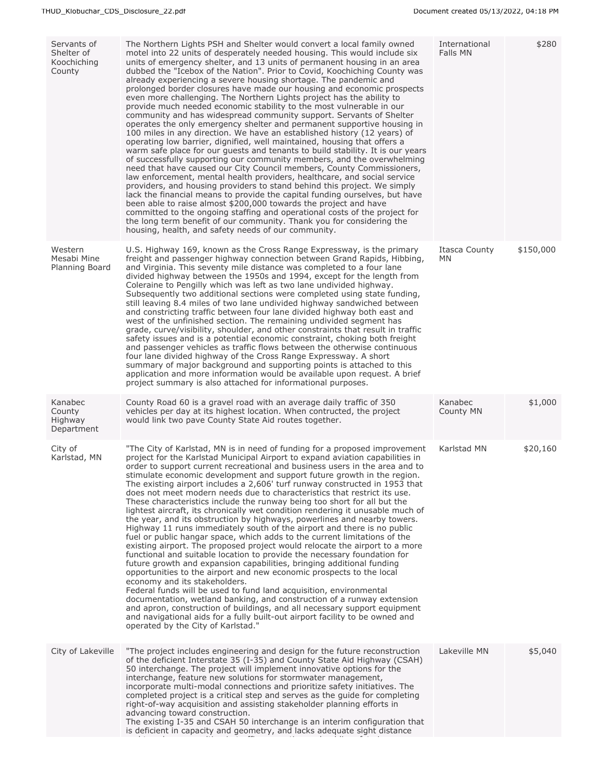| Servants of<br>Shelter of<br>Koochiching<br>County | The Northern Lights PSH and Shelter would convert a local family owned<br>motel into 22 units of desperately needed housing. This would include six<br>units of emergency shelter, and 13 units of permanent housing in an area<br>dubbed the "Icebox of the Nation". Prior to Covid, Koochiching County was<br>already experiencing a severe housing shortage. The pandemic and<br>prolonged border closures have made our housing and economic prospects<br>even more challenging. The Northern Lights project has the ability to<br>provide much needed economic stability to the most vulnerable in our<br>community and has widespread community support. Servants of Shelter<br>operates the only emergency shelter and permanent supportive housing in<br>100 miles in any direction. We have an established history (12 years) of<br>operating low barrier, dignified, well maintained, housing that offers a<br>warm safe place for our guests and tenants to build stability. It is our years<br>of successfully supporting our community members, and the overwhelming<br>need that have caused our City Council members, County Commissioners,<br>law enforcement, mental health providers, healthcare, and social service<br>providers, and housing providers to stand behind this project. We simply<br>lack the financial means to provide the capital funding ourselves, but have<br>been able to raise almost \$200,000 towards the project and have<br>committed to the ongoing staffing and operational costs of the project for<br>the long term benefit of our community. Thank you for considering the<br>housing, health, and safety needs of our community. | International<br>Falls MN | \$280     |
|----------------------------------------------------|-------------------------------------------------------------------------------------------------------------------------------------------------------------------------------------------------------------------------------------------------------------------------------------------------------------------------------------------------------------------------------------------------------------------------------------------------------------------------------------------------------------------------------------------------------------------------------------------------------------------------------------------------------------------------------------------------------------------------------------------------------------------------------------------------------------------------------------------------------------------------------------------------------------------------------------------------------------------------------------------------------------------------------------------------------------------------------------------------------------------------------------------------------------------------------------------------------------------------------------------------------------------------------------------------------------------------------------------------------------------------------------------------------------------------------------------------------------------------------------------------------------------------------------------------------------------------------------------------------------------------------------------------------------------------------------|---------------------------|-----------|
| Western<br>Mesabi Mine<br>Planning Board           | U.S. Highway 169, known as the Cross Range Expressway, is the primary<br>freight and passenger highway connection between Grand Rapids, Hibbing,<br>and Virginia. This seventy mile distance was completed to a four lane<br>divided highway between the 1950s and 1994, except for the length from<br>Coleraine to Pengilly which was left as two lane undivided highway.<br>Subsequently two additional sections were completed using state funding,<br>still leaving 8.4 miles of two lane undivided highway sandwiched between<br>and constricting traffic between four lane divided highway both east and<br>west of the unfinished section. The remaining undivided segment has<br>grade, curve/visibility, shoulder, and other constraints that result in traffic<br>safety issues and is a potential economic constraint, choking both freight<br>and passenger vehicles as traffic flows between the otherwise continuous<br>four lane divided highway of the Cross Range Expressway. A short<br>summary of major background and supporting points is attached to this<br>application and more information would be available upon request. A brief<br>project summary is also attached for informational purposes.                                                                                                                                                                                                                                                                                                                                                                                                                                                        | Itasca County<br>ΜN       | \$150,000 |
| Kanabec<br>County<br>Highway<br>Department         | County Road 60 is a gravel road with an average daily traffic of 350<br>vehicles per day at its highest location. When contructed, the project<br>would link two pave County State Aid routes together.                                                                                                                                                                                                                                                                                                                                                                                                                                                                                                                                                                                                                                                                                                                                                                                                                                                                                                                                                                                                                                                                                                                                                                                                                                                                                                                                                                                                                                                                             | Kanabec<br>County MN      | \$1,000   |
| City of<br>Karlstad, MN                            | "The City of Karlstad, MN is in need of funding for a proposed improvement<br>project for the Karlstad Municipal Airport to expand aviation capabilities in<br>order to support current recreational and business users in the area and to<br>stimulate economic development and support future growth in the region.<br>The existing airport includes a 2,606' turf runway constructed in 1953 that<br>does not meet modern needs due to characteristics that restrict its use.<br>These characteristics include the runway being too short for all but the<br>lightest aircraft, its chronically wet condition rendering it unusable much of<br>the year, and its obstruction by highways, powerlines and nearby towers.<br>Highway 11 runs immediately south of the airport and there is no public<br>fuel or public hangar space, which adds to the current limitations of the<br>existing airport. The proposed project would relocate the airport to a more<br>functional and suitable location to provide the necessary foundation for<br>future growth and expansion capabilities, bringing additional funding<br>opportunities to the airport and new economic prospects to the local<br>economy and its stakeholders.<br>Federal funds will be used to fund land acquisition, environmental<br>documentation, wetland banking, and construction of a runway extension<br>and apron, construction of buildings, and all necessary support equipment<br>and navigational aids for a fully built-out airport facility to be owned and<br>operated by the City of Karlstad."                                                                                                  | Karlstad MN               | \$20,160  |
| City of Lakeville                                  | "The project includes engineering and design for the future reconstruction<br>of the deficient Interstate 35 (I-35) and County State Aid Highway (CSAH)<br>50 interchange. The project will implement innovative options for the<br>interchange, feature new solutions for stormwater management,<br>incorporate multi-modal connections and prioritize safety initiatives. The<br>completed project is a critical step and serves as the guide for completing<br>right-of-way acquisition and assisting stakeholder planning efforts in<br>advancing toward construction.<br>The existing I-35 and CSAH 50 interchange is an interim configuration that<br>is deficient in capacity and geometry, and lacks adequate sight distance                                                                                                                                                                                                                                                                                                                                                                                                                                                                                                                                                                                                                                                                                                                                                                                                                                                                                                                                                | Lakeville MN              | \$5,040   |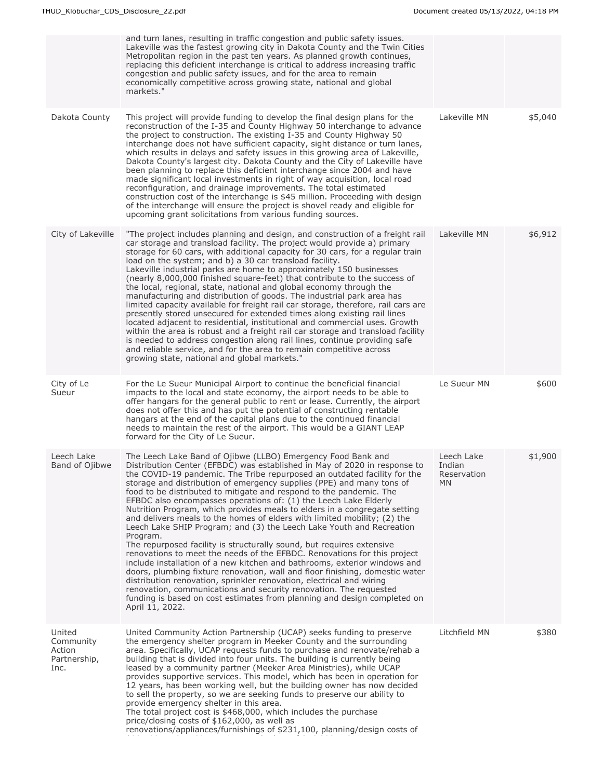|                                                       | and turn lanes, resulting in traffic congestion and public safety issues.<br>Lakeville was the fastest growing city in Dakota County and the Twin Cities<br>Metropolitan region in the past ten years. As planned growth continues,<br>replacing this deficient interchange is critical to address increasing traffic<br>congestion and public safety issues, and for the area to remain<br>economically competitive across growing state, national and global<br>markets."                                                                                                                                                                                                                                                                                                                                                                                                                                                                                                                                                                                                                                                                                                                                                                          |                                            |         |
|-------------------------------------------------------|------------------------------------------------------------------------------------------------------------------------------------------------------------------------------------------------------------------------------------------------------------------------------------------------------------------------------------------------------------------------------------------------------------------------------------------------------------------------------------------------------------------------------------------------------------------------------------------------------------------------------------------------------------------------------------------------------------------------------------------------------------------------------------------------------------------------------------------------------------------------------------------------------------------------------------------------------------------------------------------------------------------------------------------------------------------------------------------------------------------------------------------------------------------------------------------------------------------------------------------------------|--------------------------------------------|---------|
| Dakota County                                         | This project will provide funding to develop the final design plans for the<br>reconstruction of the I-35 and County Highway 50 interchange to advance<br>the project to construction. The existing I-35 and County Highway 50<br>interchange does not have sufficient capacity, sight distance or turn lanes,<br>which results in delays and safety issues in this growing area of Lakeville,<br>Dakota County's largest city. Dakota County and the City of Lakeville have<br>been planning to replace this deficient interchange since 2004 and have<br>made significant local investments in right of way acquisition, local road<br>reconfiguration, and drainage improvements. The total estimated<br>construction cost of the interchange is \$45 million. Proceeding with design<br>of the interchange will ensure the project is shovel ready and eligible for<br>upcoming grant solicitations from various funding sources.                                                                                                                                                                                                                                                                                                                | Lakeville MN                               | \$5,040 |
| City of Lakeville                                     | "The project includes planning and design, and construction of a freight rail<br>car storage and transload facility. The project would provide a) primary<br>storage for 60 cars, with additional capacity for 30 cars, for a regular train<br>load on the system; and b) a 30 car transload facility.<br>Lakeville industrial parks are home to approximately 150 businesses<br>(nearly 8,000,000 finished square-feet) that contribute to the success of<br>the local, regional, state, national and global economy through the<br>manufacturing and distribution of goods. The industrial park area has<br>limited capacity available for freight rail car storage, therefore, rail cars are<br>presently stored unsecured for extended times along existing rail lines<br>located adjacent to residential, institutional and commercial uses. Growth<br>within the area is robust and a freight rail car storage and transload facility<br>is needed to address congestion along rail lines, continue providing safe<br>and reliable service, and for the area to remain competitive across<br>growing state, national and global markets."                                                                                                      | Lakeville MN                               | \$6,912 |
| City of Le<br>Sueur                                   | For the Le Sueur Municipal Airport to continue the beneficial financial<br>impacts to the local and state economy, the airport needs to be able to<br>offer hangars for the general public to rent or lease. Currently, the airport<br>does not offer this and has put the potential of constructing rentable<br>hangars at the end of the capital plans due to the continued financial<br>needs to maintain the rest of the airport. This would be a GIANT LEAP<br>forward for the City of Le Sueur.                                                                                                                                                                                                                                                                                                                                                                                                                                                                                                                                                                                                                                                                                                                                                | Le Sueur MN                                | \$600   |
| Leech Lake<br>Band of Ojibwe                          | The Leech Lake Band of Ojibwe (LLBO) Emergency Food Bank and<br>Distribution Center (EFBDC) was established in May of 2020 in response to<br>the COVID-19 pandemic. The Tribe repurposed an outdated facility for the<br>storage and distribution of emergency supplies (PPE) and many tons of<br>food to be distributed to mitigate and respond to the pandemic. The<br>EFBDC also encompasses operations of: (1) the Leech Lake Elderly<br>Nutrition Program, which provides meals to elders in a congregate setting<br>and delivers meals to the homes of elders with limited mobility; (2) the<br>Leech Lake SHIP Program; and (3) the Leech Lake Youth and Recreation<br>Program.<br>The repurposed facility is structurally sound, but requires extensive<br>renovations to meet the needs of the EFBDC. Renovations for this project<br>include installation of a new kitchen and bathrooms, exterior windows and<br>doors, plumbing fixture renovation, wall and floor finishing, domestic water<br>distribution renovation, sprinkler renovation, electrical and wiring<br>renovation, communications and security renovation. The requested<br>funding is based on cost estimates from planning and design completed on<br>April 11, 2022. | Leech Lake<br>Indian<br>Reservation<br>MN. | \$1,900 |
| United<br>Community<br>Action<br>Partnership,<br>Inc. | United Community Action Partnership (UCAP) seeks funding to preserve<br>the emergency shelter program in Meeker County and the surrounding<br>area. Specifically, UCAP requests funds to purchase and renovate/rehab a<br>building that is divided into four units. The building is currently being<br>leased by a community partner (Meeker Area Ministries), while UCAP<br>provides supportive services. This model, which has been in operation for<br>12 years, has been working well, but the building owner has now decided<br>to sell the property, so we are seeking funds to preserve our ability to<br>provide emergency shelter in this area.<br>The total project cost is \$468,000, which includes the purchase<br>price/closing costs of \$162,000, as well as<br>renovations/appliances/furnishings of \$231,100, planning/design costs of                                                                                                                                                                                                                                                                                                                                                                                            | Litchfield MN                              | \$380   |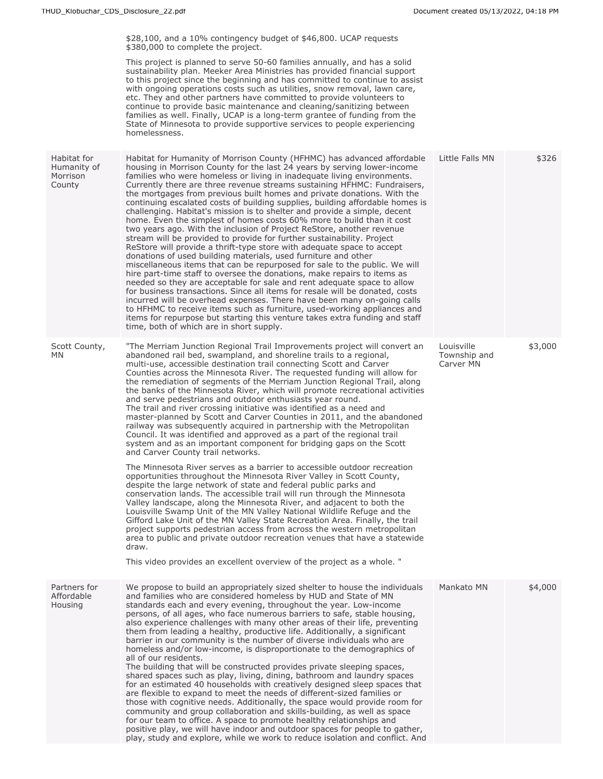| \$28,100, and a 10% contingency budget of \$46,800. UCAP requests<br>\$380,000 to complete the project.<br>This project is planned to serve 50-60 families annually, and has a solid<br>sustainability plan. Meeker Area Ministries has provided financial support<br>to this project since the beginning and has committed to continue to assist<br>with ongoing operations costs such as utilities, snow removal, lawn care,<br>etc. They and other partners have committed to provide volunteers to<br>continue to provide basic maintenance and cleaning/sanitizing between<br>families as well. Finally, UCAP is a long-term grantee of funding from the<br>State of Minnesota to provide supportive services to people experiencing<br>homelessness.                                                                                                                                                                                                                                                                                                                                                                                                                                                                                                                                                                                                                                                                                                                                                                                                                                                                                               |                                                                              |         |
|----------------------------------------------------------------------------------------------------------------------------------------------------------------------------------------------------------------------------------------------------------------------------------------------------------------------------------------------------------------------------------------------------------------------------------------------------------------------------------------------------------------------------------------------------------------------------------------------------------------------------------------------------------------------------------------------------------------------------------------------------------------------------------------------------------------------------------------------------------------------------------------------------------------------------------------------------------------------------------------------------------------------------------------------------------------------------------------------------------------------------------------------------------------------------------------------------------------------------------------------------------------------------------------------------------------------------------------------------------------------------------------------------------------------------------------------------------------------------------------------------------------------------------------------------------------------------------------------------------------------------------------------------------|------------------------------------------------------------------------------|---------|
| Habitat for Humanity of Morrison County (HFHMC) has advanced affordable<br>housing in Morrison County for the last 24 years by serving lower-income<br>families who were homeless or living in inadequate living environments.<br>Currently there are three revenue streams sustaining HFHMC: Fundraisers,<br>the mortgages from previous built homes and private donations. With the<br>continuing escalated costs of building supplies, building affordable homes is<br>challenging. Habitat's mission is to shelter and provide a simple, decent<br>home. Even the simplest of homes costs 60% more to build than it cost<br>two years ago. With the inclusion of Project ReStore, another revenue<br>stream will be provided to provide for further sustainability. Project<br>ReStore will provide a thrift-type store with adequate space to accept<br>donations of used building materials, used furniture and other<br>miscellaneous items that can be repurposed for sale to the public. We will<br>hire part-time staff to oversee the donations, make repairs to items as<br>needed so they are acceptable for sale and rent adequate space to allow<br>for business transactions. Since all items for resale will be donated, costs<br>incurred will be overhead expenses. There have been many on-going calls<br>to HFHMC to receive items such as furniture, used-working appliances and<br>items for repurpose but starting this venture takes extra funding and staff<br>time, both of which are in short supply.                                                                                                                        | Little Falls MN                                                              | \$326   |
| "The Merriam Junction Regional Trail Improvements project will convert an<br>abandoned rail bed, swampland, and shoreline trails to a regional,<br>multi-use, accessible destination trail connecting Scott and Carver<br>Counties across the Minnesota River. The requested funding will allow for<br>the remediation of segments of the Merriam Junction Regional Trail, along<br>the banks of the Minnesota River, which will promote recreational activities<br>and serve pedestrians and outdoor enthusiasts year round.<br>The trail and river crossing initiative was identified as a need and<br>master-planned by Scott and Carver Counties in 2011, and the abandoned<br>railway was subsequently acquired in partnership with the Metropolitan<br>Council. It was identified and approved as a part of the regional trail<br>system and as an important component for bridging gaps on the Scott<br>and Carver County trail networks.<br>The Minnesota River serves as a barrier to accessible outdoor recreation<br>opportunities throughout the Minnesota River Valley in Scott County,<br>despite the large network of state and federal public parks and<br>conservation lands. The accessible trail will run through the Minnesota<br>Valley landscape, along the Minnesota River, and adjacent to both the<br>Louisville Swamp Unit of the MN Valley National Wildlife Refuge and the<br>Gifford Lake Unit of the MN Valley State Recreation Area. Finally, the trail<br>project supports pedestrian access from across the western metropolitan<br>area to public and private outdoor recreation venues that have a statewide<br>draw. | Louisville<br>Township and<br>Carver MN                                      | \$3,000 |
| This video provides an excellent overview of the project as a whole. "                                                                                                                                                                                                                                                                                                                                                                                                                                                                                                                                                                                                                                                                                                                                                                                                                                                                                                                                                                                                                                                                                                                                                                                                                                                                                                                                                                                                                                                                                                                                                                                   |                                                                              |         |
| We propose to build an appropriately sized shelter to house the individuals<br>and families who are considered homeless by HUD and State of MN<br>standards each and every evening, throughout the year. Low-income<br>persons, of all ages, who face numerous barriers to safe, stable housing,<br>also experience challenges with many other areas of their life, preventing<br>them from leading a healthy, productive life. Additionally, a significant<br>barrier in our community is the number of diverse individuals who are<br>homeless and/or low-income, is disproportionate to the demographics of<br>all of our residents.<br>The building that will be constructed provides private sleeping spaces,<br>shared spaces such as play, living, dining, bathroom and laundry spaces<br>for an estimated 40 households with creatively designed sleep spaces that<br>are flexible to expand to meet the needs of different-sized families or<br>those with cognitive needs. Additionally, the space would provide room for<br>community and group collaboration and skills-building, as well as space<br>for our team to office. A space to promote healthy relationships and<br>positive play, we will have indoor and outdoor spaces for people to gather,                                                                                                                                                                                                                                                                                                                                                                                    | Mankato MN                                                                   | \$4,000 |
|                                                                                                                                                                                                                                                                                                                                                                                                                                                                                                                                                                                                                                                                                                                                                                                                                                                                                                                                                                                                                                                                                                                                                                                                                                                                                                                                                                                                                                                                                                                                                                                                                                                          | play, study and explore, while we work to reduce isolation and conflict. And |         |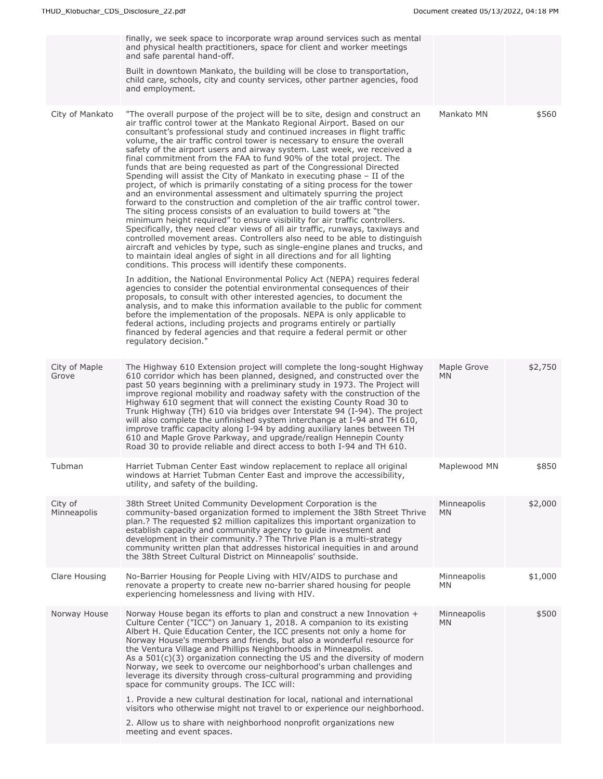|                        | finally, we seek space to incorporate wrap around services such as mental<br>and physical health practitioners, space for client and worker meetings<br>and safe parental hand-off.<br>Built in downtown Mankato, the building will be close to transportation,<br>child care, schools, city and county services, other partner agencies, food<br>and employment.                                                                                                                                                                                                                                                                                                                                                                                                                                                                                                                                                                                                                                                                                                                                                                                                                                                                                                                                                                                                                                                                                                                                                                                                                                                                                                                                                                                                                                                                                                          |                          |         |
|------------------------|----------------------------------------------------------------------------------------------------------------------------------------------------------------------------------------------------------------------------------------------------------------------------------------------------------------------------------------------------------------------------------------------------------------------------------------------------------------------------------------------------------------------------------------------------------------------------------------------------------------------------------------------------------------------------------------------------------------------------------------------------------------------------------------------------------------------------------------------------------------------------------------------------------------------------------------------------------------------------------------------------------------------------------------------------------------------------------------------------------------------------------------------------------------------------------------------------------------------------------------------------------------------------------------------------------------------------------------------------------------------------------------------------------------------------------------------------------------------------------------------------------------------------------------------------------------------------------------------------------------------------------------------------------------------------------------------------------------------------------------------------------------------------------------------------------------------------------------------------------------------------|--------------------------|---------|
| City of Mankato        | "The overall purpose of the project will be to site, design and construct an<br>air traffic control tower at the Mankato Regional Airport. Based on our<br>consultant's professional study and continued increases in flight traffic<br>volume, the air traffic control tower is necessary to ensure the overall<br>safety of the airport users and airway system. Last week, we received a<br>final commitment from the FAA to fund 90% of the total project. The<br>funds that are being requested as part of the Congressional Directed<br>Spending will assist the City of Mankato in executing phase - II of the<br>project, of which is primarily constating of a siting process for the tower<br>and an environmental assessment and ultimately spurring the project<br>forward to the construction and completion of the air traffic control tower.<br>The siting process consists of an evaluation to build towers at "the<br>minimum height required" to ensure visibility for air traffic controllers.<br>Specifically, they need clear views of all air traffic, runways, taxiways and<br>controlled movement areas. Controllers also need to be able to distinguish<br>aircraft and vehicles by type, such as single-engine planes and trucks, and<br>to maintain ideal angles of sight in all directions and for all lighting<br>conditions. This process will identify these components.<br>In addition, the National Environmental Policy Act (NEPA) requires federal<br>agencies to consider the potential environmental consequences of their<br>proposals, to consult with other interested agencies, to document the<br>analysis, and to make this information available to the public for comment<br>before the implementation of the proposals. NEPA is only applicable to<br>federal actions, including projects and programs entirely or partially | Mankato MN               | \$560   |
|                        | financed by federal agencies and that require a federal permit or other<br>regulatory decision."                                                                                                                                                                                                                                                                                                                                                                                                                                                                                                                                                                                                                                                                                                                                                                                                                                                                                                                                                                                                                                                                                                                                                                                                                                                                                                                                                                                                                                                                                                                                                                                                                                                                                                                                                                           |                          |         |
| City of Maple<br>Grove | The Highway 610 Extension project will complete the long-sought Highway<br>610 corridor which has been planned, designed, and constructed over the<br>past 50 years beginning with a preliminary study in 1973. The Project will<br>improve regional mobility and roadway safety with the construction of the<br>Highway 610 segment that will connect the existing County Road 30 to<br>Trunk Highway (TH) 610 via bridges over Interstate 94 (I-94). The project<br>will also complete the unfinished system interchange at I-94 and TH 610,<br>improve traffic capacity along I-94 by adding auxiliary lanes between TH<br>610 and Maple Grove Parkway, and upgrade/realign Hennepin County<br>Road 30 to provide reliable and direct access to both I-94 and TH 610.                                                                                                                                                                                                                                                                                                                                                                                                                                                                                                                                                                                                                                                                                                                                                                                                                                                                                                                                                                                                                                                                                                   | Maple Grove<br>MN        | \$2,750 |
| Tubman                 | Harriet Tubman Center East window replacement to replace all original<br>windows at Harriet Tubman Center East and improve the accessibility,<br>utility, and safety of the building.                                                                                                                                                                                                                                                                                                                                                                                                                                                                                                                                                                                                                                                                                                                                                                                                                                                                                                                                                                                                                                                                                                                                                                                                                                                                                                                                                                                                                                                                                                                                                                                                                                                                                      | Maplewood MN             | \$850   |
| City of<br>Minneapolis | 38th Street United Community Development Corporation is the<br>community-based organization formed to implement the 38th Street Thrive<br>plan.? The requested \$2 million capitalizes this important organization to<br>establish capacity and community agency to guide investment and<br>development in their community.? The Thrive Plan is a multi-strategy<br>community written plan that addresses historical inequities in and around<br>the 38th Street Cultural District on Minneapolis' southside.                                                                                                                                                                                                                                                                                                                                                                                                                                                                                                                                                                                                                                                                                                                                                                                                                                                                                                                                                                                                                                                                                                                                                                                                                                                                                                                                                              | Minneapolis<br><b>MN</b> | \$2,000 |
| Clare Housing          | No-Barrier Housing for People Living with HIV/AIDS to purchase and<br>renovate a property to create new no-barrier shared housing for people<br>experiencing homelessness and living with HIV.                                                                                                                                                                                                                                                                                                                                                                                                                                                                                                                                                                                                                                                                                                                                                                                                                                                                                                                                                                                                                                                                                                                                                                                                                                                                                                                                                                                                                                                                                                                                                                                                                                                                             | Minneapolis<br>MN.       | \$1,000 |
| Norway House           | Norway House began its efforts to plan and construct a new Innovation +<br>Culture Center ("ICC") on January 1, 2018. A companion to its existing<br>Albert H. Quie Education Center, the ICC presents not only a home for<br>Norway House's members and friends, but also a wonderful resource for<br>the Ventura Village and Phillips Neighborhoods in Minneapolis.<br>As a $501(c)(3)$ organization connecting the US and the diversity of modern<br>Norway, we seek to overcome our neighborhood's urban challenges and<br>leverage its diversity through cross-cultural programming and providing<br>space for community groups. The ICC will:<br>1. Provide a new cultural destination for local, national and international                                                                                                                                                                                                                                                                                                                                                                                                                                                                                                                                                                                                                                                                                                                                                                                                                                                                                                                                                                                                                                                                                                                                         | Minneapolis<br>MN.       | \$500   |
|                        | visitors who otherwise might not travel to or experience our neighborhood.<br>2. Allow us to share with neighborhood nonprofit organizations new                                                                                                                                                                                                                                                                                                                                                                                                                                                                                                                                                                                                                                                                                                                                                                                                                                                                                                                                                                                                                                                                                                                                                                                                                                                                                                                                                                                                                                                                                                                                                                                                                                                                                                                           |                          |         |
|                        | meeting and event spaces.                                                                                                                                                                                                                                                                                                                                                                                                                                                                                                                                                                                                                                                                                                                                                                                                                                                                                                                                                                                                                                                                                                                                                                                                                                                                                                                                                                                                                                                                                                                                                                                                                                                                                                                                                                                                                                                  |                          |         |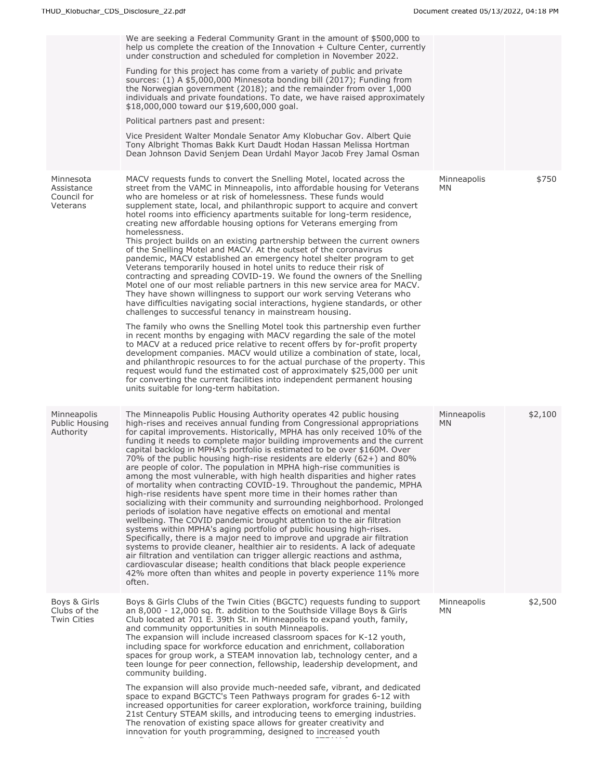|                                                    | We are seeking a Federal Community Grant in the amount of \$500,000 to<br>help us complete the creation of the Innovation $+$ Culture Center, currently<br>under construction and scheduled for completion in November 2022.<br>Funding for this project has come from a variety of public and private<br>sources: (1) A \$5,000,000 Minnesota bonding bill (2017); Funding from<br>the Norwegian government (2018); and the remainder from over 1,000<br>individuals and private foundations. To date, we have raised approximately<br>\$18,000,000 toward our \$19,600,000 goal.<br>Political partners past and present:<br>Vice President Walter Mondale Senator Amy Klobuchar Gov. Albert Quie<br>Tony Albright Thomas Bakk Kurt Daudt Hodan Hassan Melissa Hortman<br>Dean Johnson David Senjem Dean Urdahl Mayor Jacob Frey Jamal Osman                                                                                                                                                                                                                                                                                                                                                                                                                                                                                                                                                                                                                                                                                                                                                                                                                                                                                                          |                    |         |
|----------------------------------------------------|--------------------------------------------------------------------------------------------------------------------------------------------------------------------------------------------------------------------------------------------------------------------------------------------------------------------------------------------------------------------------------------------------------------------------------------------------------------------------------------------------------------------------------------------------------------------------------------------------------------------------------------------------------------------------------------------------------------------------------------------------------------------------------------------------------------------------------------------------------------------------------------------------------------------------------------------------------------------------------------------------------------------------------------------------------------------------------------------------------------------------------------------------------------------------------------------------------------------------------------------------------------------------------------------------------------------------------------------------------------------------------------------------------------------------------------------------------------------------------------------------------------------------------------------------------------------------------------------------------------------------------------------------------------------------------------------------------------------------------------------------------|--------------------|---------|
| Minnesota<br>Assistance<br>Council for<br>Veterans | MACV requests funds to convert the Snelling Motel, located across the<br>street from the VAMC in Minneapolis, into affordable housing for Veterans<br>who are homeless or at risk of homelessness. These funds would<br>supplement state, local, and philanthropic support to acquire and convert<br>hotel rooms into efficiency apartments suitable for long-term residence,<br>creating new affordable housing options for Veterans emerging from<br>homelessness.<br>This project builds on an existing partnership between the current owners<br>of the Snelling Motel and MACV. At the outset of the coronavirus<br>pandemic, MACV established an emergency hotel shelter program to get<br>Veterans temporarily housed in hotel units to reduce their risk of<br>contracting and spreading COVID-19. We found the owners of the Snelling<br>Motel one of our most reliable partners in this new service area for MACV.<br>They have shown willingness to support our work serving Veterans who<br>have difficulties navigating social interactions, hygiene standards, or other<br>challenges to successful tenancy in mainstream housing.<br>The family who owns the Snelling Motel took this partnership even further<br>in recent months by engaging with MACV regarding the sale of the motel<br>to MACV at a reduced price relative to recent offers by for-profit property<br>development companies. MACV would utilize a combination of state, local,<br>and philanthropic resources to for the actual purchase of the property. This<br>request would fund the estimated cost of approximately \$25,000 per unit<br>for converting the current facilities into independent permanent housing<br>units suitable for long-term habitation. | Minneapolis<br>MN. | \$750   |
| Minneapolis<br>Public Housing<br>Authority         | The Minneapolis Public Housing Authority operates 42 public housing<br>high-rises and receives annual funding from Congressional appropriations<br>for capital improvements. Historically, MPHA has only received 10% of the<br>funding it needs to complete major building improvements and the current<br>capital backlog in MPHA's portfolio is estimated to be over \$160M. Over<br>70% of the public housing high-rise residents are elderly $(62+)$ and 80%<br>are people of color. The population in MPHA high-rise communities is<br>among the most vulnerable, with high health disparities and higher rates<br>of mortality when contracting COVID-19. Throughout the pandemic, MPHA<br>high-rise residents have spent more time in their homes rather than<br>socializing with their community and surrounding neighborhood. Prolonged<br>periods of isolation have negative effects on emotional and mental<br>wellbeing. The COVID pandemic brought attention to the air filtration<br>systems within MPHA's aging portfolio of public housing high-rises.<br>Specifically, there is a major need to improve and upgrade air filtration<br>systems to provide cleaner, healthier air to residents. A lack of adequate<br>air filtration and ventilation can trigger allergic reactions and asthma,<br>cardiovascular disease; health conditions that black people experience<br>42% more often than whites and people in poverty experience 11% more<br>often.                                                                                                                                                                                                                                                                            | Minneapolis<br>MN. | \$2,100 |
| Boys & Girls<br>Clubs of the<br><b>Twin Cities</b> | Boys & Girls Clubs of the Twin Cities (BGCTC) requests funding to support<br>an 8,000 - 12,000 sq. ft. addition to the Southside Village Boys & Girls<br>Club located at 701 E. 39th St. in Minneapolis to expand youth, family,<br>and community opportunities in south Minneapolis.<br>The expansion will include increased classroom spaces for K-12 youth,<br>including space for workforce education and enrichment, collaboration<br>spaces for group work, a STEAM innovation lab, technology center, and a<br>teen lounge for peer connection, fellowship, leadership development, and<br>community building.<br>The expansion will also provide much-needed safe, vibrant, and dedicated<br>space to expand BGCTC's Teen Pathways program for grades 6-12 with<br>increased opportunities for career exploration, workforce training, building<br>21st Century STEAM skills, and introducing teens to emerging industries.<br>The renovation of existing space allows for greater creativity and<br>innovation for youth programming, designed to increased youth                                                                                                                                                                                                                                                                                                                                                                                                                                                                                                                                                                                                                                                                             | Minneapolis<br>MN. | \$2,500 |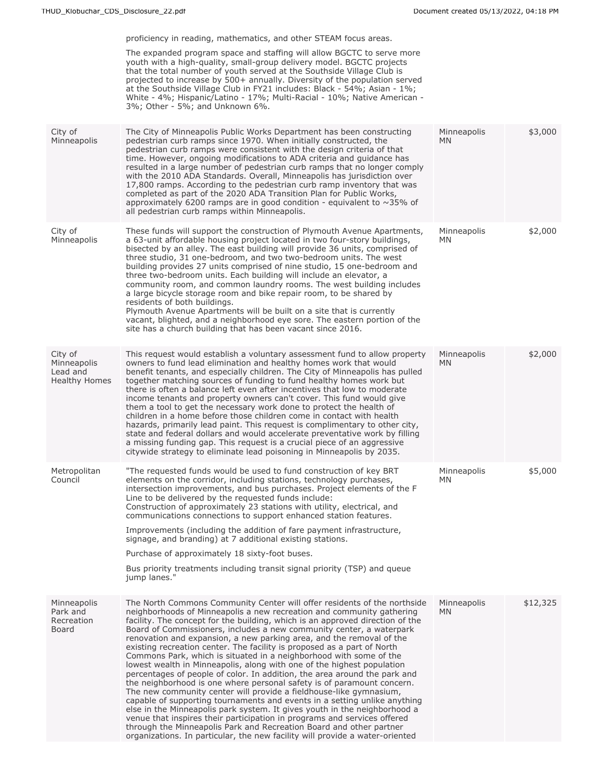|                                                            | proficiency in reading, mathematics, and other STEAM focus areas.                                                                                                                                                                                                                                                                                                                                                                                                                                                                                                                                                                                                                                                                                                                                                                                                                                                                                                                                                                                                                                                                                                                                                                       |                          |          |
|------------------------------------------------------------|-----------------------------------------------------------------------------------------------------------------------------------------------------------------------------------------------------------------------------------------------------------------------------------------------------------------------------------------------------------------------------------------------------------------------------------------------------------------------------------------------------------------------------------------------------------------------------------------------------------------------------------------------------------------------------------------------------------------------------------------------------------------------------------------------------------------------------------------------------------------------------------------------------------------------------------------------------------------------------------------------------------------------------------------------------------------------------------------------------------------------------------------------------------------------------------------------------------------------------------------|--------------------------|----------|
|                                                            | The expanded program space and staffing will allow BGCTC to serve more<br>youth with a high-quality, small-group delivery model. BGCTC projects<br>that the total number of youth served at the Southside Village Club is<br>projected to increase by 500+ annually. Diversity of the population served<br>at the Southside Village Club in FY21 includes: Black - 54%; Asian - 1%;<br>White - 4%; Hispanic/Latino - 17%; Multi-Racial - 10%; Native American -<br>3%; Other - 5%; and Unknown 6%.                                                                                                                                                                                                                                                                                                                                                                                                                                                                                                                                                                                                                                                                                                                                      |                          |          |
| City of<br>Minneapolis                                     | The City of Minneapolis Public Works Department has been constructing<br>pedestrian curb ramps since 1970. When initially constructed, the<br>pedestrian curb ramps were consistent with the design criteria of that<br>time. However, ongoing modifications to ADA criteria and guidance has<br>resulted in a large number of pedestrian curb ramps that no longer comply<br>with the 2010 ADA Standards. Overall, Minneapolis has jurisdiction over<br>17,800 ramps. According to the pedestrian curb ramp inventory that was<br>completed as part of the 2020 ADA Transition Plan for Public Works,<br>approximately 6200 ramps are in good condition - equivalent to $\sim$ 35% of<br>all pedestrian curb ramps within Minneapolis.                                                                                                                                                                                                                                                                                                                                                                                                                                                                                                 | Minneapolis<br>MN.       | \$3,000  |
| City of<br>Minneapolis                                     | These funds will support the construction of Plymouth Avenue Apartments,<br>a 63-unit affordable housing project located in two four-story buildings,<br>bisected by an alley. The east building will provide 36 units, comprised of<br>three studio, 31 one-bedroom, and two two-bedroom units. The west<br>building provides 27 units comprised of nine studio, 15 one-bedroom and<br>three two-bedroom units. Each building will include an elevator, a<br>community room, and common laundry rooms. The west building includes<br>a large bicycle storage room and bike repair room, to be shared by<br>residents of both buildings.<br>Plymouth Avenue Apartments will be built on a site that is currently<br>vacant, blighted, and a neighborhood eye sore. The eastern portion of the<br>site has a church building that has been vacant since 2016.                                                                                                                                                                                                                                                                                                                                                                            | Minneapolis<br>MN        | \$2,000  |
| City of<br>Minneapolis<br>Lead and<br><b>Healthy Homes</b> | This request would establish a voluntary assessment fund to allow property<br>owners to fund lead elimination and healthy homes work that would<br>benefit tenants, and especially children. The City of Minneapolis has pulled<br>together matching sources of funding to fund healthy homes work but<br>there is often a balance left even after incentives that low to moderate<br>income tenants and property owners can't cover. This fund would give<br>them a tool to get the necessary work done to protect the health of<br>children in a home before those children come in contact with health<br>hazards, primarily lead paint. This request is complimentary to other city,<br>state and federal dollars and would accelerate preventative work by filling<br>a missing funding gap. This request is a crucial piece of an aggressive<br>citywide strategy to eliminate lead poisoning in Minneapolis by 2035.                                                                                                                                                                                                                                                                                                             | Minneapolis<br>MN.       | \$2,000  |
| Metropolitan<br>Council                                    | "The requested funds would be used to fund construction of key BRT<br>elements on the corridor, including stations, technology purchases,<br>intersection improvements, and bus purchases. Project elements of the F<br>Line to be delivered by the requested funds include:<br>Construction of approximately 23 stations with utility, electrical, and<br>communications connections to support enhanced station features.<br>Improvements (including the addition of fare payment infrastructure,<br>signage, and branding) at 7 additional existing stations.<br>Purchase of approximately 18 sixty-foot buses.<br>Bus priority treatments including transit signal priority (TSP) and queue<br>jump lanes."                                                                                                                                                                                                                                                                                                                                                                                                                                                                                                                         | Minneapolis<br>ΜN        | \$5,000  |
| Minneapolis<br>Park and<br>Recreation<br>Board             | The North Commons Community Center will offer residents of the northside<br>neighborhoods of Minneapolis a new recreation and community gathering<br>facility. The concept for the building, which is an approved direction of the<br>Board of Commissioners, includes a new community center, a waterpark<br>renovation and expansion, a new parking area, and the removal of the<br>existing recreation center. The facility is proposed as a part of North<br>Commons Park, which is situated in a neighborhood with some of the<br>lowest wealth in Minneapolis, along with one of the highest population<br>percentages of people of color. In addition, the area around the park and<br>the neighborhood is one where personal safety is of paramount concern.<br>The new community center will provide a fieldhouse-like gymnasium,<br>capable of supporting tournaments and events in a setting unlike anything<br>else in the Minneapolis park system. It gives youth in the neighborhood a<br>venue that inspires their participation in programs and services offered<br>through the Minneapolis Park and Recreation Board and other partner<br>organizations. In particular, the new facility will provide a water-oriented | Minneapolis<br><b>MN</b> | \$12,325 |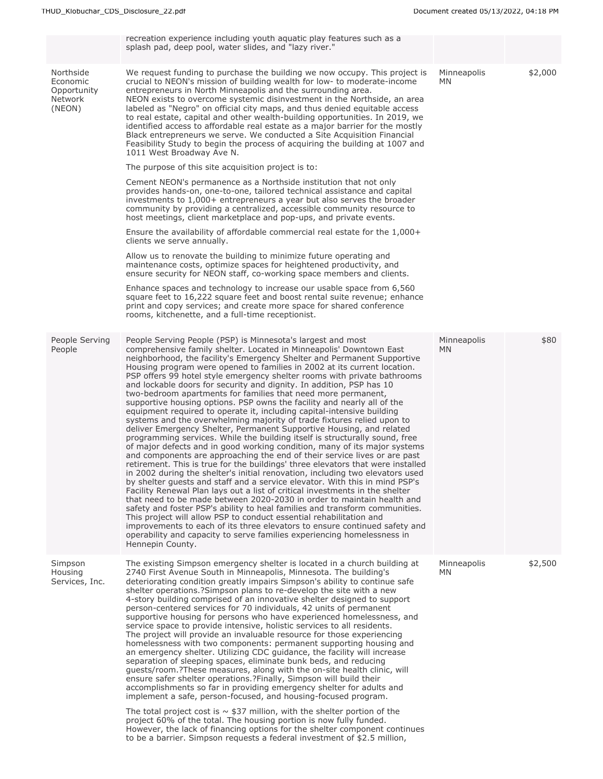|                                                           | recreation experience including youth aquatic play features such as a<br>splash pad, deep pool, water slides, and "lazy river."                                                                                                                                                                                                                                                                                                                                                                                                                                                                                                                                                                                                                                                                                                                                                                                                                                                                                                                                                                                                                                                                                                                                                                                                                                                                                                                                                                                                                                                                                                                                                                                                                                                                                |                    |         |
|-----------------------------------------------------------|----------------------------------------------------------------------------------------------------------------------------------------------------------------------------------------------------------------------------------------------------------------------------------------------------------------------------------------------------------------------------------------------------------------------------------------------------------------------------------------------------------------------------------------------------------------------------------------------------------------------------------------------------------------------------------------------------------------------------------------------------------------------------------------------------------------------------------------------------------------------------------------------------------------------------------------------------------------------------------------------------------------------------------------------------------------------------------------------------------------------------------------------------------------------------------------------------------------------------------------------------------------------------------------------------------------------------------------------------------------------------------------------------------------------------------------------------------------------------------------------------------------------------------------------------------------------------------------------------------------------------------------------------------------------------------------------------------------------------------------------------------------------------------------------------------------|--------------------|---------|
| Northside<br>Economic<br>Opportunity<br>Network<br>(NEON) | We request funding to purchase the building we now occupy. This project is<br>crucial to NEON's mission of building wealth for low- to moderate-income<br>entrepreneurs in North Minneapolis and the surrounding area.<br>NEON exists to overcome systemic disinvestment in the Northside, an area<br>labeled as "Negro" on official city maps, and thus denied equitable access<br>to real estate, capital and other wealth-building opportunities. In 2019, we<br>identified access to affordable real estate as a major barrier for the mostly<br>Black entrepreneurs we serve. We conducted a Site Acquisition Financial<br>Feasibility Study to begin the process of acquiring the building at 1007 and<br>1011 West Broadway Ave N.                                                                                                                                                                                                                                                                                                                                                                                                                                                                                                                                                                                                                                                                                                                                                                                                                                                                                                                                                                                                                                                                      | Minneapolis<br>MN  | \$2,000 |
|                                                           | The purpose of this site acquisition project is to:                                                                                                                                                                                                                                                                                                                                                                                                                                                                                                                                                                                                                                                                                                                                                                                                                                                                                                                                                                                                                                                                                                                                                                                                                                                                                                                                                                                                                                                                                                                                                                                                                                                                                                                                                            |                    |         |
|                                                           | Cement NEON's permanence as a Northside institution that not only<br>provides hands-on, one-to-one, tailored technical assistance and capital<br>investments to 1,000+ entrepreneurs a year but also serves the broader<br>community by providing a centralized, accessible community resource to<br>host meetings, client marketplace and pop-ups, and private events.                                                                                                                                                                                                                                                                                                                                                                                                                                                                                                                                                                                                                                                                                                                                                                                                                                                                                                                                                                                                                                                                                                                                                                                                                                                                                                                                                                                                                                        |                    |         |
|                                                           | Ensure the availability of affordable commercial real estate for the 1,000+<br>clients we serve annually.                                                                                                                                                                                                                                                                                                                                                                                                                                                                                                                                                                                                                                                                                                                                                                                                                                                                                                                                                                                                                                                                                                                                                                                                                                                                                                                                                                                                                                                                                                                                                                                                                                                                                                      |                    |         |
|                                                           | Allow us to renovate the building to minimize future operating and<br>maintenance costs, optimize spaces for heightened productivity, and<br>ensure security for NEON staff, co-working space members and clients.                                                                                                                                                                                                                                                                                                                                                                                                                                                                                                                                                                                                                                                                                                                                                                                                                                                                                                                                                                                                                                                                                                                                                                                                                                                                                                                                                                                                                                                                                                                                                                                             |                    |         |
|                                                           | Enhance spaces and technology to increase our usable space from 6,560<br>square feet to 16,222 square feet and boost rental suite revenue; enhance<br>print and copy services; and create more space for shared conference<br>rooms, kitchenette, and a full-time receptionist.                                                                                                                                                                                                                                                                                                                                                                                                                                                                                                                                                                                                                                                                                                                                                                                                                                                                                                                                                                                                                                                                                                                                                                                                                                                                                                                                                                                                                                                                                                                                |                    |         |
| People Serving<br>People                                  | People Serving People (PSP) is Minnesota's largest and most<br>comprehensive family shelter. Located in Minneapolis' Downtown East<br>neighborhood, the facility's Emergency Shelter and Permanent Supportive<br>Housing program were opened to families in 2002 at its current location.<br>PSP offers 99 hotel style emergency shelter rooms with private bathrooms<br>and lockable doors for security and dignity. In addition, PSP has 10<br>two-bedroom apartments for families that need more permanent,<br>supportive housing options. PSP owns the facility and nearly all of the<br>equipment required to operate it, including capital-intensive building<br>systems and the overwhelming majority of trade fixtures relied upon to<br>deliver Emergency Shelter, Permanent Supportive Housing, and related<br>programming services. While the building itself is structurally sound, free<br>of major defects and in good working condition, many of its major systems<br>and components are approaching the end of their service lives or are past<br>retirement. This is true for the buildings' three elevators that were installed<br>in 2002 during the shelter's initial renovation, including two elevators used<br>by shelter guests and staff and a service elevator. With this in mind PSP's<br>Facility Renewal Plan lays out a list of critical investments in the shelter<br>that need to be made between 2020-2030 in order to maintain health and<br>safety and foster PSP's ability to heal families and transform communities.<br>This project will allow PSP to conduct essential rehabilitation and<br>improvements to each of its three elevators to ensure continued safety and<br>operability and capacity to serve families experiencing homelessness in<br>Hennepin County. | Minneapolis<br>MN. | \$80    |
| Simpson<br>Housing<br>Services, Inc.                      | The existing Simpson emergency shelter is located in a church building at<br>2740 First Avenue South in Minneapolis, Minnesota. The building's<br>deteriorating condition greatly impairs Simpson's ability to continue safe<br>shelter operations.?Simpson plans to re-develop the site with a new<br>4-story building comprised of an innovative shelter designed to support<br>person-centered services for 70 individuals, 42 units of permanent<br>supportive housing for persons who have experienced homelessness, and<br>service space to provide intensive, holistic services to all residents.<br>The project will provide an invaluable resource for those experiencing<br>homelessness with two components: permanent supporting housing and<br>an emergency shelter. Utilizing CDC guidance, the facility will increase<br>separation of sleeping spaces, eliminate bunk beds, and reducing<br>quests/room.?These measures, along with the on-site health clinic, will<br>ensure safer shelter operations.?Finally, Simpson will build their<br>accomplishments so far in providing emergency shelter for adults and<br>implement a safe, person-focused, and housing-focused program.<br>The total project cost is $\sim$ \$37 million, with the shelter portion of the                                                                                                                                                                                                                                                                                                                                                                                                                                                                                                                          | Minneapolis<br>MN. | \$2,500 |
|                                                           | project 60% of the total. The housing portion is now fully funded.<br>However, the lack of financing options for the shelter component continues<br>to be a barrier. Simpson requests a federal investment of \$2.5 million,                                                                                                                                                                                                                                                                                                                                                                                                                                                                                                                                                                                                                                                                                                                                                                                                                                                                                                                                                                                                                                                                                                                                                                                                                                                                                                                                                                                                                                                                                                                                                                                   |                    |         |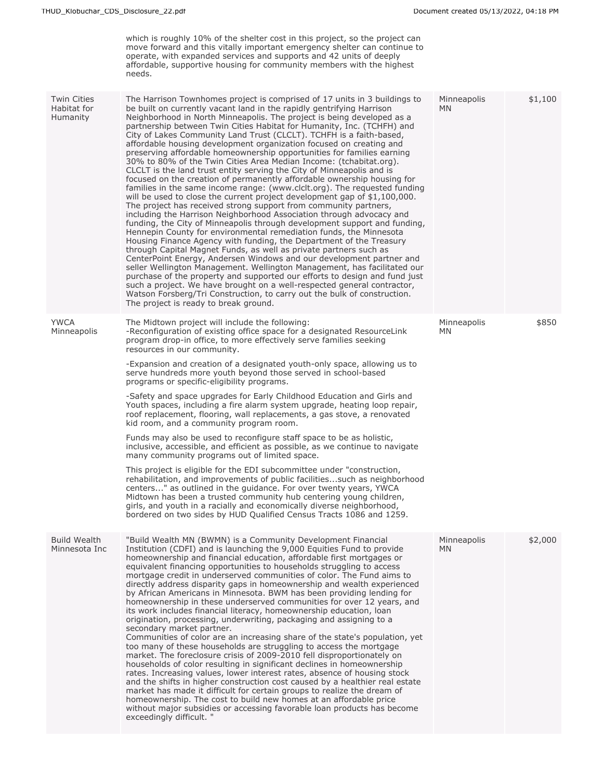which is roughly 10% of the shelter cost in this project, so the project can move forward and this vitally important emergency shelter can continue to operate, with expanded services and supports and 42 units of deeply affordable, supportive housing for community members with the highest needs.

| The Harrison Townhomes project is comprised of 17 units in 3 buildings to<br>Twin Cities<br>Minneapolis<br>\$1,100<br>Habitat for<br>be built on currently vacant land in the rapidly gentrifying Harrison<br><b>MN</b><br>Neighborhood in North Minneapolis. The project is being developed as a<br><b>Humanity</b><br>partnership between Twin Cities Habitat for Humanity, Inc. (TCHFH) and<br>City of Lakes Community Land Trust (CLCLT). TCHFH is a faith-based,<br>affordable housing development organization focused on creating and<br>preserving affordable homeownership opportunities for families earning<br>30% to 80% of the Twin Cities Area Median Income: (tchabitat.org).<br>CLCLT is the land trust entity serving the City of Minneapolis and is<br>focused on the creation of permanently affordable ownership housing for<br>families in the same income range: (www.clclt.org). The requested funding<br>will be used to close the current project development gap of $$1,100,000$ .<br>The project has received strong support from community partners,<br>including the Harrison Neighborhood Association through advocacy and<br>funding, the City of Minneapolis through development support and funding,<br>Hennepin County for environmental remediation funds, the Minnesota<br>Housing Finance Agency with funding, the Department of the Treasury<br>through Capital Magnet Funds, as well as private partners such as<br>CenterPoint Energy, Andersen Windows and our development partner and<br>seller Wellington Management. Wellington Management, has facilitated our<br>purchase of the property and supported our efforts to design and fund just<br>such a project. We have brought on a well-respected general contractor,<br>Watson Forsberg/Tri Construction, to carry out the bulk of construction.<br>The project is ready to break ground.<br>\$850<br><b>YWCA</b><br>The Midtown project will include the following:<br>Minneapolis<br>-Reconfiguration of existing office space for a designated ResourceLink<br>Minneapolis<br>ΜN<br>program drop-in office, to more effectively serve families seeking<br>resources in our community.<br>-Expansion and creation of a designated youth-only space, allowing us to<br>serve hundreds more youth beyond those served in school-based<br>programs or specific-eligibility programs.<br>-Safety and space upgrades for Early Childhood Education and Girls and<br>Youth spaces, including a fire alarm system upgrade, heating loop repair,<br>roof replacement, flooring, wall replacements, a gas stove, a renovated<br>kid room, and a community program room.<br>Funds may also be used to reconfigure staff space to be as holistic,<br>inclusive, accessible, and efficient as possible, as we continue to navigate<br>many community programs out of limited space.<br>This project is eligible for the EDI subcommittee under "construction,<br>rehabilitation, and improvements of public facilitiessuch as neighborhood<br>centers" as outlined in the guidance. For over twenty years, YWCA<br>Midtown has been a trusted community hub centering young children,<br>girls, and youth in a racially and economically diverse neighborhood,<br>bordered on two sides by HUD Qualified Census Tracts 1086 and 1259.<br><b>Build Wealth</b><br>"Build Wealth MN (BWMN) is a Community Development Financial<br>\$2,000<br>Minneapolis<br>Minnesota Inc<br>Institution (CDFI) and is launching the 9,000 Equities Fund to provide<br><b>MN</b><br>homeownership and financial education, affordable first mortgages or<br>equivalent financing opportunities to households struggling to access<br>mortgage credit in underserved communities of color. The Fund aims to<br>directly address disparity gaps in homeownership and wealth experienced<br>by African Americans in Minnesota. BWM has been providing lending for<br>homeownership in these underserved communities for over 12 years, and<br>its work includes financial literacy, homeownership education, loan<br>origination, processing, underwriting, packaging and assigning to a<br>secondary market partner.<br>Communities of color are an increasing share of the state's population, yet<br>too many of these households are struggling to access the mortgage<br>market. The foreclosure crisis of 2009-2010 fell disproportionately on<br>households of color resulting in significant declines in homeownership<br>rates. Increasing values, lower interest rates, absence of housing stock<br>and the shifts in higher construction cost caused by a healthier real estate<br>market has made it difficult for certain groups to realize the dream of<br>homeownership. The cost to build new homes at an affordable price<br>without major subsidies or accessing favorable loan products has become<br>exceedingly difficult. " |  |  |
|--------------------------------------------------------------------------------------------------------------------------------------------------------------------------------------------------------------------------------------------------------------------------------------------------------------------------------------------------------------------------------------------------------------------------------------------------------------------------------------------------------------------------------------------------------------------------------------------------------------------------------------------------------------------------------------------------------------------------------------------------------------------------------------------------------------------------------------------------------------------------------------------------------------------------------------------------------------------------------------------------------------------------------------------------------------------------------------------------------------------------------------------------------------------------------------------------------------------------------------------------------------------------------------------------------------------------------------------------------------------------------------------------------------------------------------------------------------------------------------------------------------------------------------------------------------------------------------------------------------------------------------------------------------------------------------------------------------------------------------------------------------------------------------------------------------------------------------------------------------------------------------------------------------------------------------------------------------------------------------------------------------------------------------------------------------------------------------------------------------------------------------------------------------------------------------------------------------------------------------------------------------------------------------------------------------------------------------------------------------------------------------------------------------------------------------------------------------------------------------------------------------------------------------------------------------------------------------------------------------------------------------------------------------------------------------------------------------------------------------------------------------------------------------------------------------------------------------------------------------------------------------------------------------------------------------------------------------------------------------------------------------------------------------------------------------------------------------------------------------------------------------------------------------------------------------------------------------------------------------------------------------------------------------------------------------------------------------------------------------------------------------------------------------------------------------------------------------------------------------------------------------------------------------------------------------------------------------------------------------------------------------------------------------------------------------------------------------------------------------------------------------------------------------------------------------------------------------------------------------------------------------------------------------------------------------------------------------------------------------------------------------------------------------------------------------------------------------------------------------------------------------------------------------------------------------------------------------------------------------------------------------------------------------------------------------------------------------------------------------------------------------------------------------------------------------------------------------------------------------------------------------------------------------------------------------------------------------------------------------------------------------------------------------------------------------------------------------------------------------------------------------------------------------------------------------------------------------------------------------------------------------------------------------------|--|--|
|                                                                                                                                                                                                                                                                                                                                                                                                                                                                                                                                                                                                                                                                                                                                                                                                                                                                                                                                                                                                                                                                                                                                                                                                                                                                                                                                                                                                                                                                                                                                                                                                                                                                                                                                                                                                                                                                                                                                                                                                                                                                                                                                                                                                                                                                                                                                                                                                                                                                                                                                                                                                                                                                                                                                                                                                                                                                                                                                                                                                                                                                                                                                                                                                                                                                                                                                                                                                                                                                                                                                                                                                                                                                                                                                                                                                                                                                                                                                                                                                                                                                                                                                                                                                                                                                                                                                                                                                                                                                                                                                                                                                                                                                                                                                                                                                                                                                                                                    |  |  |
|                                                                                                                                                                                                                                                                                                                                                                                                                                                                                                                                                                                                                                                                                                                                                                                                                                                                                                                                                                                                                                                                                                                                                                                                                                                                                                                                                                                                                                                                                                                                                                                                                                                                                                                                                                                                                                                                                                                                                                                                                                                                                                                                                                                                                                                                                                                                                                                                                                                                                                                                                                                                                                                                                                                                                                                                                                                                                                                                                                                                                                                                                                                                                                                                                                                                                                                                                                                                                                                                                                                                                                                                                                                                                                                                                                                                                                                                                                                                                                                                                                                                                                                                                                                                                                                                                                                                                                                                                                                                                                                                                                                                                                                                                                                                                                                                                                                                                                                    |  |  |
|                                                                                                                                                                                                                                                                                                                                                                                                                                                                                                                                                                                                                                                                                                                                                                                                                                                                                                                                                                                                                                                                                                                                                                                                                                                                                                                                                                                                                                                                                                                                                                                                                                                                                                                                                                                                                                                                                                                                                                                                                                                                                                                                                                                                                                                                                                                                                                                                                                                                                                                                                                                                                                                                                                                                                                                                                                                                                                                                                                                                                                                                                                                                                                                                                                                                                                                                                                                                                                                                                                                                                                                                                                                                                                                                                                                                                                                                                                                                                                                                                                                                                                                                                                                                                                                                                                                                                                                                                                                                                                                                                                                                                                                                                                                                                                                                                                                                                                                    |  |  |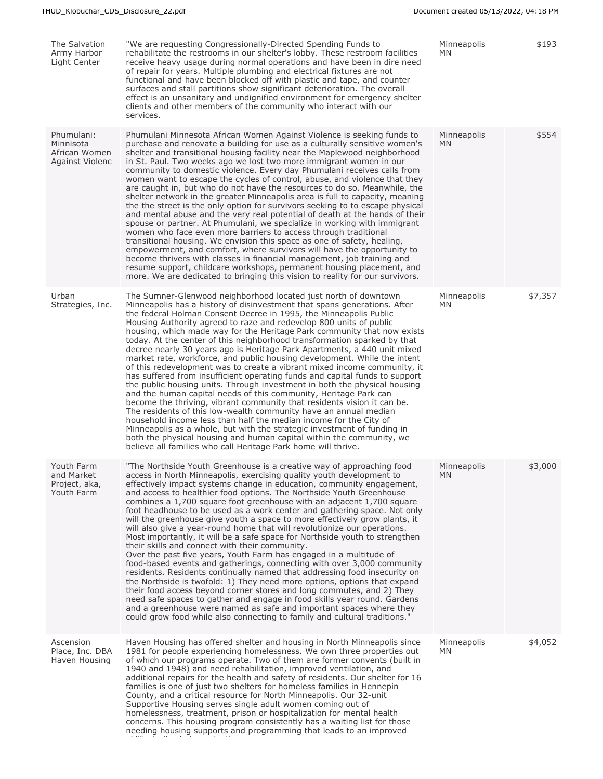| The Salvation<br>Army Harbor<br>Light Center                | "We are requesting Congressionally-Directed Spending Funds to<br>rehabilitate the restrooms in our shelter's lobby. These restroom facilities<br>receive heavy usage during normal operations and have been in dire need<br>of repair for years. Multiple plumbing and electrical fixtures are not<br>functional and have been blocked off with plastic and tape, and counter<br>surfaces and stall partitions show significant deterioration. The overall<br>effect is an unsanitary and undignified environment for emergency shelter<br>clients and other members of the community who interact with our<br>services.                                                                                                                                                                                                                                                                                                                                                                                                                                                                                                                                                                                                                                                                                                                                         | Minneapolis<br>MN   | \$193   |
|-------------------------------------------------------------|------------------------------------------------------------------------------------------------------------------------------------------------------------------------------------------------------------------------------------------------------------------------------------------------------------------------------------------------------------------------------------------------------------------------------------------------------------------------------------------------------------------------------------------------------------------------------------------------------------------------------------------------------------------------------------------------------------------------------------------------------------------------------------------------------------------------------------------------------------------------------------------------------------------------------------------------------------------------------------------------------------------------------------------------------------------------------------------------------------------------------------------------------------------------------------------------------------------------------------------------------------------------------------------------------------------------------------------------------------------|---------------------|---------|
| Phumulani:<br>Minnisota<br>African Women<br>Against Violenc | Phumulani Minnesota African Women Against Violence is seeking funds to<br>purchase and renovate a building for use as a culturally sensitive women's<br>shelter and transitional housing facility near the Maplewood neighborhood<br>in St. Paul. Two weeks ago we lost two more immigrant women in our<br>community to domestic violence. Every day Phumulani receives calls from<br>women want to escape the cycles of control, abuse, and violence that they<br>are caught in, but who do not have the resources to do so. Meanwhile, the<br>shelter network in the greater Minneapolis area is full to capacity, meaning<br>the the street is the only option for survivors seeking to to escape physical<br>and mental abuse and the very real potential of death at the hands of their<br>spouse or partner. At Phumulani, we specialize in working with immigrant<br>women who face even more barriers to access through traditional<br>transitional housing. We envision this space as one of safety, healing,<br>empowerment, and comfort, where survivors will have the opportunity to<br>become thrivers with classes in financial management, job training and<br>resume support, childcare workshops, permanent housing placement, and<br>more. We are dedicated to bringing this vision to reality for our survivors.                              | Minneapolis<br>MN.  | \$554   |
| Urban<br>Strategies, Inc.                                   | The Sumner-Glenwood neighborhood located just north of downtown<br>Minneapolis has a history of disinvestment that spans generations. After<br>the federal Holman Consent Decree in 1995, the Minneapolis Public<br>Housing Authority agreed to raze and redevelop 800 units of public<br>housing, which made way for the Heritage Park community that now exists<br>today. At the center of this neighborhood transformation sparked by that<br>decree nearly 30 years ago is Heritage Park Apartments, a 440 unit mixed<br>market rate, workforce, and public housing development. While the intent<br>of this redevelopment was to create a vibrant mixed income community, it<br>has suffered from insufficient operating funds and capital funds to support<br>the public housing units. Through investment in both the physical housing<br>and the human capital needs of this community, Heritage Park can<br>become the thriving, vibrant community that residents vision it can be.<br>The residents of this low-wealth community have an annual median<br>household income less than half the median income for the City of<br>Minneapolis as a whole, but with the strategic investment of funding in<br>both the physical housing and human capital within the community, we<br>believe all families who call Heritage Park home will thrive.        | Minneapolis<br>MN   | \$7,357 |
| Youth Farm<br>and Market<br>Project, aka,<br>Youth Farm     | "The Northside Youth Greenhouse is a creative way of approaching food<br>access in North Minneapolis, exercising quality youth development to<br>effectively impact systems change in education, community engagement,<br>and access to healthier food options. The Northside Youth Greenhouse<br>combines a 1,700 square foot greenhouse with an adjacent 1,700 square<br>foot headhouse to be used as a work center and gathering space. Not only<br>will the greenhouse give youth a space to more effectively grow plants, it<br>will also give a year-round home that will revolutionize our operations.<br>Most importantly, it will be a safe space for Northside youth to strengthen<br>their skills and connect with their community.<br>Over the past five years, Youth Farm has engaged in a multitude of<br>food-based events and gatherings, connecting with over 3,000 community<br>residents. Residents continually named that addressing food insecurity on<br>the Northside is twofold: 1) They need more options, options that expand<br>their food access beyond corner stores and long commutes, and 2) They<br>need safe spaces to gather and engage in food skills year round. Gardens<br>and a greenhouse were named as safe and important spaces where they<br>could grow food while also connecting to family and cultural traditions." | Minneapolis<br>MN - | \$3,000 |
| Ascension<br>Place, Inc. DBA<br>Haven Housing               | Haven Housing has offered shelter and housing in North Minneapolis since<br>1981 for people experiencing homelessness. We own three properties out<br>of which our programs operate. Two of them are former convents (built in<br>1940 and 1948) and need rehabilitation, improved ventilation, and<br>additional repairs for the health and safety of residents. Our shelter for 16<br>families is one of just two shelters for homeless families in Hennepin<br>County, and a critical resource for North Minneapolis. Our 32-unit<br>Supportive Housing serves single adult women coming out of<br>homelessness, treatment, prison or hospitalization for mental health<br>concerns. This housing program consistently has a waiting list for those<br>needing housing supports and programming that leads to an improved                                                                                                                                                                                                                                                                                                                                                                                                                                                                                                                                     | Minneapolis<br>MN.  | \$4,052 |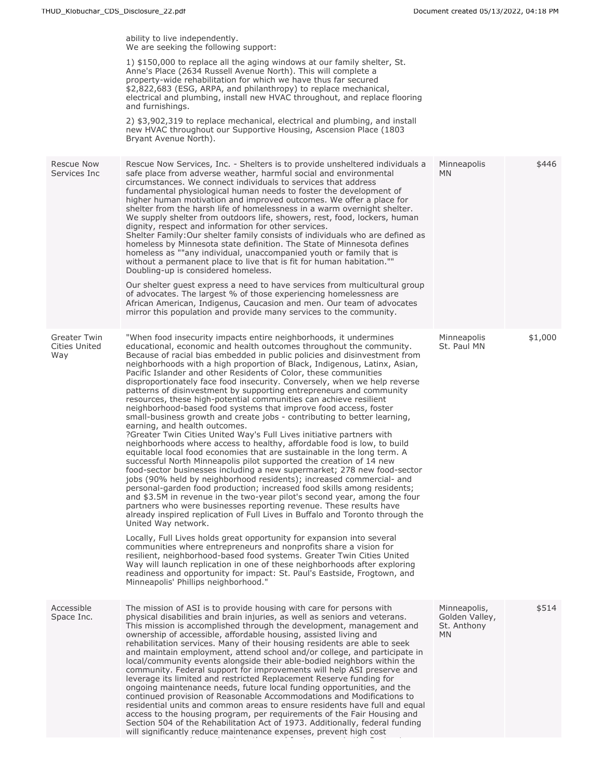|                                      | ability to live independently.<br>We are seeking the following support:                                                                                                                                                                                                                                                                                                                                                                                                                                                                                                                                                                                                                                                                                                                                                                                                                                                                                                                                                                                                                                                                                                                                                                                                                                                                                                                                                                                                                                                                                                                                                                                                                                                                                                                                                                                                                                                                                                                                   |                                                            |         |
|--------------------------------------|-----------------------------------------------------------------------------------------------------------------------------------------------------------------------------------------------------------------------------------------------------------------------------------------------------------------------------------------------------------------------------------------------------------------------------------------------------------------------------------------------------------------------------------------------------------------------------------------------------------------------------------------------------------------------------------------------------------------------------------------------------------------------------------------------------------------------------------------------------------------------------------------------------------------------------------------------------------------------------------------------------------------------------------------------------------------------------------------------------------------------------------------------------------------------------------------------------------------------------------------------------------------------------------------------------------------------------------------------------------------------------------------------------------------------------------------------------------------------------------------------------------------------------------------------------------------------------------------------------------------------------------------------------------------------------------------------------------------------------------------------------------------------------------------------------------------------------------------------------------------------------------------------------------------------------------------------------------------------------------------------------------|------------------------------------------------------------|---------|
|                                      | 1) \$150,000 to replace all the aging windows at our family shelter, St.<br>Anne's Place (2634 Russell Avenue North). This will complete a<br>property-wide rehabilitation for which we have thus far secured<br>\$2,822,683 (ESG, ARPA, and philanthropy) to replace mechanical,<br>electrical and plumbing, install new HVAC throughout, and replace flooring<br>and furnishings.                                                                                                                                                                                                                                                                                                                                                                                                                                                                                                                                                                                                                                                                                                                                                                                                                                                                                                                                                                                                                                                                                                                                                                                                                                                                                                                                                                                                                                                                                                                                                                                                                       |                                                            |         |
|                                      | 2) \$3,902,319 to replace mechanical, electrical and plumbing, and install<br>new HVAC throughout our Supportive Housing, Ascension Place (1803<br>Bryant Avenue North).                                                                                                                                                                                                                                                                                                                                                                                                                                                                                                                                                                                                                                                                                                                                                                                                                                                                                                                                                                                                                                                                                                                                                                                                                                                                                                                                                                                                                                                                                                                                                                                                                                                                                                                                                                                                                                  |                                                            |         |
| <b>Rescue Now</b><br>Services Inc    | Rescue Now Services, Inc. - Shelters is to provide unsheltered individuals a<br>safe place from adverse weather, harmful social and environmental<br>circumstances. We connect individuals to services that address<br>fundamental physiological human needs to foster the development of<br>higher human motivation and improved outcomes. We offer a place for<br>shelter from the harsh life of homelessness in a warm overnight shelter.<br>We supply shelter from outdoors life, showers, rest, food, lockers, human<br>dignity, respect and information for other services.<br>Shelter Family: Our shelter family consists of individuals who are defined as<br>homeless by Minnesota state definition. The State of Minnesota defines<br>homeless as ""any individual, unaccompanied youth or family that is<br>without a permanent place to live that is fit for human habitation.""<br>Doubling-up is considered homeless.<br>Our shelter quest express a need to have services from multicultural group<br>of advocates. The largest % of those experiencing homelessness are<br>African American, Indigenus, Caucasion and men. Our team of advocates<br>mirror this population and provide many services to the community.                                                                                                                                                                                                                                                                                                                                                                                                                                                                                                                                                                                                                                                                                                                                                                    | Minneapolis<br><b>MN</b>                                   | \$446   |
| Greater Twin<br>Cities United<br>Way | "When food insecurity impacts entire neighborhoods, it undermines<br>educational, economic and health outcomes throughout the community.<br>Because of racial bias embedded in public policies and disinvestment from<br>neighborhoods with a high proportion of Black, Indigenous, Latinx, Asian,<br>Pacific Islander and other Residents of Color, these communities<br>disproportionately face food insecurity. Conversely, when we help reverse<br>patterns of disinvestment by supporting entrepreneurs and community<br>resources, these high-potential communities can achieve resilient<br>neighborhood-based food systems that improve food access, foster<br>small-business growth and create jobs - contributing to better learning,<br>earning, and health outcomes.<br>?Greater Twin Cities United Way's Full Lives initiative partners with<br>neighborhoods where access to healthy, affordable food is low, to build<br>equitable local food economies that are sustainable in the long term. A<br>successful North Minneapolis pilot supported the creation of 14 new<br>food-sector businesses including a new supermarket; 278 new food-sector<br>jobs (90% held by neighborhood residents); increased commercial- and<br>personal-garden food production; increased food skills among residents;<br>and \$3.5M in revenue in the two-year pilot's second year, among the four<br>partners who were businesses reporting revenue. These results have<br>already inspired replication of Full Lives in Buffalo and Toronto through the<br>United Way network.<br>Locally, Full Lives holds great opportunity for expansion into several<br>communities where entrepreneurs and nonprofits share a vision for<br>resilient, neighborhood-based food systems. Greater Twin Cities United<br>Way will launch replication in one of these neighborhoods after exploring<br>readiness and opportunity for impact: St. Paul's Eastside, Frogtown, and<br>Minneapolis' Phillips neighborhood." | Minneapolis<br>St. Paul MN                                 | \$1,000 |
| Accessible<br>Space Inc.             | The mission of ASI is to provide housing with care for persons with<br>physical disabilities and brain injuries, as well as seniors and veterans.<br>This mission is accomplished through the development, management and<br>ownership of accessible, affordable housing, assisted living and<br>rehabilitation services. Many of their housing residents are able to seek<br>and maintain employment, attend school and/or college, and participate in<br>local/community events alongside their able-bodied neighbors within the<br>community. Federal support for improvements will help ASI preserve and<br>leverage its limited and restricted Replacement Reserve funding for<br>ongoing maintenance needs, future local funding opportunities, and the<br>continued provision of Reasonable Accommodations and Modifications to<br>residential units and common areas to ensure residents have full and equal<br>access to the housing program, per requirements of the Fair Housing and<br>Section 504 of the Rehabilitation Act of 1973. Additionally, federal funding<br>will significantly reduce maintenance expenses, prevent high cost                                                                                                                                                                                                                                                                                                                                                                                                                                                                                                                                                                                                                                                                                                                                                                                                                                                      | Minneapolis,<br>Golden Valley,<br>St. Anthony<br><b>MN</b> | \$514   |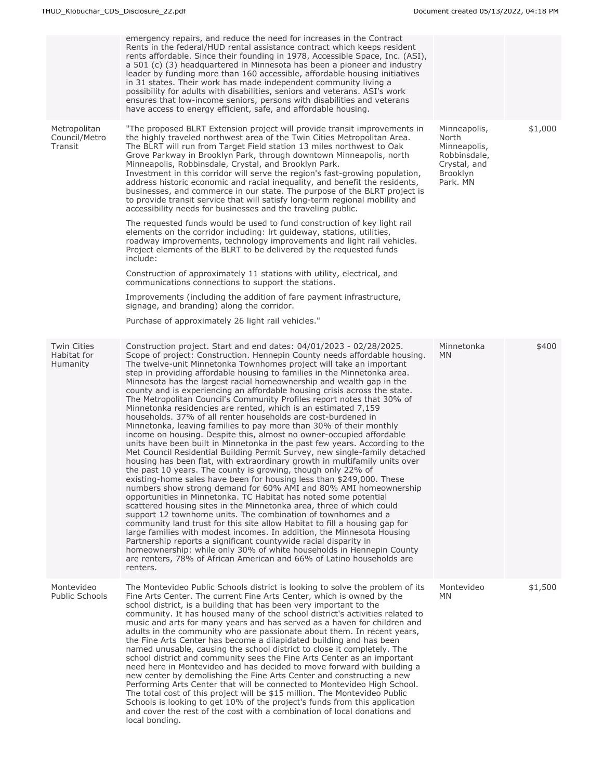|                                                      | emergency repairs, and reduce the need for increases in the Contract<br>Rents in the federal/HUD rental assistance contract which keeps resident<br>rents affordable. Since their founding in 1978, Accessible Space, Inc. (ASI),<br>a 501 (c) (3) headquartered in Minnesota has been a pioneer and industry<br>leader by funding more than 160 accessible, affordable housing initiatives<br>in 31 states. Their work has made independent community living a<br>possibility for adults with disabilities, seniors and veterans. ASI's work<br>ensures that low-income seniors, persons with disabilities and veterans<br>have access to energy efficient, safe, and affordable housing.                                                                                                                                                                                                                                                                                                                                                                                                                                                                                                                                                                                                                                                                                                                                                                                                                                                                                                                                                                                                                                                                                                                                                                                       |                                                                                               |         |
|------------------------------------------------------|----------------------------------------------------------------------------------------------------------------------------------------------------------------------------------------------------------------------------------------------------------------------------------------------------------------------------------------------------------------------------------------------------------------------------------------------------------------------------------------------------------------------------------------------------------------------------------------------------------------------------------------------------------------------------------------------------------------------------------------------------------------------------------------------------------------------------------------------------------------------------------------------------------------------------------------------------------------------------------------------------------------------------------------------------------------------------------------------------------------------------------------------------------------------------------------------------------------------------------------------------------------------------------------------------------------------------------------------------------------------------------------------------------------------------------------------------------------------------------------------------------------------------------------------------------------------------------------------------------------------------------------------------------------------------------------------------------------------------------------------------------------------------------------------------------------------------------------------------------------------------------|-----------------------------------------------------------------------------------------------|---------|
| Metropolitan<br>Council/Metro<br>Transit             | "The proposed BLRT Extension project will provide transit improvements in<br>the highly traveled northwest area of the Twin Cities Metropolitan Area.<br>The BLRT will run from Target Field station 13 miles northwest to Oak<br>Grove Parkway in Brooklyn Park, through downtown Minneapolis, north<br>Minneapolis, Robbinsdale, Crystal, and Brooklyn Park.<br>Investment in this corridor will serve the region's fast-growing population,<br>address historic economic and racial inequality, and benefit the residents,<br>businesses, and commerce in our state. The purpose of the BLRT project is<br>to provide transit service that will satisfy long-term regional mobility and<br>accessibility needs for businesses and the traveling public.                                                                                                                                                                                                                                                                                                                                                                                                                                                                                                                                                                                                                                                                                                                                                                                                                                                                                                                                                                                                                                                                                                                       | Minneapolis,<br>North<br>Minneapolis,<br>Robbinsdale,<br>Crystal, and<br>Brooklyn<br>Park. MN | \$1,000 |
|                                                      | The requested funds would be used to fund construction of key light rail<br>elements on the corridor including: Irt guideway, stations, utilities,<br>roadway improvements, technology improvements and light rail vehicles.<br>Project elements of the BLRT to be delivered by the requested funds<br>include:                                                                                                                                                                                                                                                                                                                                                                                                                                                                                                                                                                                                                                                                                                                                                                                                                                                                                                                                                                                                                                                                                                                                                                                                                                                                                                                                                                                                                                                                                                                                                                  |                                                                                               |         |
|                                                      | Construction of approximately 11 stations with utility, electrical, and<br>communications connections to support the stations.                                                                                                                                                                                                                                                                                                                                                                                                                                                                                                                                                                                                                                                                                                                                                                                                                                                                                                                                                                                                                                                                                                                                                                                                                                                                                                                                                                                                                                                                                                                                                                                                                                                                                                                                                   |                                                                                               |         |
|                                                      | Improvements (including the addition of fare payment infrastructure,<br>signage, and branding) along the corridor.<br>Purchase of approximately 26 light rail vehicles."                                                                                                                                                                                                                                                                                                                                                                                                                                                                                                                                                                                                                                                                                                                                                                                                                                                                                                                                                                                                                                                                                                                                                                                                                                                                                                                                                                                                                                                                                                                                                                                                                                                                                                         |                                                                                               |         |
|                                                      |                                                                                                                                                                                                                                                                                                                                                                                                                                                                                                                                                                                                                                                                                                                                                                                                                                                                                                                                                                                                                                                                                                                                                                                                                                                                                                                                                                                                                                                                                                                                                                                                                                                                                                                                                                                                                                                                                  |                                                                                               |         |
| <b>Twin Cities</b><br>Habitat for<br><b>Humanity</b> | Construction project. Start and end dates: 04/01/2023 - 02/28/2025.<br>Scope of project: Construction. Hennepin County needs affordable housing.<br>The twelve-unit Minnetonka Townhomes project will take an important<br>step in providing affordable housing to families in the Minnetonka area.<br>Minnesota has the largest racial homeownership and wealth gap in the<br>county and is experiencing an affordable housing crisis across the state.<br>The Metropolitan Council's Community Profiles report notes that 30% of<br>Minnetonka residencies are rented, which is an estimated 7,159<br>households. 37% of all renter households are cost-burdened in<br>Minnetonka, leaving families to pay more than 30% of their monthly<br>income on housing. Despite this, almost no owner-occupied affordable<br>units have been built in Minnetonka in the past few years. According to the<br>Met Council Residential Building Permit Survey, new single-family detached<br>housing has been flat, with extraordinary growth in multifamily units over<br>the past 10 years. The county is growing, though only 22% of<br>existing-home sales have been for housing less than \$249,000. These<br>numbers show strong demand for 60% AMI and 80% AMI homeownership<br>opportunities in Minnetonka. TC Habitat has noted some potential<br>scattered housing sites in the Minnetonka area, three of which could<br>support 12 townhome units. The combination of townhomes and a<br>community land trust for this site allow Habitat to fill a housing gap for<br>large families with modest incomes. In addition, the Minnesota Housing<br>Partnership reports a significant countywide racial disparity in<br>homeownership: while only 30% of white households in Hennepin County<br>are renters, 78% of African American and 66% of Latino households are<br>renters. | Minnetonka<br>MN.                                                                             | \$400   |
| Montevideo<br><b>Public Schools</b>                  | The Montevideo Public Schools district is looking to solve the problem of its<br>Fine Arts Center. The current Fine Arts Center, which is owned by the<br>school district, is a building that has been very important to the<br>community. It has housed many of the school district's activities related to<br>music and arts for many years and has served as a haven for children and<br>adults in the community who are passionate about them. In recent years,<br>the Fine Arts Center has become a dilapidated building and has been<br>named unusable, causing the school district to close it completely. The<br>school district and community sees the Fine Arts Center as an important<br>need here in Montevideo and has decided to move forward with building a<br>new center by demolishing the Fine Arts Center and constructing a new<br>Performing Arts Center that will be connected to Montevideo High School.<br>The total cost of this project will be \$15 million. The Montevideo Public<br>Schools is looking to get 10% of the project's funds from this application<br>and cover the rest of the cost with a combination of local donations and<br>local bonding.                                                                                                                                                                                                                                                                                                                                                                                                                                                                                                                                                                                                                                                                                       | Montevideo<br>MN                                                                              | \$1,500 |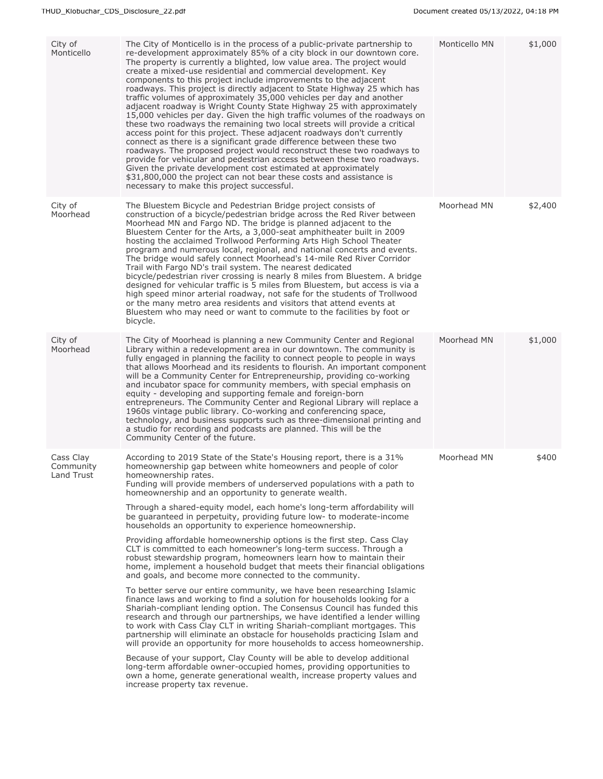| City of<br>Monticello                | The City of Monticello is in the process of a public-private partnership to<br>re-development approximately 85% of a city block in our downtown core.<br>The property is currently a blighted, low value area. The project would<br>create a mixed-use residential and commercial development. Key<br>components to this project include improvements to the adjacent<br>roadways. This project is directly adjacent to State Highway 25 which has<br>traffic volumes of approximately 35,000 vehicles per day and another<br>adjacent roadway is Wright County State Highway 25 with approximately<br>15,000 vehicles per day. Given the high traffic volumes of the roadways on<br>these two roadways the remaining two local streets will provide a critical<br>access point for this project. These adjacent roadways don't currently<br>connect as there is a significant grade difference between these two<br>roadways. The proposed project would reconstruct these two roadways to<br>provide for vehicular and pedestrian access between these two roadways.<br>Given the private development cost estimated at approximately<br>\$31,800,000 the project can not bear these costs and assistance is<br>necessary to make this project successful.                                                                                                                                                                                                                                                                                                                                                                                                                                     | Monticello MN | \$1,000 |
|--------------------------------------|--------------------------------------------------------------------------------------------------------------------------------------------------------------------------------------------------------------------------------------------------------------------------------------------------------------------------------------------------------------------------------------------------------------------------------------------------------------------------------------------------------------------------------------------------------------------------------------------------------------------------------------------------------------------------------------------------------------------------------------------------------------------------------------------------------------------------------------------------------------------------------------------------------------------------------------------------------------------------------------------------------------------------------------------------------------------------------------------------------------------------------------------------------------------------------------------------------------------------------------------------------------------------------------------------------------------------------------------------------------------------------------------------------------------------------------------------------------------------------------------------------------------------------------------------------------------------------------------------------------------------------------------------------------------------------------------------|---------------|---------|
| City of<br>Moorhead                  | The Bluestem Bicycle and Pedestrian Bridge project consists of<br>construction of a bicycle/pedestrian bridge across the Red River between<br>Moorhead MN and Fargo ND. The bridge is planned adjacent to the<br>Bluestem Center for the Arts, a 3,000-seat amphitheater built in 2009<br>hosting the acclaimed Trollwood Performing Arts High School Theater<br>program and numerous local, regional, and national concerts and events.<br>The bridge would safely connect Moorhead's 14-mile Red River Corridor<br>Trail with Fargo ND's trail system. The nearest dedicated<br>bicycle/pedestrian river crossing is nearly 8 miles from Bluestem. A bridge<br>designed for vehicular traffic is 5 miles from Bluestem, but access is via a<br>high speed minor arterial roadway, not safe for the students of Trollwood<br>or the many metro area residents and visitors that attend events at<br>Bluestem who may need or want to commute to the facilities by foot or<br>bicycle.                                                                                                                                                                                                                                                                                                                                                                                                                                                                                                                                                                                                                                                                                                           | Moorhead MN   | \$2,400 |
| City of<br>Moorhead                  | The City of Moorhead is planning a new Community Center and Regional<br>Library within a redevelopment area in our downtown. The community is<br>fully engaged in planning the facility to connect people to people in ways<br>that allows Moorhead and its residents to flourish. An important component<br>will be a Community Center for Entrepreneurship, providing co-working<br>and incubator space for community members, with special emphasis on<br>equity - developing and supporting female and foreign-born<br>entrepreneurs. The Community Center and Regional Library will replace a<br>1960s vintage public library. Co-working and conferencing space,<br>technology, and business supports such as three-dimensional printing and<br>a studio for recording and podcasts are planned. This will be the<br>Community Center of the future.                                                                                                                                                                                                                                                                                                                                                                                                                                                                                                                                                                                                                                                                                                                                                                                                                                       | Moorhead MN   | \$1,000 |
| Cass Clay<br>Community<br>Land Trust | According to 2019 State of the State's Housing report, there is a 31%<br>homeownership gap between white homeowners and people of color<br>homeownership rates.<br>Funding will provide members of underserved populations with a path to<br>homeownership and an opportunity to generate wealth.<br>Through a shared-equity model, each home's long-term affordability will<br>be guaranteed in perpetuity, providing future low- to moderate-income<br>households an opportunity to experience homeownership.<br>Providing affordable homeownership options is the first step. Cass Clay<br>CLT is committed to each homeowner's long-term success. Through a<br>robust stewardship program, homeowners learn how to maintain their<br>home, implement a household budget that meets their financial obligations<br>and goals, and become more connected to the community.<br>To better serve our entire community, we have been researching Islamic<br>finance laws and working to find a solution for households looking for a<br>Shariah-compliant lending option. The Consensus Council has funded this<br>research and through our partnerships, we have identified a lender willing<br>to work with Cass Clay CLT in writing Shariah-compliant mortgages. This<br>partnership will eliminate an obstacle for households practicing Islam and<br>will provide an opportunity for more households to access homeownership.<br>Because of your support, Clay County will be able to develop additional<br>long-term affordable owner-occupied homes, providing opportunities to<br>own a home, generate generational wealth, increase property values and<br>increase property tax revenue. | Moorhead MN   | \$400   |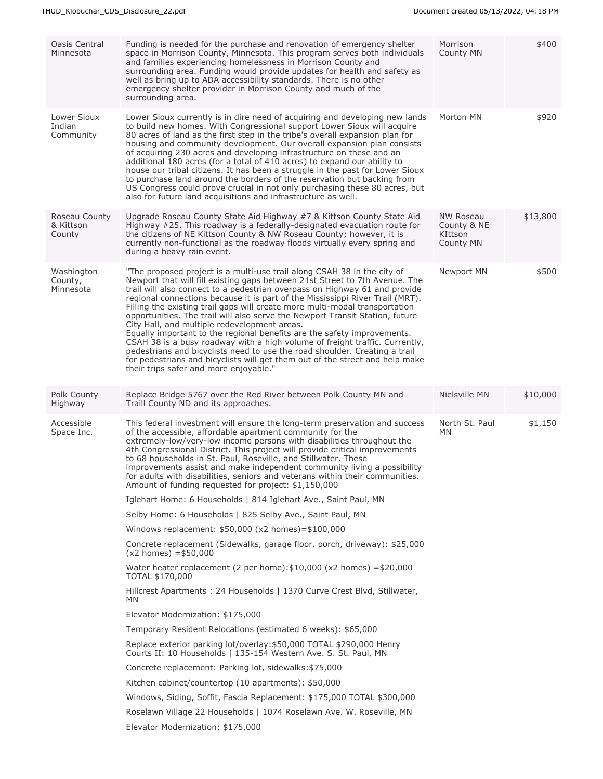| Oasis Central<br>Minnesota           | Funding is needed for the purchase and renovation of emergency shelter<br>space in Morrison County, Minnesota. This program serves both individuals<br>and families experiencing homelessness in Morrison County and<br>surrounding area. Funding would provide updates for health and safety as<br>well as bring up to ADA accessibility standards. There is no other<br>emergency shelter provider in Morrison County and much of the<br>surrounding area.                                                                                                                                                                                                                                                                                                                                                                                                                                           | Morrison<br>County MN                            | \$400    |
|--------------------------------------|--------------------------------------------------------------------------------------------------------------------------------------------------------------------------------------------------------------------------------------------------------------------------------------------------------------------------------------------------------------------------------------------------------------------------------------------------------------------------------------------------------------------------------------------------------------------------------------------------------------------------------------------------------------------------------------------------------------------------------------------------------------------------------------------------------------------------------------------------------------------------------------------------------|--------------------------------------------------|----------|
| Lower Sioux<br>Indian<br>Community   | Lower Sioux currently is in dire need of acquiring and developing new lands<br>to build new homes. With Congressional support Lower Sioux will acquire<br>80 acres of land as the first step in the tribe's overall expansion plan for<br>housing and community development. Our overall expansion plan consists<br>of acquiring 230 acres and developing infrastructure on these and an<br>additional 180 acres (for a total of 410 acres) to expand our ability to<br>house our tribal citizens. It has been a struggle in the past for Lower Sioux<br>to purchase land around the borders of the reservation but backing from<br>US Congress could prove crucial in not only purchasing these 80 acres, but<br>also for future land acquisitions and infrastructure as well.                                                                                                                        | Morton MN                                        | \$920    |
| Roseau County<br>& Kittson<br>County | Upgrade Roseau County State Aid Highway #7 & Kittson County State Aid<br>Highway #25. This roadway is a federally-designated evacuation route for<br>the citizens of NE Kittson County & NW Roseau County; however, it is<br>currently non-functional as the roadway floods virtually every spring and<br>during a heavy rain event.                                                                                                                                                                                                                                                                                                                                                                                                                                                                                                                                                                   | NW Roseau<br>County & NE<br>KIttson<br>County MN | \$13,800 |
| Washington<br>County,<br>Minnesota   | "The proposed project is a multi-use trail along CSAH 38 in the city of<br>Newport that will fill existing gaps between 21st Street to 7th Avenue. The<br>trail will also connect to a pedestrian overpass on Highway 61 and provide<br>regional connections because it is part of the Mississippi River Trail (MRT).<br>Filling the existing trail gaps will create more multi-modal transportation<br>opportunities. The trail will also serve the Newport Transit Station, future<br>City Hall, and multiple redevelopment areas.<br>Equally important to the regional benefits are the safety improvements.<br>CSAH 38 is a busy roadway with a high volume of freight traffic. Currently,<br>pedestrians and bicyclists need to use the road shoulder. Creating a trail<br>for pedestrians and bicyclists will get them out of the street and help make<br>their trips safer and more enjoyable." | Newport MN                                       | \$500    |
| Polk County<br>Highway               | Replace Bridge 5767 over the Red River between Polk County MN and<br>Traill County ND and its approaches.                                                                                                                                                                                                                                                                                                                                                                                                                                                                                                                                                                                                                                                                                                                                                                                              | Nielsville MN                                    | \$10,000 |
| Accessible<br>Space Inc.             | This federal investment will ensure the long-term preservation and success<br>of the accessible, affordable apartment community for the<br>extremely-low/very-low income persons with disabilities throughout the<br>4th Congressional District. This project will provide critical improvements<br>to 68 households in St. Paul, Roseville, and Stillwater. These<br>improvements assist and make independent community living a possibility<br>for adults with disabilities, seniors and veterans within their communities.<br>Amount of funding requested for project: \$1,150,000                                                                                                                                                                                                                                                                                                                  | North St. Paul<br>MN                             | \$1,150  |
|                                      | Iglehart Home: 6 Households   814 Iglehart Ave., Saint Paul, MN                                                                                                                                                                                                                                                                                                                                                                                                                                                                                                                                                                                                                                                                                                                                                                                                                                        |                                                  |          |
|                                      | Selby Home: 6 Households   825 Selby Ave., Saint Paul, MN                                                                                                                                                                                                                                                                                                                                                                                                                                                                                                                                                                                                                                                                                                                                                                                                                                              |                                                  |          |
|                                      | Windows replacement: \$50,000 (x2 homes)=\$100,000                                                                                                                                                                                                                                                                                                                                                                                                                                                                                                                                                                                                                                                                                                                                                                                                                                                     |                                                  |          |
|                                      | Concrete replacement (Sidewalks, garage floor, porch, driveway): \$25,000<br>$(x2 \text{ homes}) = $50,000$                                                                                                                                                                                                                                                                                                                                                                                                                                                                                                                                                                                                                                                                                                                                                                                            |                                                  |          |
|                                      | Water heater replacement (2 per home): $$10,000$ (x2 homes) = $$20,000$<br>TOTAL \$170,000                                                                                                                                                                                                                                                                                                                                                                                                                                                                                                                                                                                                                                                                                                                                                                                                             |                                                  |          |
|                                      | Hillcrest Apartments: 24 Households   1370 Curve Crest Blvd, Stillwater,<br>MN                                                                                                                                                                                                                                                                                                                                                                                                                                                                                                                                                                                                                                                                                                                                                                                                                         |                                                  |          |
|                                      | Elevator Modernization: \$175,000                                                                                                                                                                                                                                                                                                                                                                                                                                                                                                                                                                                                                                                                                                                                                                                                                                                                      |                                                  |          |
|                                      | Temporary Resident Relocations (estimated 6 weeks): \$65,000                                                                                                                                                                                                                                                                                                                                                                                                                                                                                                                                                                                                                                                                                                                                                                                                                                           |                                                  |          |
|                                      | Replace exterior parking lot/overlay: \$50,000 TOTAL \$290,000 Henry<br>Courts II: 10 Households   135-154 Western Ave. S. St. Paul, MN                                                                                                                                                                                                                                                                                                                                                                                                                                                                                                                                                                                                                                                                                                                                                                |                                                  |          |
|                                      | Concrete replacement: Parking lot, sidewalks: \$75,000                                                                                                                                                                                                                                                                                                                                                                                                                                                                                                                                                                                                                                                                                                                                                                                                                                                 |                                                  |          |
|                                      | Kitchen cabinet/countertop (10 apartments): \$50,000                                                                                                                                                                                                                                                                                                                                                                                                                                                                                                                                                                                                                                                                                                                                                                                                                                                   |                                                  |          |
|                                      | Windows, Siding, Soffit, Fascia Replacement: \$175,000 TOTAL \$300,000                                                                                                                                                                                                                                                                                                                                                                                                                                                                                                                                                                                                                                                                                                                                                                                                                                 |                                                  |          |
|                                      | Roselawn Village 22 Households   1074 Roselawn Ave. W. Roseville, MN                                                                                                                                                                                                                                                                                                                                                                                                                                                                                                                                                                                                                                                                                                                                                                                                                                   |                                                  |          |
|                                      | Elevator Modernization: \$175,000                                                                                                                                                                                                                                                                                                                                                                                                                                                                                                                                                                                                                                                                                                                                                                                                                                                                      |                                                  |          |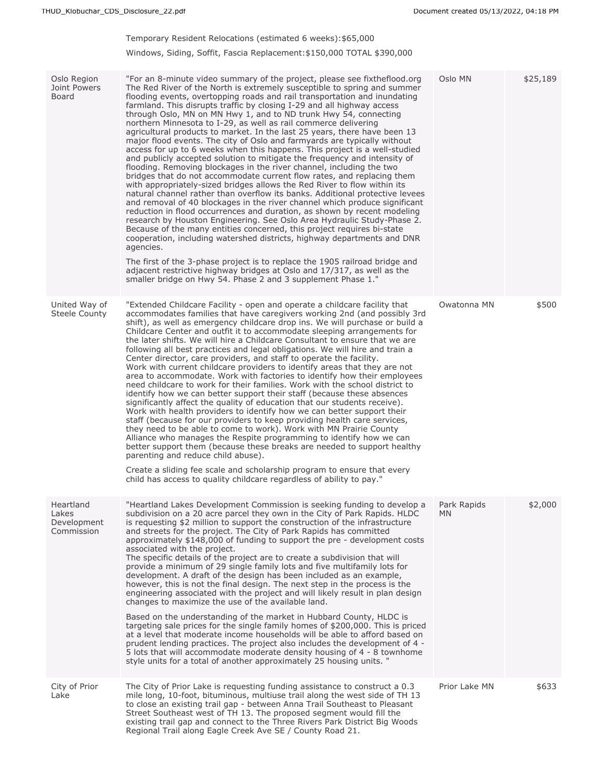## Temporary Resident Relocations (estimated 6 weeks):\$65,000

## Windows, Siding, Soffit, Fascia Replacement:\$150,000 TOTAL \$390,000

| Oslo Region<br>Joint Powers<br>Board            | "For an 8-minute video summary of the project, please see fixtheflood.org<br>The Red River of the North is extremely susceptible to spring and summer<br>flooding events, overtopping roads and rail transportation and inundating<br>farmland. This disrupts traffic by closing I-29 and all highway access<br>through Oslo, MN on MN Hwy 1, and to ND trunk Hwy 54, connecting<br>northern Minnesota to I-29, as well as rail commerce delivering<br>agricultural products to market. In the last 25 years, there have been 13<br>major flood events. The city of Oslo and farmyards are typically without<br>access for up to 6 weeks when this happens. This project is a well-studied<br>and publicly accepted solution to mitigate the frequency and intensity of<br>flooding. Removing blockages in the river channel, including the two<br>bridges that do not accommodate current flow rates, and replacing them<br>with appropriately-sized bridges allows the Red River to flow within its<br>natural channel rather than overflow its banks. Additional protective levees<br>and removal of 40 blockages in the river channel which produce significant<br>reduction in flood occurrences and duration, as shown by recent modeling<br>research by Houston Engineering. See Oslo Area Hydraulic Study-Phase 2.<br>Because of the many entities concerned, this project requires bi-state<br>cooperation, including watershed districts, highway departments and DNR<br>agencies.<br>The first of the 3-phase project is to replace the 1905 railroad bridge and<br>adjacent restrictive highway bridges at Oslo and 17/317, as well as the<br>smaller bridge on Hwy 54. Phase 2 and 3 supplement Phase 1." | Oslo MN           | \$25,189 |
|-------------------------------------------------|------------------------------------------------------------------------------------------------------------------------------------------------------------------------------------------------------------------------------------------------------------------------------------------------------------------------------------------------------------------------------------------------------------------------------------------------------------------------------------------------------------------------------------------------------------------------------------------------------------------------------------------------------------------------------------------------------------------------------------------------------------------------------------------------------------------------------------------------------------------------------------------------------------------------------------------------------------------------------------------------------------------------------------------------------------------------------------------------------------------------------------------------------------------------------------------------------------------------------------------------------------------------------------------------------------------------------------------------------------------------------------------------------------------------------------------------------------------------------------------------------------------------------------------------------------------------------------------------------------------------------------------------------------------------------------------------------------------------|-------------------|----------|
| United Way of<br>Steele County                  | "Extended Childcare Facility - open and operate a childcare facility that<br>accommodates families that have caregivers working 2nd (and possibly 3rd<br>shift), as well as emergency childcare drop ins. We will purchase or build a<br>Childcare Center and outfit it to accommodate sleeping arrangements for<br>the later shifts. We will hire a Childcare Consultant to ensure that we are<br>following all best practices and legal obligations. We will hire and train a<br>Center director, care providers, and staff to operate the facility.<br>Work with current childcare providers to identify areas that they are not<br>area to accommodate. Work with factories to identify how their employees<br>need childcare to work for their families. Work with the school district to<br>identify how we can better support their staff (because these absences<br>significantly affect the quality of education that our students receive).<br>Work with health providers to identify how we can better support their<br>staff (because for our providers to keep providing health care services,<br>they need to be able to come to work). Work with MN Prairie County<br>Alliance who manages the Respite programming to identify how we can<br>better support them (because these breaks are needed to support healthy<br>parenting and reduce child abuse).<br>Create a sliding fee scale and scholarship program to ensure that every<br>child has access to quality childcare regardless of ability to pay."                                                                                                                                                                                           | Owatonna MN       | \$500    |
| Heartland<br>Lakes<br>Development<br>Commission | "Heartland Lakes Development Commission is seeking funding to develop a<br>subdivision on a 20 acre parcel they own in the City of Park Rapids. HLDC<br>is requesting \$2 million to support the construction of the infrastructure<br>and streets for the project. The City of Park Rapids has committed<br>approximately \$148,000 of funding to support the pre - development costs<br>associated with the project.<br>The specific details of the project are to create a subdivision that will<br>provide a minimum of 29 single family lots and five multifamily lots for<br>development. A draft of the design has been included as an example,<br>however, this is not the final design. The next step in the process is the<br>engineering associated with the project and will likely result in plan design<br>changes to maximize the use of the available land.<br>Based on the understanding of the market in Hubbard County, HLDC is<br>targeting sale prices for the single family homes of \$200,000. This is priced<br>at a level that moderate income households will be able to afford based on<br>prudent lending practices. The project also includes the development of 4 -<br>5 lots that will accommodate moderate density housing of 4 - 8 townhome<br>style units for a total of another approximately 25 housing units. "                                                                                                                                                                                                                                                                                                                                                                   | Park Rapids<br>MN | \$2,000  |
| City of Prior<br>Lake                           | The City of Prior Lake is requesting funding assistance to construct a 0.3<br>mile long, 10-foot, bituminous, multiuse trail along the west side of TH 13<br>to close an existing trail gap - between Anna Trail Southeast to Pleasant<br>Street Southeast west of TH 13. The proposed segment would fill the<br>existing trail gap and connect to the Three Rivers Park District Big Woods<br>Regional Trail along Eagle Creek Ave SE / County Road 21.                                                                                                                                                                                                                                                                                                                                                                                                                                                                                                                                                                                                                                                                                                                                                                                                                                                                                                                                                                                                                                                                                                                                                                                                                                                               | Prior Lake MN     | \$633    |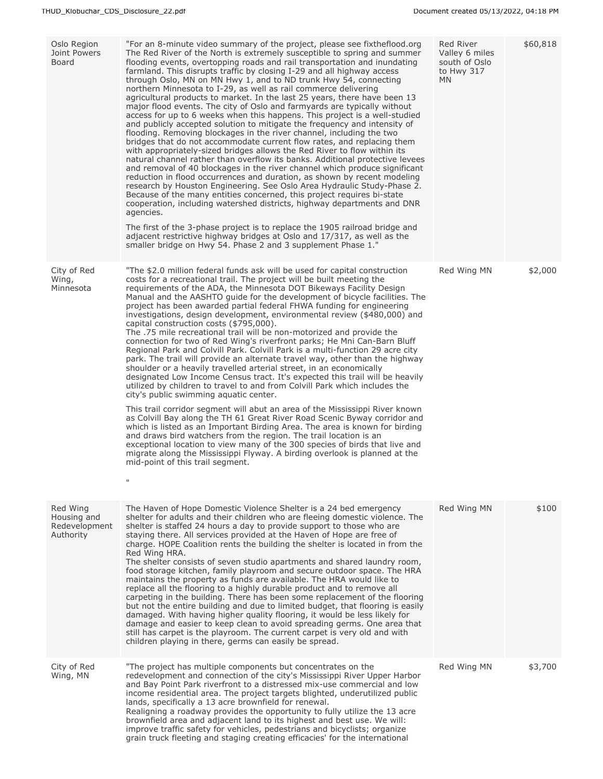| Oslo Region<br>Joint Powers<br><b>Board</b>           | "For an 8-minute video summary of the project, please see fixtheflood.org<br>The Red River of the North is extremely susceptible to spring and summer<br>flooding events, overtopping roads and rail transportation and inundating<br>farmland. This disrupts traffic by closing I-29 and all highway access<br>through Oslo, MN on MN Hwy 1, and to ND trunk Hwy 54, connecting<br>northern Minnesota to I-29, as well as rail commerce delivering<br>agricultural products to market. In the last 25 years, there have been 13<br>major flood events. The city of Oslo and farmyards are typically without<br>access for up to 6 weeks when this happens. This project is a well-studied<br>and publicly accepted solution to mitigate the frequency and intensity of<br>flooding. Removing blockages in the river channel, including the two<br>bridges that do not accommodate current flow rates, and replacing them<br>with appropriately-sized bridges allows the Red River to flow within its<br>natural channel rather than overflow its banks. Additional protective levees<br>and removal of 40 blockages in the river channel which produce significant<br>reduction in flood occurrences and duration, as shown by recent modeling<br>research by Houston Engineering. See Oslo Area Hydraulic Study-Phase 2.<br>Because of the many entities concerned, this project requires bi-state<br>cooperation, including watershed districts, highway departments and DNR<br>agencies.<br>The first of the 3-phase project is to replace the 1905 railroad bridge and<br>adjacent restrictive highway bridges at Oslo and 17/317, as well as the<br>smaller bridge on Hwy 54. Phase 2 and 3 supplement Phase 1." | Red River<br>Valley 6 miles<br>south of Oslo<br>to Hwy 317<br><b>MN</b> | \$60,818 |
|-------------------------------------------------------|------------------------------------------------------------------------------------------------------------------------------------------------------------------------------------------------------------------------------------------------------------------------------------------------------------------------------------------------------------------------------------------------------------------------------------------------------------------------------------------------------------------------------------------------------------------------------------------------------------------------------------------------------------------------------------------------------------------------------------------------------------------------------------------------------------------------------------------------------------------------------------------------------------------------------------------------------------------------------------------------------------------------------------------------------------------------------------------------------------------------------------------------------------------------------------------------------------------------------------------------------------------------------------------------------------------------------------------------------------------------------------------------------------------------------------------------------------------------------------------------------------------------------------------------------------------------------------------------------------------------------------------------------------------------------------------------------------------------|-------------------------------------------------------------------------|----------|
| City of Red<br>Wing,<br>Minnesota                     | "The \$2.0 million federal funds ask will be used for capital construction<br>costs for a recreational trail. The project will be built meeting the<br>requirements of the ADA, the Minnesota DOT Bikeways Facility Design<br>Manual and the AASHTO guide for the development of bicycle facilities. The<br>project has been awarded partial federal FHWA funding for engineering<br>investigations, design development, environmental review (\$480,000) and<br>capital construction costs (\$795,000).<br>The .75 mile recreational trail will be non-motorized and provide the<br>connection for two of Red Wing's riverfront parks; He Mni Can-Barn Bluff<br>Regional Park and Colvill Park. Colvill Park is a multi-function 29 acre city<br>park. The trail will provide an alternate travel way, other than the highway<br>shoulder or a heavily travelled arterial street, in an economically<br>designated Low Income Census tract. It's expected this trail will be heavily<br>utilized by children to travel to and from Colvill Park which includes the<br>city's public swimming aquatic center.<br>This trail corridor segment will abut an area of the Mississippi River known<br>as Colvill Bay along the TH 61 Great River Road Scenic Byway corridor and<br>which is listed as an Important Birding Area. The area is known for birding<br>and draws bird watchers from the region. The trail location is an<br>exceptional location to view many of the 300 species of birds that live and<br>migrate along the Mississippi Flyway. A birding overlook is planned at the<br>mid-point of this trail segment.<br>$\mathsf{H}$                                                                        | Red Wing MN                                                             | \$2,000  |
| Red Wing<br>Housing and<br>Redevelopment<br>Authority | The Haven of Hope Domestic Violence Shelter is a 24 bed emergency<br>shelter for adults and their children who are fleeing domestic violence. The<br>shelter is staffed 24 hours a day to provide support to those who are<br>staying there. All services provided at the Haven of Hope are free of<br>charge. HOPE Coalition rents the building the shelter is located in from the<br>Red Wing HRA.<br>The shelter consists of seven studio apartments and shared laundry room,<br>food storage kitchen, family playroom and secure outdoor space. The HRA<br>maintains the property as funds are available. The HRA would like to<br>replace all the flooring to a highly durable product and to remove all<br>carpeting in the building. There has been some replacement of the flooring<br>but not the entire building and due to limited budget, that flooring is easily<br>damaged. With having higher quality flooring, it would be less likely for<br>damage and easier to keep clean to avoid spreading germs. One area that<br>still has carpet is the playroom. The current carpet is very old and with<br>children playing in there, germs can easily be spread.                                                                                                                                                                                                                                                                                                                                                                                                                                                                                                                                           | Red Wing MN                                                             | \$100    |
| City of Red<br>Wing, MN                               | "The project has multiple components but concentrates on the<br>redevelopment and connection of the city's Mississippi River Upper Harbor<br>and Bay Point Park riverfront to a distressed mix-use commercial and low<br>income residential area. The project targets blighted, underutilized public<br>lands, specifically a 13 acre brownfield for renewal.<br>Realigning a roadway provides the opportunity to fully utilize the 13 acre<br>brownfield area and adjacent land to its highest and best use. We will:<br>improve traffic safety for vehicles, pedestrians and bicyclists; organize<br>grain truck fleeting and staging creating efficacies' for the international                                                                                                                                                                                                                                                                                                                                                                                                                                                                                                                                                                                                                                                                                                                                                                                                                                                                                                                                                                                                                                     | Red Wing MN                                                             | \$3,700  |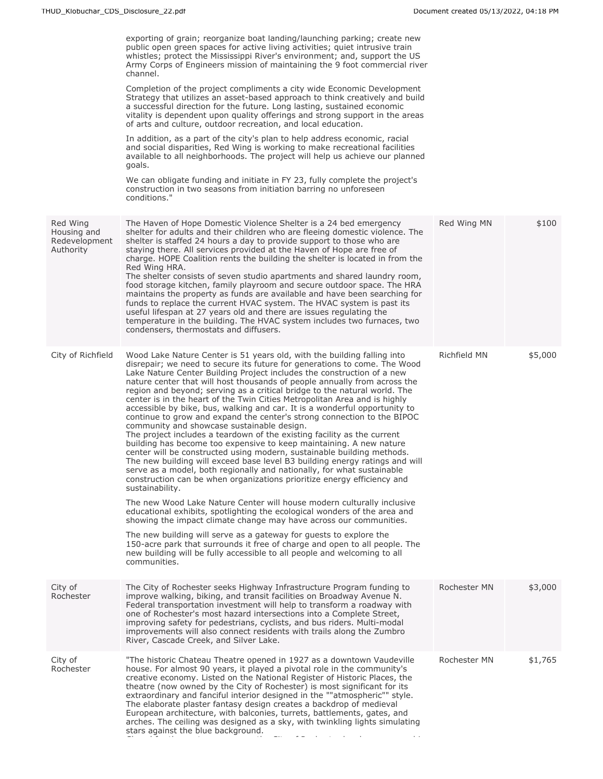|                                                       | exporting of grain; reorganize boat landing/launching parking; create new<br>public open green spaces for active living activities; quiet intrusive train<br>whistles; protect the Mississippi River's environment; and, support the US<br>Army Corps of Engineers mission of maintaining the 9 foot commercial river<br>channel.<br>Completion of the project compliments a city wide Economic Development<br>Strategy that utilizes an asset-based approach to think creatively and build<br>a successful direction for the future. Long lasting, sustained economic<br>vitality is dependent upon quality offerings and strong support in the areas<br>of arts and culture, outdoor recreation, and local education.<br>In addition, as a part of the city's plan to help address economic, racial<br>and social disparities, Red Wing is working to make recreational facilities<br>available to all neighborhoods. The project will help us achieve our planned<br>goals.<br>We can obligate funding and initiate in FY 23, fully complete the project's<br>construction in two seasons from initiation barring no unforeseen<br>conditions."              |              |         |
|-------------------------------------------------------|-----------------------------------------------------------------------------------------------------------------------------------------------------------------------------------------------------------------------------------------------------------------------------------------------------------------------------------------------------------------------------------------------------------------------------------------------------------------------------------------------------------------------------------------------------------------------------------------------------------------------------------------------------------------------------------------------------------------------------------------------------------------------------------------------------------------------------------------------------------------------------------------------------------------------------------------------------------------------------------------------------------------------------------------------------------------------------------------------------------------------------------------------------------------|--------------|---------|
| Red Wing<br>Housing and<br>Redevelopment<br>Authority | The Haven of Hope Domestic Violence Shelter is a 24 bed emergency<br>shelter for adults and their children who are fleeing domestic violence. The<br>shelter is staffed 24 hours a day to provide support to those who are<br>staying there. All services provided at the Haven of Hope are free of<br>charge. HOPE Coalition rents the building the shelter is located in from the<br>Red Wing HRA.<br>The shelter consists of seven studio apartments and shared laundry room,<br>food storage kitchen, family playroom and secure outdoor space. The HRA<br>maintains the property as funds are available and have been searching for<br>funds to replace the current HVAC system. The HVAC system is past its<br>useful lifespan at 27 years old and there are issues regulating the<br>temperature in the building. The HVAC system includes two furnaces, two<br>condensers, thermostats and diffusers.                                                                                                                                                                                                                                                   | Red Wing MN  | \$100   |
| City of Richfield                                     | Wood Lake Nature Center is 51 years old, with the building falling into<br>disrepair; we need to secure its future for generations to come. The Wood<br>Lake Nature Center Building Project includes the construction of a new<br>nature center that will host thousands of people annually from across the<br>region and beyond; serving as a critical bridge to the natural world. The<br>center is in the heart of the Twin Cities Metropolitan Area and is highly<br>accessible by bike, bus, walking and car. It is a wonderful opportunity to<br>continue to grow and expand the center's strong connection to the BIPOC<br>community and showcase sustainable design.<br>The project includes a teardown of the existing facility as the current<br>building has become too expensive to keep maintaining. A new nature<br>center will be constructed using modern, sustainable building methods.<br>The new building will exceed base level B3 building energy ratings and will<br>serve as a model, both regionally and nationally, for what sustainable<br>construction can be when organizations prioritize energy efficiency and<br>sustainability. | Richfield MN | \$5,000 |
|                                                       | The new Wood Lake Nature Center will house modern culturally inclusive<br>educational exhibits, spotlighting the ecological wonders of the area and<br>showing the impact climate change may have across our communities.<br>The new building will serve as a gateway for guests to explore the<br>150-acre park that surrounds it free of charge and open to all people. The<br>new building will be fully accessible to all people and welcoming to all<br>communities.                                                                                                                                                                                                                                                                                                                                                                                                                                                                                                                                                                                                                                                                                       |              |         |
| City of<br>Rochester                                  | The City of Rochester seeks Highway Infrastructure Program funding to<br>improve walking, biking, and transit facilities on Broadway Avenue N.<br>Federal transportation investment will help to transform a roadway with<br>one of Rochester's most hazard intersections into a Complete Street,<br>improving safety for pedestrians, cyclists, and bus riders. Multi-modal<br>improvements will also connect residents with trails along the Zumbro<br>River, Cascade Creek, and Silver Lake.                                                                                                                                                                                                                                                                                                                                                                                                                                                                                                                                                                                                                                                                 | Rochester MN | \$3,000 |
| City of<br>Rochester                                  | "The historic Chateau Theatre opened in 1927 as a downtown Vaudeville<br>house. For almost 90 years, it played a pivotal role in the community's<br>creative economy. Listed on the National Register of Historic Places, the<br>theatre (now owned by the City of Rochester) is most significant for its<br>extraordinary and fanciful interior designed in the ""atmospheric"" style.<br>The elaborate plaster fantasy design creates a backdrop of medieval<br>European architecture, with balconies, turrets, battlements, gates, and<br>arches. The ceiling was designed as a sky, with twinkling lights simulating<br>stars against the blue background.                                                                                                                                                                                                                                                                                                                                                                                                                                                                                                  | Rochester MN | \$1,765 |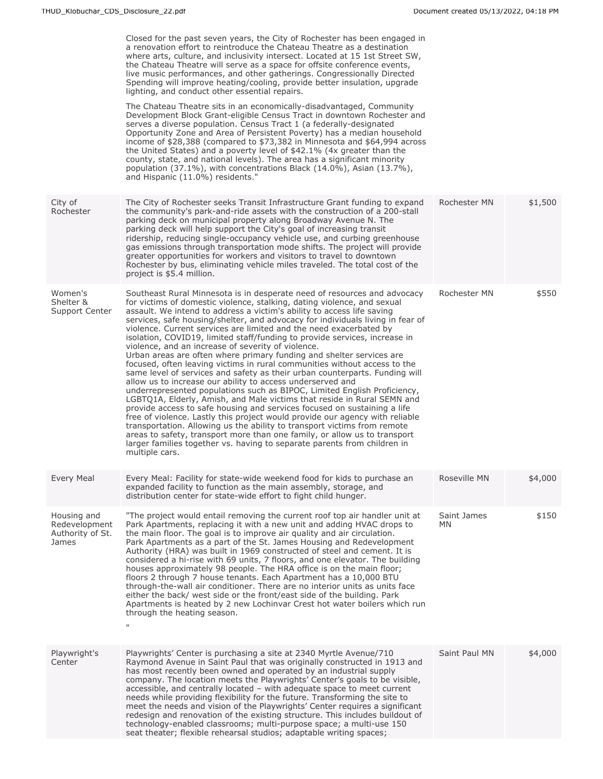|                                                           | Closed for the past seven years, the City of Rochester has been engaged in<br>a renovation effort to reintroduce the Chateau Theatre as a destination<br>where arts, culture, and inclusivity intersect. Located at 15 1st Street SW,<br>the Chateau Theatre will serve as a space for offsite conference events,<br>live music performances, and other gatherings. Congressionally Directed<br>Spending will improve heating/cooling, provide better insulation, upgrade<br>lighting, and conduct other essential repairs.<br>The Chateau Theatre sits in an economically-disadvantaged, Community<br>Development Block Grant-eligible Census Tract in downtown Rochester and<br>serves a diverse population. Census Tract 1 (a federally-designated<br>Opportunity Zone and Area of Persistent Poverty) has a median household<br>income of \$28,388 (compared to \$73,382 in Minnesota and \$64,994 across<br>the United States) and a poverty level of \$42.1% (4x greater than the<br>county, state, and national levels). The area has a significant minority<br>population (37.1%), with concentrations Black (14.0%), Asian (13.7%),<br>and Hispanic (11.0%) residents."                                                                                                                                                                                                                      |                   |         |
|-----------------------------------------------------------|-------------------------------------------------------------------------------------------------------------------------------------------------------------------------------------------------------------------------------------------------------------------------------------------------------------------------------------------------------------------------------------------------------------------------------------------------------------------------------------------------------------------------------------------------------------------------------------------------------------------------------------------------------------------------------------------------------------------------------------------------------------------------------------------------------------------------------------------------------------------------------------------------------------------------------------------------------------------------------------------------------------------------------------------------------------------------------------------------------------------------------------------------------------------------------------------------------------------------------------------------------------------------------------------------------------------------------------------------------------------------------------------------------|-------------------|---------|
| City of<br>Rochester                                      | The City of Rochester seeks Transit Infrastructure Grant funding to expand<br>the community's park-and-ride assets with the construction of a 200-stall<br>parking deck on municipal property along Broadway Avenue N. The<br>parking deck will help support the City's goal of increasing transit<br>ridership, reducing single-occupancy vehicle use, and curbing greenhouse<br>gas emissions through transportation mode shifts. The project will provide<br>greater opportunities for workers and visitors to travel to downtown<br>Rochester by bus, eliminating vehicle miles traveled. The total cost of the<br>project is \$5.4 million.                                                                                                                                                                                                                                                                                                                                                                                                                                                                                                                                                                                                                                                                                                                                                      | Rochester MN      | \$1,500 |
| Women's<br>Shelter &<br>Support Center                    | Southeast Rural Minnesota is in desperate need of resources and advocacy<br>for victims of domestic violence, stalking, dating violence, and sexual<br>assault. We intend to address a victim's ability to access life saving<br>services, safe housing/shelter, and advocacy for individuals living in fear of<br>violence. Current services are limited and the need exacerbated by<br>isolation, COVID19, limited staff/funding to provide services, increase in<br>violence, and an increase of severity of violence.<br>Urban areas are often where primary funding and shelter services are<br>focused, often leaving victims in rural communities without access to the<br>same level of services and safety as their urban counterparts. Funding will<br>allow us to increase our ability to access underserved and<br>underrepresented populations such as BIPOC, Limited English Proficiency,<br>LGBTQ1A, Elderly, Amish, and Male victims that reside in Rural SEMN and<br>provide access to safe housing and services focused on sustaining a life<br>free of violence. Lastly this project would provide our agency with reliable<br>transportation. Allowing us the ability to transport victims from remote<br>areas to safety, transport more than one family, or allow us to transport<br>larger families together vs. having to separate parents from children in<br>multiple cars. | Rochester MN      | \$550   |
| <b>Every Meal</b>                                         | Every Meal: Facility for state-wide weekend food for kids to purchase an<br>expanded facility to function as the main assembly, storage, and<br>distribution center for state-wide effort to fight child hunger.                                                                                                                                                                                                                                                                                                                                                                                                                                                                                                                                                                                                                                                                                                                                                                                                                                                                                                                                                                                                                                                                                                                                                                                      | Roseville MN      | \$4,000 |
| Housing and<br>Redevelopment<br>Authority of St.<br>James | "The project would entail removing the current roof top air handler unit at<br>Park Apartments, replacing it with a new unit and adding HVAC drops to<br>the main floor. The goal is to improve air quality and air circulation.<br>Park Apartments as a part of the St. James Housing and Redevelopment<br>Authority (HRA) was built in 1969 constructed of steel and cement. It is<br>considered a hi-rise with 69 units, 7 floors, and one elevator. The building<br>houses approximately 98 people. The HRA office is on the main floor;<br>floors 2 through 7 house tenants. Each Apartment has a 10,000 BTU<br>through-the-wall air conditioner. There are no interior units as units face<br>either the back/ west side or the front/east side of the building. Park<br>Apartments is heated by 2 new Lochinvar Crest hot water boilers which run<br>through the heating season.<br>$\mathbf{H}$                                                                                                                                                                                                                                                                                                                                                                                                                                                                                               | Saint James<br>MN | \$150   |
| Playwright's<br>Center                                    | Playwrights' Center is purchasing a site at 2340 Myrtle Avenue/710<br>Raymond Avenue in Saint Paul that was originally constructed in 1913 and<br>has most recently been owned and operated by an industrial supply<br>company. The location meets the Playwrights' Center's goals to be visible,<br>accessible, and centrally located - with adequate space to meet current<br>needs while providing flexibility for the future. Transforming the site to<br>meet the needs and vision of the Playwrights' Center requires a significant<br>redesign and renovation of the existing structure. This includes buildout of<br>technology-enabled classrooms; multi-purpose space; a multi-use 150<br>seat theater; flexible rehearsal studios; adaptable writing spaces;                                                                                                                                                                                                                                                                                                                                                                                                                                                                                                                                                                                                                               | Saint Paul MN     | \$4,000 |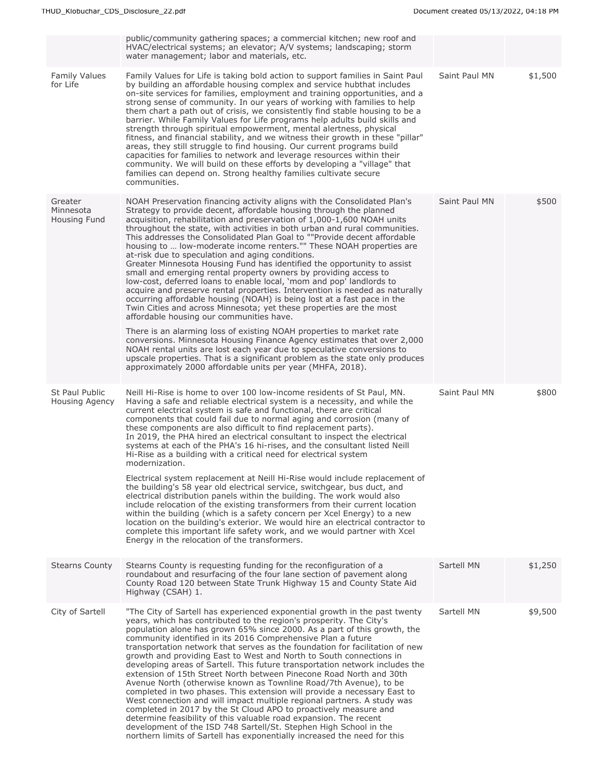|                                      | public/community gathering spaces; a commercial kitchen; new roof and<br>HVAC/electrical systems; an elevator; A/V systems; landscaping; storm<br>water management; labor and materials, etc.                                                                                                                                                                                                                                                                                                                                                                                                                                                                                                                                                                                                                                                                                                                                                                                                                                                                                                                                     |               |         |
|--------------------------------------|-----------------------------------------------------------------------------------------------------------------------------------------------------------------------------------------------------------------------------------------------------------------------------------------------------------------------------------------------------------------------------------------------------------------------------------------------------------------------------------------------------------------------------------------------------------------------------------------------------------------------------------------------------------------------------------------------------------------------------------------------------------------------------------------------------------------------------------------------------------------------------------------------------------------------------------------------------------------------------------------------------------------------------------------------------------------------------------------------------------------------------------|---------------|---------|
| <b>Family Values</b><br>for Life     | Family Values for Life is taking bold action to support families in Saint Paul<br>by building an affordable housing complex and service hubthat includes<br>on-site services for families, employment and training opportunities, and a<br>strong sense of community. In our years of working with families to help<br>them chart a path out of crisis, we consistently find stable housing to be a<br>barrier. While Family Values for Life programs help adults build skills and<br>strength through spiritual empowerment, mental alertness, physical<br>fitness, and financial stability, and we witness their growth in these "pillar"<br>areas, they still struggle to find housing. Our current programs build<br>capacities for families to network and leverage resources within their<br>community. We will build on these efforts by developing a "village" that<br>families can depend on. Strong healthy families cultivate secure<br>communities.                                                                                                                                                                   | Saint Paul MN | \$1,500 |
| Greater<br>Minnesota<br>Housing Fund | NOAH Preservation financing activity aligns with the Consolidated Plan's<br>Strategy to provide decent, affordable housing through the planned<br>acquisition, rehabilitation and preservation of 1,000-1,600 NOAH units<br>throughout the state, with activities in both urban and rural communities.<br>This addresses the Consolidated Plan Goal to ""Provide decent affordable<br>housing to  low-moderate income renters."" These NOAH properties are<br>at-risk due to speculation and aging conditions.<br>Greater Minnesota Housing Fund has identified the opportunity to assist<br>small and emerging rental property owners by providing access to<br>low-cost, deferred loans to enable local, 'mom and pop' landlords to<br>acquire and preserve rental properties. Intervention is needed as naturally<br>occurring affordable housing (NOAH) is being lost at a fast pace in the<br>Twin Cities and across Minnesota; yet these properties are the most<br>affordable housing our communities have.<br>There is an alarming loss of existing NOAH properties to market rate                                        | Saint Paul MN | \$500   |
|                                      | conversions. Minnesota Housing Finance Agency estimates that over 2,000<br>NOAH rental units are lost each year due to speculative conversions to<br>upscale properties. That is a significant problem as the state only produces<br>approximately 2000 affordable units per year (MHFA, 2018).                                                                                                                                                                                                                                                                                                                                                                                                                                                                                                                                                                                                                                                                                                                                                                                                                                   |               |         |
| St Paul Public<br>Housing Agency     | Neill Hi-Rise is home to over 100 low-income residents of St Paul, MN.<br>Having a safe and reliable electrical system is a necessity, and while the<br>current electrical system is safe and functional, there are critical<br>components that could fail due to normal aging and corrosion (many of<br>these components are also difficult to find replacement parts).<br>In 2019, the PHA hired an electrical consultant to inspect the electrical<br>systems at each of the PHA's 16 hi-rises, and the consultant listed Neill<br>Hi-Rise as a building with a critical need for electrical system<br>modernization.                                                                                                                                                                                                                                                                                                                                                                                                                                                                                                          | Saint Paul MN | \$800   |
|                                      | Electrical system replacement at Neill Hi-Rise would include replacement of<br>the building's 58 year old electrical service, switchgear, bus duct, and<br>electrical distribution panels within the building. The work would also<br>include relocation of the existing transformers from their current location<br>within the building (which is a safety concern per Xcel Energy) to a new<br>location on the building's exterior. We would hire an electrical contractor to<br>complete this important life safety work, and we would partner with Xcel<br>Energy in the relocation of the transformers.                                                                                                                                                                                                                                                                                                                                                                                                                                                                                                                      |               |         |
| <b>Stearns County</b>                | Stearns County is requesting funding for the reconfiguration of a<br>roundabout and resurfacing of the four lane section of pavement along<br>County Road 120 between State Trunk Highway 15 and County State Aid<br>Highway (CSAH) 1.                                                                                                                                                                                                                                                                                                                                                                                                                                                                                                                                                                                                                                                                                                                                                                                                                                                                                            | Sartell MN    | \$1,250 |
| City of Sartell                      | "The City of Sartell has experienced exponential growth in the past twenty<br>years, which has contributed to the region's prosperity. The City's<br>population alone has grown 65% since 2000. As a part of this growth, the<br>community identified in its 2016 Comprehensive Plan a future<br>transportation network that serves as the foundation for facilitation of new<br>growth and providing East to West and North to South connections in<br>developing areas of Sartell. This future transportation network includes the<br>extension of 15th Street North between Pinecone Road North and 30th<br>Avenue North (otherwise known as Townline Road/7th Avenue), to be<br>completed in two phases. This extension will provide a necessary East to<br>West connection and will impact multiple regional partners. A study was<br>completed in 2017 by the St Cloud APO to proactively measure and<br>determine feasibility of this valuable road expansion. The recent<br>development of the ISD 748 Sartell/St. Stephen High School in the<br>northern limits of Sartell has exponentially increased the need for this | Sartell MN    | \$9,500 |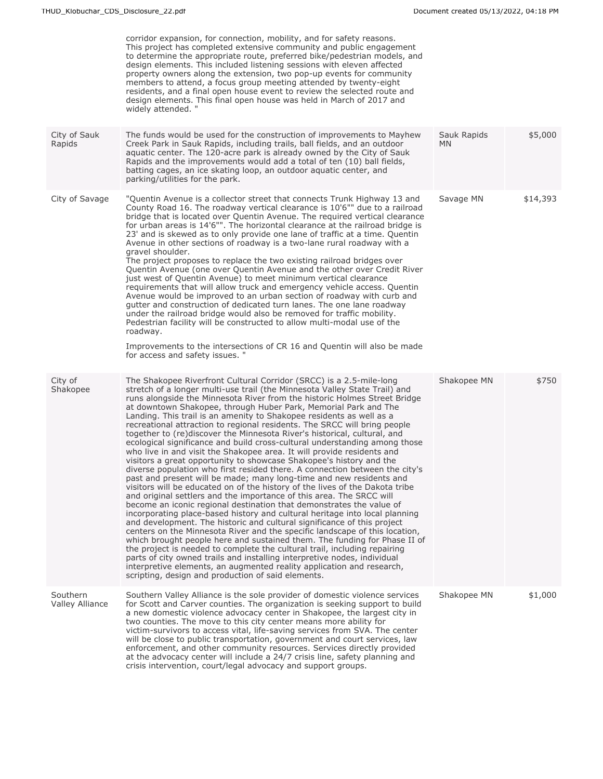|                             | corridor expansion, for connection, mobility, and for safety reasons.<br>This project has completed extensive community and public engagement<br>to determine the appropriate route, preferred bike/pedestrian models, and<br>design elements. This included listening sessions with eleven affected<br>property owners along the extension, two pop-up events for community<br>members to attend, a focus group meeting attended by twenty-eight<br>residents, and a final open house event to review the selected route and<br>design elements. This final open house was held in March of 2017 and<br>widely attended. "                                                                                                                                                                                                                                                                                                                                                                                                                                                                                                                                                                                                                                                                                                                                                                                                                                                                                                                                                                                                                                                                                                                                           |                    |          |
|-----------------------------|-----------------------------------------------------------------------------------------------------------------------------------------------------------------------------------------------------------------------------------------------------------------------------------------------------------------------------------------------------------------------------------------------------------------------------------------------------------------------------------------------------------------------------------------------------------------------------------------------------------------------------------------------------------------------------------------------------------------------------------------------------------------------------------------------------------------------------------------------------------------------------------------------------------------------------------------------------------------------------------------------------------------------------------------------------------------------------------------------------------------------------------------------------------------------------------------------------------------------------------------------------------------------------------------------------------------------------------------------------------------------------------------------------------------------------------------------------------------------------------------------------------------------------------------------------------------------------------------------------------------------------------------------------------------------------------------------------------------------------------------------------------------------|--------------------|----------|
| City of Sauk<br>Rapids      | The funds would be used for the construction of improvements to Mayhew<br>Creek Park in Sauk Rapids, including trails, ball fields, and an outdoor<br>aquatic center. The 120-acre park is already owned by the City of Sauk<br>Rapids and the improvements would add a total of ten (10) ball fields,<br>batting cages, an ice skating loop, an outdoor aquatic center, and<br>parking/utilities for the park.                                                                                                                                                                                                                                                                                                                                                                                                                                                                                                                                                                                                                                                                                                                                                                                                                                                                                                                                                                                                                                                                                                                                                                                                                                                                                                                                                       | Sauk Rapids<br>MN. | \$5,000  |
| City of Savage              | "Quentin Avenue is a collector street that connects Trunk Highway 13 and<br>County Road 16. The roadway vertical clearance is 10'6"" due to a railroad<br>bridge that is located over Quentin Avenue. The required vertical clearance<br>for urban areas is 14'6"". The horizontal clearance at the railroad bridge is<br>23' and is skewed as to only provide one lane of traffic at a time. Quentin<br>Avenue in other sections of roadway is a two-lane rural roadway with a<br>gravel shoulder.<br>The project proposes to replace the two existing railroad bridges over<br>Quentin Avenue (one over Quentin Avenue and the other over Credit River<br>just west of Quentin Avenue) to meet minimum vertical clearance<br>requirements that will allow truck and emergency vehicle access. Quentin<br>Avenue would be improved to an urban section of roadway with curb and<br>gutter and construction of dedicated turn lanes. The one lane roadway<br>under the railroad bridge would also be removed for traffic mobility.<br>Pedestrian facility will be constructed to allow multi-modal use of the<br>roadway.<br>Improvements to the intersections of CR 16 and Quentin will also be made<br>for access and safety issues. "                                                                                                                                                                                                                                                                                                                                                                                                                                                                                                                              | Savage MN          | \$14,393 |
| City of<br>Shakopee         | The Shakopee Riverfront Cultural Corridor (SRCC) is a 2.5-mile-long<br>stretch of a longer multi-use trail (the Minnesota Valley State Trail) and<br>runs alongside the Minnesota River from the historic Holmes Street Bridge<br>at downtown Shakopee, through Huber Park, Memorial Park and The<br>Landing. This trail is an amenity to Shakopee residents as well as a<br>recreational attraction to regional residents. The SRCC will bring people<br>together to (re)discover the Minnesota River's historical, cultural, and<br>ecological significance and build cross-cultural understanding among those<br>who live in and visit the Shakopee area. It will provide residents and<br>visitors a great opportunity to showcase Shakopee's history and the<br>diverse population who first resided there. A connection between the city's<br>past and present will be made; many long-time and new residents and<br>visitors will be educated on of the history of the lives of the Dakota tribe<br>and original settlers and the importance of this area. The SRCC will<br>become an iconic regional destination that demonstrates the value of<br>incorporating place-based history and cultural heritage into local planning<br>and development. The historic and cultural significance of this project<br>centers on the Minnesota River and the specific landscape of this location,<br>which brought people here and sustained them. The funding for Phase II of<br>the project is needed to complete the cultural trail, including repairing<br>parts of city owned trails and installing interpretive nodes, individual<br>interpretive elements, an augmented reality application and research,<br>scripting, design and production of said elements. | Shakopee MN        | \$750    |
| Southern<br>Valley Alliance | Southern Valley Alliance is the sole provider of domestic violence services<br>for Scott and Carver counties. The organization is seeking support to build<br>a new domestic violence advocacy center in Shakopee, the largest city in<br>two counties. The move to this city center means more ability for<br>victim-survivors to access vital, life-saving services from SVA. The center<br>will be close to public transportation, government and court services, law<br>enforcement, and other community resources. Services directly provided<br>at the advocacy center will include a 24/7 crisis line, safety planning and<br>crisis intervention, court/legal advocacy and support groups.                                                                                                                                                                                                                                                                                                                                                                                                                                                                                                                                                                                                                                                                                                                                                                                                                                                                                                                                                                                                                                                                    | Shakopee MN        | \$1,000  |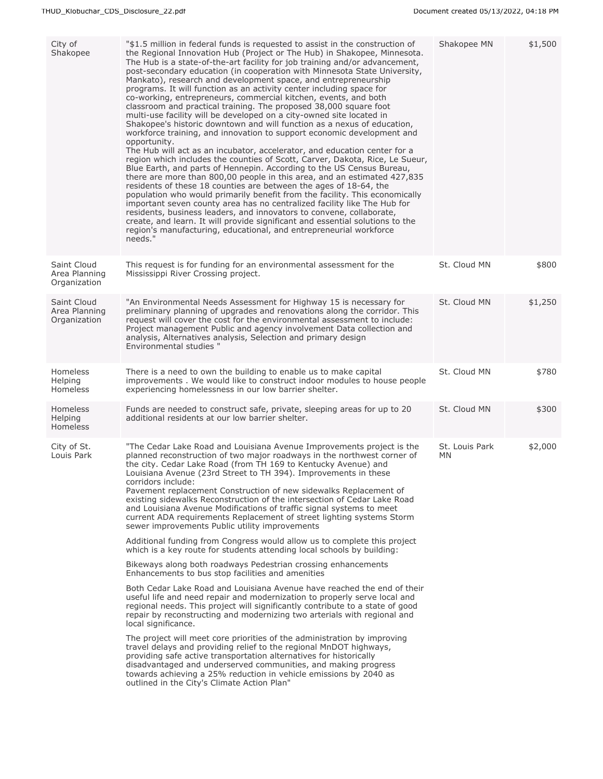| "\$1.5 million in federal funds is requested to assist in the construction of<br>the Regional Innovation Hub (Project or The Hub) in Shakopee, Minnesota.<br>The Hub is a state-of-the-art facility for job training and/or advancement,<br>post-secondary education (in cooperation with Minnesota State University,<br>Mankato), research and development space, and entrepreneurship<br>programs. It will function as an activity center including space for<br>co-working, entrepreneurs, commercial kitchen, events, and both<br>classroom and practical training. The proposed 38,000 square foot<br>multi-use facility will be developed on a city-owned site located in<br>Shakopee's historic downtown and will function as a nexus of education,<br>workforce training, and innovation to support economic development and<br>opportunity.<br>The Hub will act as an incubator, accelerator, and education center for a<br>region which includes the counties of Scott, Carver, Dakota, Rice, Le Sueur,<br>Blue Earth, and parts of Hennepin. According to the US Census Bureau,<br>there are more than 800,00 people in this area, and an estimated 427,835<br>residents of these 18 counties are between the ages of 18-64, the<br>population who would primarily benefit from the facility. This economically<br>important seven county area has no centralized facility like The Hub for<br>residents, business leaders, and innovators to convene, collaborate,<br>create, and learn. It will provide significant and essential solutions to the<br>region's manufacturing, educational, and entrepreneurial workforce<br>needs."       | Shakopee MN                                 | \$1,500 |
|--------------------------------------------------------------------------------------------------------------------------------------------------------------------------------------------------------------------------------------------------------------------------------------------------------------------------------------------------------------------------------------------------------------------------------------------------------------------------------------------------------------------------------------------------------------------------------------------------------------------------------------------------------------------------------------------------------------------------------------------------------------------------------------------------------------------------------------------------------------------------------------------------------------------------------------------------------------------------------------------------------------------------------------------------------------------------------------------------------------------------------------------------------------------------------------------------------------------------------------------------------------------------------------------------------------------------------------------------------------------------------------------------------------------------------------------------------------------------------------------------------------------------------------------------------------------------------------------------------------------------------------------------------|---------------------------------------------|---------|
| This request is for funding for an environmental assessment for the<br>Mississippi River Crossing project.                                                                                                                                                                                                                                                                                                                                                                                                                                                                                                                                                                                                                                                                                                                                                                                                                                                                                                                                                                                                                                                                                                                                                                                                                                                                                                                                                                                                                                                                                                                                             | St. Cloud MN                                | \$800   |
| "An Environmental Needs Assessment for Highway 15 is necessary for<br>preliminary planning of upgrades and renovations along the corridor. This<br>request will cover the cost for the environmental assessment to include:<br>Project management Public and agency involvement Data collection and<br>analysis, Alternatives analysis, Selection and primary design<br>Environmental studies "                                                                                                                                                                                                                                                                                                                                                                                                                                                                                                                                                                                                                                                                                                                                                                                                                                                                                                                                                                                                                                                                                                                                                                                                                                                        | St. Cloud MN                                | \$1,250 |
| There is a need to own the building to enable us to make capital<br>improvements. We would like to construct indoor modules to house people<br>experiencing homelessness in our low barrier shelter.                                                                                                                                                                                                                                                                                                                                                                                                                                                                                                                                                                                                                                                                                                                                                                                                                                                                                                                                                                                                                                                                                                                                                                                                                                                                                                                                                                                                                                                   | St. Cloud MN                                | \$780   |
| Funds are needed to construct safe, private, sleeping areas for up to 20<br>additional residents at our low barrier shelter.                                                                                                                                                                                                                                                                                                                                                                                                                                                                                                                                                                                                                                                                                                                                                                                                                                                                                                                                                                                                                                                                                                                                                                                                                                                                                                                                                                                                                                                                                                                           | St. Cloud MN                                | \$300   |
| "The Cedar Lake Road and Louisiana Avenue Improvements project is the<br>planned reconstruction of two major roadways in the northwest corner of<br>the city. Cedar Lake Road (from TH 169 to Kentucky Avenue) and<br>Louisiana Avenue (23rd Street to TH 394). Improvements in these<br>corridors include:<br>Pavement replacement Construction of new sidewalks Replacement of<br>existing sidewalks Reconstruction of the intersection of Cedar Lake Road<br>and Louisiana Avenue Modifications of traffic signal systems to meet<br>current ADA requirements Replacement of street lighting systems Storm<br>sewer improvements Public utility improvements<br>Additional funding from Congress would allow us to complete this project<br>which is a key route for students attending local schools by building:<br>Bikeways along both roadways Pedestrian crossing enhancements<br>Enhancements to bus stop facilities and amenities<br>Both Cedar Lake Road and Louisiana Avenue have reached the end of their<br>useful life and need repair and modernization to properly serve local and<br>regional needs. This project will significantly contribute to a state of good<br>repair by reconstructing and modernizing two arterials with regional and<br>local significance.<br>The project will meet core priorities of the administration by improving<br>travel delays and providing relief to the regional MnDOT highways,<br>providing safe active transportation alternatives for historically<br>disadvantaged and underserved communities, and making progress<br>towards achieving a 25% reduction in vehicle emissions by 2040 as | St. Louis Park<br>МN                        | \$2,000 |
|                                                                                                                                                                                                                                                                                                                                                                                                                                                                                                                                                                                                                                                                                                                                                                                                                                                                                                                                                                                                                                                                                                                                                                                                                                                                                                                                                                                                                                                                                                                                                                                                                                                        | outlined in the City's Climate Action Plan" |         |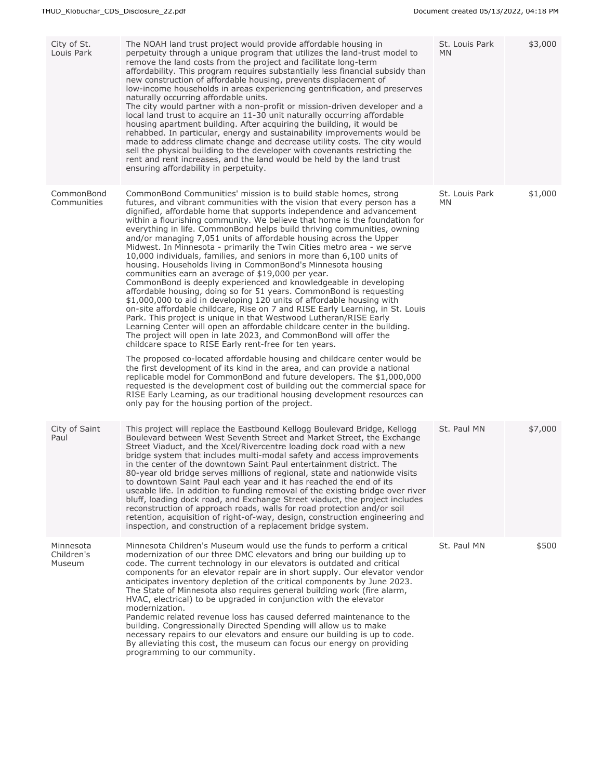| City of St.<br>Louis Park         | The NOAH land trust project would provide affordable housing in<br>perpetuity through a unique program that utilizes the land-trust model to<br>remove the land costs from the project and facilitate long-term<br>affordability. This program requires substantially less financial subsidy than<br>new construction of affordable housing, prevents displacement of<br>low-income households in areas experiencing gentrification, and preserves<br>naturally occurring affordable units.<br>The city would partner with a non-profit or mission-driven developer and a<br>local land trust to acquire an 11-30 unit naturally occurring affordable<br>housing apartment building. After acquiring the building, it would be<br>rehabbed. In particular, energy and sustainability improvements would be<br>made to address climate change and decrease utility costs. The city would<br>sell the physical building to the developer with covenants restricting the<br>rent and rent increases, and the land would be held by the land trust<br>ensuring affordability in perpetuity.                                                                                                                                                                                                                                                                                                                                                                                                                                                                                                                                                                                                                                                                               | St. Louis Park<br><b>MN</b> | \$3,000 |
|-----------------------------------|-----------------------------------------------------------------------------------------------------------------------------------------------------------------------------------------------------------------------------------------------------------------------------------------------------------------------------------------------------------------------------------------------------------------------------------------------------------------------------------------------------------------------------------------------------------------------------------------------------------------------------------------------------------------------------------------------------------------------------------------------------------------------------------------------------------------------------------------------------------------------------------------------------------------------------------------------------------------------------------------------------------------------------------------------------------------------------------------------------------------------------------------------------------------------------------------------------------------------------------------------------------------------------------------------------------------------------------------------------------------------------------------------------------------------------------------------------------------------------------------------------------------------------------------------------------------------------------------------------------------------------------------------------------------------------------------------------------------------------------------------------------------------|-----------------------------|---------|
| CommonBond<br>Communities         | CommonBond Communities' mission is to build stable homes, strong<br>futures, and vibrant communities with the vision that every person has a<br>dignified, affordable home that supports independence and advancement<br>within a flourishing community. We believe that home is the foundation for<br>everything in life. CommonBond helps build thriving communities, owning<br>and/or managing 7,051 units of affordable housing across the Upper<br>Midwest. In Minnesota - primarily the Twin Cities metro area - we serve<br>10,000 individuals, families, and seniors in more than 6,100 units of<br>housing. Households living in CommonBond's Minnesota housing<br>communities earn an average of \$19,000 per year.<br>CommonBond is deeply experienced and knowledgeable in developing<br>affordable housing, doing so for 51 years. CommonBond is requesting<br>\$1,000,000 to aid in developing 120 units of affordable housing with<br>on-site affordable childcare, Rise on 7 and RISE Early Learning, in St. Louis<br>Park. This project is unique in that Westwood Lutheran/RISE Early<br>Learning Center will open an affordable childcare center in the building.<br>The project will open in late 2023, and CommonBond will offer the<br>childcare space to RISE Early rent-free for ten years.<br>The proposed co-located affordable housing and childcare center would be<br>the first development of its kind in the area, and can provide a national<br>replicable model for CommonBond and future developers. The \$1,000,000<br>requested is the development cost of building out the commercial space for<br>RISE Early Learning, as our traditional housing development resources can<br>only pay for the housing portion of the project. | St. Louis Park<br>MN.       | \$1,000 |
| City of Saint<br>Paul             | This project will replace the Eastbound Kellogg Boulevard Bridge, Kellogg<br>Boulevard between West Seventh Street and Market Street, the Exchange<br>Street Viaduct, and the Xcel/Rivercentre loading dock road with a new<br>bridge system that includes multi-modal safety and access improvements<br>in the center of the downtown Saint Paul entertainment district. The<br>80-year old bridge serves millions of regional, state and nationwide visits<br>to downtown Saint Paul each year and it has reached the end of its<br>useable life. In addition to funding removal of the existing bridge over river<br>bluff, loading dock road, and Exchange Street viaduct, the project includes<br>reconstruction of approach roads, walls for road protection and/or soil<br>retention, acquisition of right-of-way, design, construction engineering and<br>inspection, and construction of a replacement bridge system.                                                                                                                                                                                                                                                                                                                                                                                                                                                                                                                                                                                                                                                                                                                                                                                                                                        | St. Paul MN                 | \$7,000 |
| Minnesota<br>Children's<br>Museum | Minnesota Children's Museum would use the funds to perform a critical<br>modernization of our three DMC elevators and bring our building up to<br>code. The current technology in our elevators is outdated and critical<br>components for an elevator repair are in short supply. Our elevator vendor<br>anticipates inventory depletion of the critical components by June 2023.<br>The State of Minnesota also requires general building work (fire alarm,<br>HVAC, electrical) to be upgraded in conjunction with the elevator<br>modernization.<br>Pandemic related revenue loss has caused deferred maintenance to the<br>building. Congressionally Directed Spending will allow us to make<br>necessary repairs to our elevators and ensure our building is up to code.<br>By alleviating this cost, the museum can focus our energy on providing<br>programming to our community.                                                                                                                                                                                                                                                                                                                                                                                                                                                                                                                                                                                                                                                                                                                                                                                                                                                                             | St. Paul MN                 | \$500   |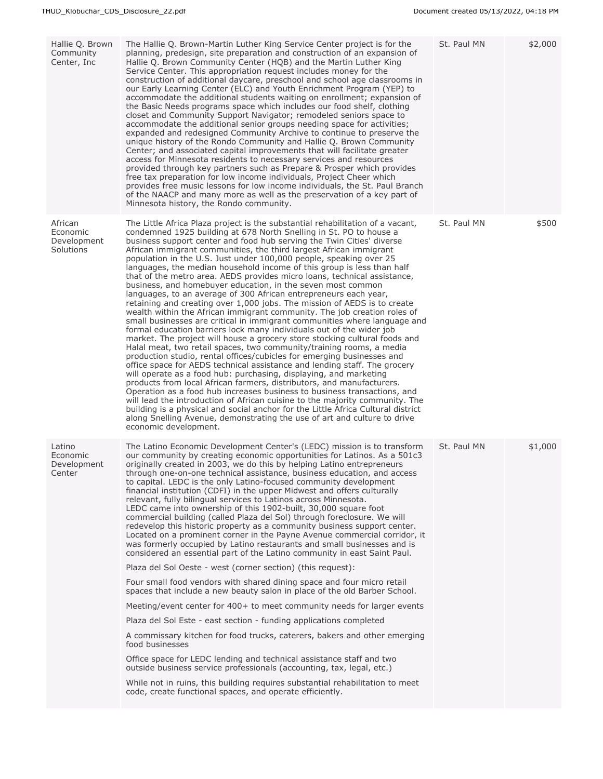| Hallie Q. Brown<br>Community<br>Center, Inc.    | The Hallie Q. Brown-Martin Luther King Service Center project is for the<br>planning, predesign, site preparation and construction of an expansion of<br>Hallie Q. Brown Community Center (HQB) and the Martin Luther King<br>Service Center. This appropriation request includes money for the<br>construction of additional daycare, preschool and school age classrooms in<br>our Early Learning Center (ELC) and Youth Enrichment Program (YEP) to<br>accommodate the additional students waiting on enrollment; expansion of<br>the Basic Needs programs space which includes our food shelf, clothing<br>closet and Community Support Navigator; remodeled seniors space to<br>accommodate the additional senior groups needing space for activities;<br>expanded and redesigned Community Archive to continue to preserve the<br>unique history of the Rondo Community and Hallie Q. Brown Community<br>Center; and associated capital improvements that will facilitate greater<br>access for Minnesota residents to necessary services and resources<br>provided through key partners such as Prepare & Prosper which provides<br>free tax preparation for low income individuals, Project Cheer which<br>provides free music lessons for low income individuals, the St. Paul Branch<br>of the NAACP and many more as well as the preservation of a key part of<br>Minnesota history, the Rondo community.                                                                                                                                                                                                                                                                                                                                                                            | St. Paul MN | \$2,000 |
|-------------------------------------------------|-------------------------------------------------------------------------------------------------------------------------------------------------------------------------------------------------------------------------------------------------------------------------------------------------------------------------------------------------------------------------------------------------------------------------------------------------------------------------------------------------------------------------------------------------------------------------------------------------------------------------------------------------------------------------------------------------------------------------------------------------------------------------------------------------------------------------------------------------------------------------------------------------------------------------------------------------------------------------------------------------------------------------------------------------------------------------------------------------------------------------------------------------------------------------------------------------------------------------------------------------------------------------------------------------------------------------------------------------------------------------------------------------------------------------------------------------------------------------------------------------------------------------------------------------------------------------------------------------------------------------------------------------------------------------------------------------------------------------------------------------------------------------------------------------|-------------|---------|
| African<br>Economic<br>Development<br>Solutions | The Little Africa Plaza project is the substantial rehabilitation of a vacant,<br>condemned 1925 building at 678 North Snelling in St. PO to house a<br>business support center and food hub serving the Twin Cities' diverse<br>African immigrant communities, the third largest African immigrant<br>population in the U.S. Just under 100,000 people, speaking over 25<br>languages, the median household income of this group is less than half<br>that of the metro area. AEDS provides micro loans, technical assistance,<br>business, and homebuyer education, in the seven most common<br>languages, to an average of 300 African entrepreneurs each year,<br>retaining and creating over 1,000 jobs. The mission of AEDS is to create<br>wealth within the African immigrant community. The job creation roles of<br>small businesses are critical in immigrant communities where language and<br>formal education barriers lock many individuals out of the wider job<br>market. The project will house a grocery store stocking cultural foods and<br>Halal meat, two retail spaces, two community/training rooms, a media<br>production studio, rental offices/cubicles for emerging businesses and<br>office space for AEDS technical assistance and lending staff. The grocery<br>will operate as a food hub: purchasing, displaying, and marketing<br>products from local African farmers, distributors, and manufacturers.<br>Operation as a food hub increases business to business transactions, and<br>will lead the introduction of African cuisine to the majority community. The<br>building is a physical and social anchor for the Little Africa Cultural district<br>along Snelling Avenue, demonstrating the use of art and culture to drive<br>economic development. | St. Paul MN | \$500   |
| Latino<br>Economic<br>Development<br>Center     | The Latino Economic Development Center's (LEDC) mission is to transform<br>our community by creating economic opportunities for Latinos. As a 501c3<br>originally created in 2003, we do this by helping Latino entrepreneurs<br>through one-on-one technical assistance, business education, and access<br>to capital. LEDC is the only Latino-focused community development<br>financial institution (CDFI) in the upper Midwest and offers culturally<br>relevant, fully bilingual services to Latinos across Minnesota.<br>LEDC came into ownership of this 1902-built, 30,000 square foot<br>commercial building (called Plaza del Sol) through foreclosure. We will<br>redevelop this historic property as a community business support center.<br>Located on a prominent corner in the Payne Avenue commercial corridor, it<br>was formerly occupied by Latino restaurants and small businesses and is<br>considered an essential part of the Latino community in east Saint Paul.<br>Plaza del Sol Oeste - west (corner section) (this request):<br>Four small food vendors with shared dining space and four micro retail<br>spaces that include a new beauty salon in place of the old Barber School.<br>Meeting/event center for 400+ to meet community needs for larger events<br>Plaza del Sol Este - east section - funding applications completed<br>A commissary kitchen for food trucks, caterers, bakers and other emerging<br>food businesses<br>Office space for LEDC lending and technical assistance staff and two<br>outside business service professionals (accounting, tax, legal, etc.)<br>While not in ruins, this building requires substantial rehabilitation to meet<br>code, create functional spaces, and operate efficiently.                                  | St. Paul MN | \$1,000 |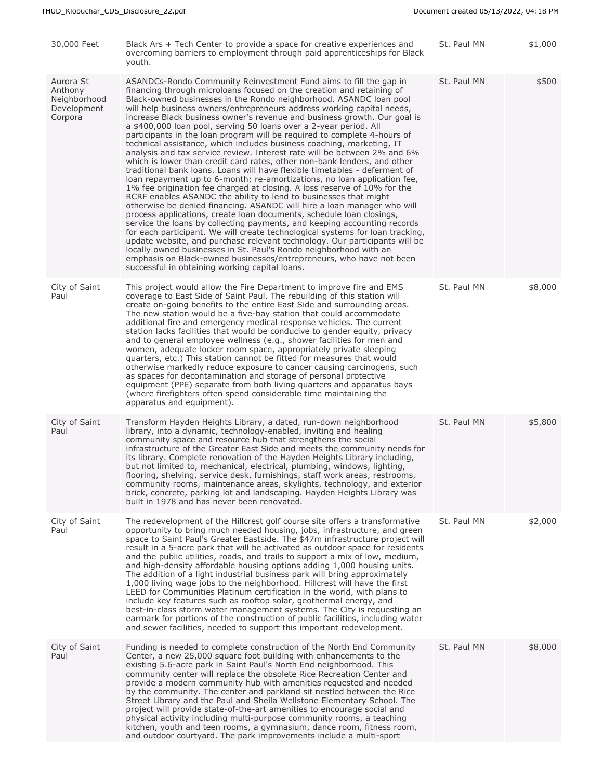| 30,000 Feet                                                    | Black Ars + Tech Center to provide a space for creative experiences and<br>overcoming barriers to employment through paid apprenticeships for Black<br>youth.                                                                                                                                                                                                                                                                                                                                                                                                                                                                                                                                                                                                                                                                                                                                                                                                                                                                                                                                                                                                                                                                                                                                                                                                                                                                                                                                                                                                                                                                                                  | St. Paul MN | \$1,000 |
|----------------------------------------------------------------|----------------------------------------------------------------------------------------------------------------------------------------------------------------------------------------------------------------------------------------------------------------------------------------------------------------------------------------------------------------------------------------------------------------------------------------------------------------------------------------------------------------------------------------------------------------------------------------------------------------------------------------------------------------------------------------------------------------------------------------------------------------------------------------------------------------------------------------------------------------------------------------------------------------------------------------------------------------------------------------------------------------------------------------------------------------------------------------------------------------------------------------------------------------------------------------------------------------------------------------------------------------------------------------------------------------------------------------------------------------------------------------------------------------------------------------------------------------------------------------------------------------------------------------------------------------------------------------------------------------------------------------------------------------|-------------|---------|
| Aurora St<br>Anthony<br>Neighborhood<br>Development<br>Corpora | ASANDCs-Rondo Community Reinvestment Fund aims to fill the gap in<br>financing through microloans focused on the creation and retaining of<br>Black-owned businesses in the Rondo neighborhood. ASANDC loan pool<br>will help business owners/entrepreneurs address working capital needs,<br>increase Black business owner's revenue and business growth. Our goal is<br>a \$400,000 loan pool, serving 50 loans over a 2-year period. All<br>participants in the loan program will be required to complete 4-hours of<br>technical assistance, which includes business coaching, marketing, IT<br>analysis and tax service review. Interest rate will be between 2% and 6%<br>which is lower than credit card rates, other non-bank lenders, and other<br>traditional bank loans. Loans will have flexible timetables - deferment of<br>loan repayment up to 6-month; re-amortizations, no loan application fee,<br>1% fee origination fee charged at closing. A loss reserve of 10% for the<br>RCRF enables ASANDC the ability to lend to businesses that might<br>otherwise be denied financing. ASANDC will hire a loan manager who will<br>process applications, create loan documents, schedule loan closings,<br>service the loans by collecting payments, and keeping accounting records<br>for each participant. We will create technological systems for loan tracking,<br>update website, and purchase relevant technology. Our participants will be<br>locally owned businesses in St. Paul's Rondo neighborhood with an<br>emphasis on Black-owned businesses/entrepreneurs, who have not been<br>successful in obtaining working capital loans. | St. Paul MN | \$500   |
| City of Saint<br>Paul                                          | This project would allow the Fire Department to improve fire and EMS<br>coverage to East Side of Saint Paul. The rebuilding of this station will<br>create on-going benefits to the entire East Side and surrounding areas.<br>The new station would be a five-bay station that could accommodate<br>additional fire and emergency medical response vehicles. The current<br>station lacks facilities that would be conducive to gender equity, privacy<br>and to general employee wellness (e.g., shower facilities for men and<br>women, adequate locker room space, appropriately private sleeping<br>quarters, etc.) This station cannot be fitted for measures that would<br>otherwise markedly reduce exposure to cancer causing carcinogens, such<br>as spaces for decontamination and storage of personal protective<br>equipment (PPE) separate from both living quarters and apparatus bays<br>(where firefighters often spend considerable time maintaining the<br>apparatus and equipment).                                                                                                                                                                                                                                                                                                                                                                                                                                                                                                                                                                                                                                                        | St. Paul MN | \$8,000 |
| City of Saint<br>Paul                                          | Transform Hayden Heights Library, a dated, run-down neighborhood<br>library, into a dynamic, technology-enabled, inviting and healing<br>community space and resource hub that strengthens the social<br>infrastructure of the Greater East Side and meets the community needs for<br>its library. Complete renovation of the Hayden Heights Library including,<br>but not limited to, mechanical, electrical, plumbing, windows, lighting,<br>flooring, shelving, service desk, furnishings, staff work areas, restrooms,<br>community rooms, maintenance areas, skylights, technology, and exterior<br>brick, concrete, parking lot and landscaping. Hayden Heights Library was<br>built in 1978 and has never been renovated.                                                                                                                                                                                                                                                                                                                                                                                                                                                                                                                                                                                                                                                                                                                                                                                                                                                                                                                               | St. Paul MN | \$5,800 |
| City of Saint<br>Paul                                          | The redevelopment of the Hillcrest golf course site offers a transformative<br>opportunity to bring much needed housing, jobs, infrastructure, and green<br>space to Saint Paul's Greater Eastside. The \$47m infrastructure project will<br>result in a 5-acre park that will be activated as outdoor space for residents<br>and the public utilities, roads, and trails to support a mix of low, medium,<br>and high-density affordable housing options adding 1,000 housing units.<br>The addition of a light industrial business park will bring approximately<br>1,000 living wage jobs to the neighborhood. Hillcrest will have the first<br>LEED for Communities Platinum certification in the world, with plans to<br>include key features such as rooftop solar, geothermal energy, and<br>best-in-class storm water management systems. The City is requesting an<br>earmark for portions of the construction of public facilities, including water<br>and sewer facilities, needed to support this important redevelopment.                                                                                                                                                                                                                                                                                                                                                                                                                                                                                                                                                                                                                         | St. Paul MN | \$2,000 |
| City of Saint<br>Paul                                          | Funding is needed to complete construction of the North End Community<br>Center, a new 25,000 square foot building with enhancements to the<br>existing 5.6-acre park in Saint Paul's North End neighborhood. This<br>community center will replace the obsolete Rice Recreation Center and<br>provide a modern community hub with amenities requested and needed<br>by the community. The center and parkland sit nestled between the Rice<br>Street Library and the Paul and Sheila Wellstone Elementary School. The<br>project will provide state-of-the-art amenities to encourage social and<br>physical activity including multi-purpose community rooms, a teaching<br>kitchen, youth and teen rooms, a gymnasium, dance room, fitness room,<br>and outdoor courtyard. The park improvements include a multi-sport                                                                                                                                                                                                                                                                                                                                                                                                                                                                                                                                                                                                                                                                                                                                                                                                                                      | St. Paul MN | \$8,000 |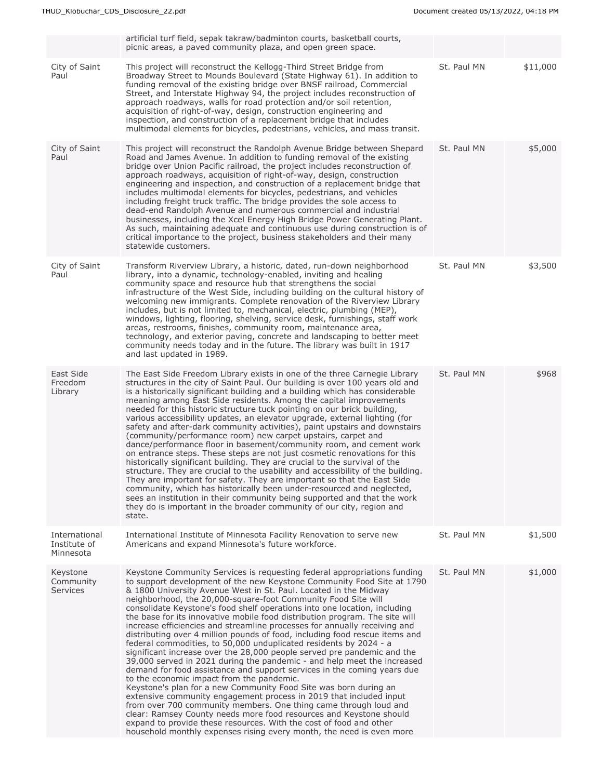|                                            | artificial turf field, sepak takraw/badminton courts, basketball courts,<br>picnic areas, a paved community plaza, and open green space.                                                                                                                                                                                                                                                                                                                                                                                                                                                                                                                                                                                                                                                                                                                                                                                                                                                                                                                                                                                                                                                                                                                                                                                                                                                             |             |          |
|--------------------------------------------|------------------------------------------------------------------------------------------------------------------------------------------------------------------------------------------------------------------------------------------------------------------------------------------------------------------------------------------------------------------------------------------------------------------------------------------------------------------------------------------------------------------------------------------------------------------------------------------------------------------------------------------------------------------------------------------------------------------------------------------------------------------------------------------------------------------------------------------------------------------------------------------------------------------------------------------------------------------------------------------------------------------------------------------------------------------------------------------------------------------------------------------------------------------------------------------------------------------------------------------------------------------------------------------------------------------------------------------------------------------------------------------------------|-------------|----------|
| City of Saint<br>Paul                      | This project will reconstruct the Kellogg-Third Street Bridge from<br>Broadway Street to Mounds Boulevard (State Highway 61). In addition to<br>funding removal of the existing bridge over BNSF railroad, Commercial<br>Street, and Interstate Highway 94, the project includes reconstruction of<br>approach roadways, walls for road protection and/or soil retention,<br>acquisition of right-of-way, design, construction engineering and<br>inspection, and construction of a replacement bridge that includes<br>multimodal elements for bicycles, pedestrians, vehicles, and mass transit.                                                                                                                                                                                                                                                                                                                                                                                                                                                                                                                                                                                                                                                                                                                                                                                                   | St. Paul MN | \$11,000 |
| City of Saint<br>Paul                      | This project will reconstruct the Randolph Avenue Bridge between Shepard<br>Road and James Avenue. In addition to funding removal of the existing<br>bridge over Union Pacific railroad, the project includes reconstruction of<br>approach roadways, acquisition of right-of-way, design, construction<br>engineering and inspection, and construction of a replacement bridge that<br>includes multimodal elements for bicycles, pedestrians, and vehicles<br>including freight truck traffic. The bridge provides the sole access to<br>dead-end Randolph Avenue and numerous commercial and industrial<br>businesses, including the Xcel Energy High Bridge Power Generating Plant.<br>As such, maintaining adequate and continuous use during construction is of<br>critical importance to the project, business stakeholders and their many<br>statewide customers.                                                                                                                                                                                                                                                                                                                                                                                                                                                                                                                            | St. Paul MN | \$5,000  |
| City of Saint<br>Paul                      | Transform Riverview Library, a historic, dated, run-down neighborhood<br>library, into a dynamic, technology-enabled, inviting and healing<br>community space and resource hub that strengthens the social<br>infrastructure of the West Side, including building on the cultural history of<br>welcoming new immigrants. Complete renovation of the Riverview Library<br>includes, but is not limited to, mechanical, electric, plumbing (MEP),<br>windows, lighting, flooring, shelving, service desk, furnishings, staff work<br>areas, restrooms, finishes, community room, maintenance area,<br>technology, and exterior paving, concrete and landscaping to better meet<br>community needs today and in the future. The library was built in 1917<br>and last updated in 1989.                                                                                                                                                                                                                                                                                                                                                                                                                                                                                                                                                                                                                 | St. Paul MN | \$3,500  |
| East Side<br>Freedom<br>Library            | The East Side Freedom Library exists in one of the three Carnegie Library<br>structures in the city of Saint Paul. Our building is over 100 years old and<br>is a historically significant building and a building which has considerable<br>meaning among East Side residents. Among the capital improvements<br>needed for this historic structure tuck pointing on our brick building,<br>various accessibility updates, an elevator upgrade, external lighting (for<br>safety and after-dark community activities), paint upstairs and downstairs<br>(community/performance room) new carpet upstairs, carpet and<br>dance/performance floor in basement/community room, and cement work<br>on entrance steps. These steps are not just cosmetic renovations for this<br>historically significant building. They are crucial to the survival of the<br>structure. They are crucial to the usability and accessibility of the building.<br>They are important for safety. They are important so that the East Side<br>community, which has historically been under-resourced and neglected,<br>sees an institution in their community being supported and that the work<br>they do is important in the broader community of our city, region and<br>state.                                                                                                                                        | St. Paul MN | \$968    |
| International<br>Institute of<br>Minnesota | International Institute of Minnesota Facility Renovation to serve new<br>Americans and expand Minnesota's future workforce.                                                                                                                                                                                                                                                                                                                                                                                                                                                                                                                                                                                                                                                                                                                                                                                                                                                                                                                                                                                                                                                                                                                                                                                                                                                                          | St. Paul MN | \$1,500  |
| Keystone<br>Community<br>Services          | Keystone Community Services is requesting federal appropriations funding<br>to support development of the new Keystone Community Food Site at 1790<br>& 1800 University Avenue West in St. Paul. Located in the Midway<br>neighborhood, the 20,000-square-foot Community Food Site will<br>consolidate Keystone's food shelf operations into one location, including<br>the base for its innovative mobile food distribution program. The site will<br>increase efficiencies and streamline processes for annually receiving and<br>distributing over 4 million pounds of food, including food rescue items and<br>federal commodities, to 50,000 unduplicated residents by 2024 - a<br>significant increase over the 28,000 people served pre pandemic and the<br>39,000 served in 2021 during the pandemic - and help meet the increased<br>demand for food assistance and support services in the coming years due<br>to the economic impact from the pandemic.<br>Keystone's plan for a new Community Food Site was born during an<br>extensive community engagement process in 2019 that included input<br>from over 700 community members. One thing came through loud and<br>clear: Ramsey County needs more food resources and Keystone should<br>expand to provide these resources. With the cost of food and other<br>household monthly expenses rising every month, the need is even more | St. Paul MN | \$1,000  |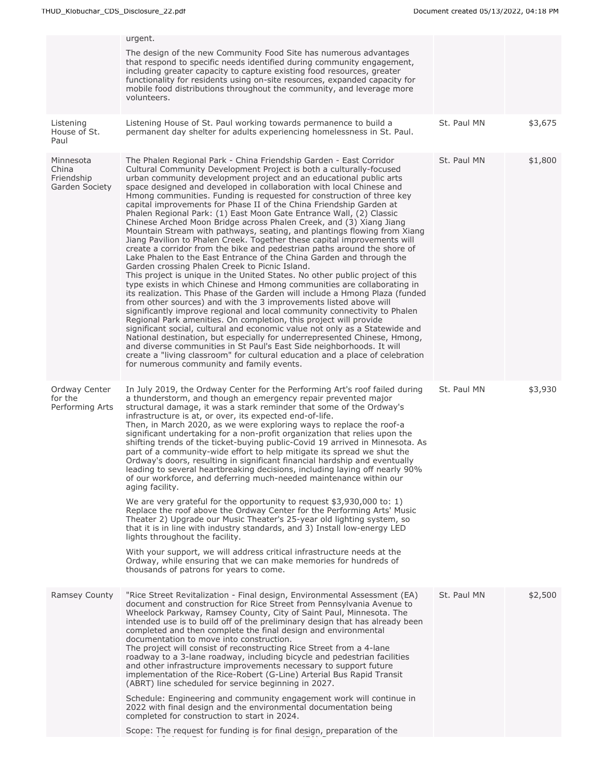|                                                    | urgent.<br>The design of the new Community Food Site has numerous advantages<br>that respond to specific needs identified during community engagement,<br>including greater capacity to capture existing food resources, greater<br>functionality for residents using on-site resources, expanded capacity for<br>mobile food distributions throughout the community, and leverage more<br>volunteers.                                                                                                                                                                                                                                                                                                                                                                                                                                                                                                                                                                                                                                                                                                                                                                                                                                                                                                                                                                                                                                                                                                                                                                                                                                                                                                                                                                                   |             |         |
|----------------------------------------------------|------------------------------------------------------------------------------------------------------------------------------------------------------------------------------------------------------------------------------------------------------------------------------------------------------------------------------------------------------------------------------------------------------------------------------------------------------------------------------------------------------------------------------------------------------------------------------------------------------------------------------------------------------------------------------------------------------------------------------------------------------------------------------------------------------------------------------------------------------------------------------------------------------------------------------------------------------------------------------------------------------------------------------------------------------------------------------------------------------------------------------------------------------------------------------------------------------------------------------------------------------------------------------------------------------------------------------------------------------------------------------------------------------------------------------------------------------------------------------------------------------------------------------------------------------------------------------------------------------------------------------------------------------------------------------------------------------------------------------------------------------------------------------------------|-------------|---------|
| Listening<br>House of St.<br>Paul                  | Listening House of St. Paul working towards permanence to build a<br>permanent day shelter for adults experiencing homelessness in St. Paul.                                                                                                                                                                                                                                                                                                                                                                                                                                                                                                                                                                                                                                                                                                                                                                                                                                                                                                                                                                                                                                                                                                                                                                                                                                                                                                                                                                                                                                                                                                                                                                                                                                             | St. Paul MN | \$3,675 |
| Minnesota<br>China<br>Friendship<br>Garden Society | The Phalen Regional Park - China Friendship Garden - East Corridor<br>Cultural Community Development Project is both a culturally-focused<br>urban community development project and an educational public arts<br>space designed and developed in collaboration with local Chinese and<br>Hmong communities. Funding is requested for construction of three key<br>capital improvements for Phase II of the China Friendship Garden at<br>Phalen Regional Park: (1) East Moon Gate Entrance Wall, (2) Classic<br>Chinese Arched Moon Bridge across Phalen Creek, and (3) Xiang Jiang<br>Mountain Stream with pathways, seating, and plantings flowing from Xiang<br>Jiang Pavilion to Phalen Creek. Together these capital improvements will<br>create a corridor from the bike and pedestrian paths around the shore of<br>Lake Phalen to the East Entrance of the China Garden and through the<br>Garden crossing Phalen Creek to Picnic Island.<br>This project is unique in the United States. No other public project of this<br>type exists in which Chinese and Hmong communities are collaborating in<br>its realization. This Phase of the Garden will include a Hmong Plaza (funded<br>from other sources) and with the 3 improvements listed above will<br>significantly improve regional and local community connectivity to Phalen<br>Regional Park amenities. On completion, this project will provide<br>significant social, cultural and economic value not only as a Statewide and<br>National destination, but especially for underrepresented Chinese, Hmong,<br>and diverse communities in St Paul's East Side neighborhoods. It will<br>create a "living classroom" for cultural education and a place of celebration<br>for numerous community and family events. | St. Paul MN | \$1,800 |
| Ordway Center<br>for the<br>Performing Arts        | In July 2019, the Ordway Center for the Performing Art's roof failed during<br>a thunderstorm, and though an emergency repair prevented major<br>structural damage, it was a stark reminder that some of the Ordway's<br>infrastructure is at, or over, its expected end-of-life.<br>Then, in March 2020, as we were exploring ways to replace the roof-a<br>significant undertaking for a non-profit organization that relies upon the<br>shifting trends of the ticket-buying public-Covid 19 arrived in Minnesota. As<br>part of a community-wide effort to help mitigate its spread we shut the<br>Ordway's doors, resulting in significant financial hardship and eventually<br>leading to several heartbreaking decisions, including laying off nearly 90%<br>of our workforce, and deferring much-needed maintenance within our<br>aging facility.<br>We are very grateful for the opportunity to request \$3,930,000 to: 1)<br>Replace the roof above the Ordway Center for the Performing Arts' Music<br>Theater 2) Upgrade our Music Theater's 25-year old lighting system, so<br>that it is in line with industry standards, and 3) Install low-energy LED                                                                                                                                                                                                                                                                                                                                                                                                                                                                                                                                                                                                                    | St. Paul MN | \$3,930 |
|                                                    | lights throughout the facility.<br>With your support, we will address critical infrastructure needs at the<br>Ordway, while ensuring that we can make memories for hundreds of<br>thousands of patrons for years to come.                                                                                                                                                                                                                                                                                                                                                                                                                                                                                                                                                                                                                                                                                                                                                                                                                                                                                                                                                                                                                                                                                                                                                                                                                                                                                                                                                                                                                                                                                                                                                                |             |         |
| Ramsey County                                      | "Rice Street Revitalization - Final design, Environmental Assessment (EA)<br>document and construction for Rice Street from Pennsylvania Avenue to<br>Wheelock Parkway, Ramsey County, City of Saint Paul, Minnesota. The<br>intended use is to build off of the preliminary design that has already been<br>completed and then complete the final design and environmental<br>documentation to move into construction.<br>The project will consist of reconstructing Rice Street from a 4-lane<br>roadway to a 3-lane roadway, including bicycle and pedestrian facilities<br>and other infrastructure improvements necessary to support future<br>implementation of the Rice-Robert (G-Line) Arterial Bus Rapid Transit<br>(ABRT) line scheduled for service beginning in 2027.<br>Schedule: Engineering and community engagement work will continue in<br>2022 with final design and the environmental documentation being<br>completed for construction to start in 2024.                                                                                                                                                                                                                                                                                                                                                                                                                                                                                                                                                                                                                                                                                                                                                                                                            | St. Paul MN | \$2,500 |
|                                                    | Scope: The request for funding is for final design, preparation of the                                                                                                                                                                                                                                                                                                                                                                                                                                                                                                                                                                                                                                                                                                                                                                                                                                                                                                                                                                                                                                                                                                                                                                                                                                                                                                                                                                                                                                                                                                                                                                                                                                                                                                                   |             |         |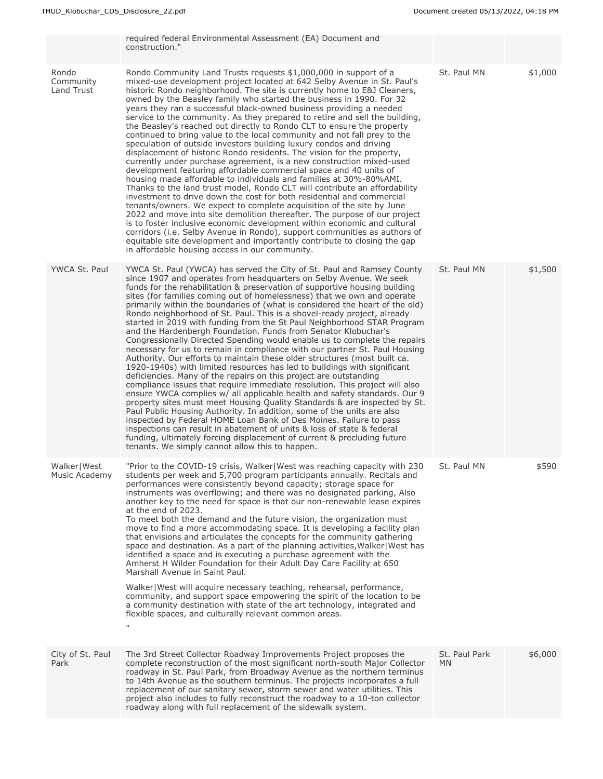|                                  | required federal Environmental Assessment (EA) Document and<br>construction."                                                                                                                                                                                                                                                                                                                                                                                                                                                                                                                                                                                                                                                                                                                                                                                                                                                                                                                                                                                                                                                                                                                                                                                                                                                                                                                                                                                                                                                                                                                           |                      |         |
|----------------------------------|---------------------------------------------------------------------------------------------------------------------------------------------------------------------------------------------------------------------------------------------------------------------------------------------------------------------------------------------------------------------------------------------------------------------------------------------------------------------------------------------------------------------------------------------------------------------------------------------------------------------------------------------------------------------------------------------------------------------------------------------------------------------------------------------------------------------------------------------------------------------------------------------------------------------------------------------------------------------------------------------------------------------------------------------------------------------------------------------------------------------------------------------------------------------------------------------------------------------------------------------------------------------------------------------------------------------------------------------------------------------------------------------------------------------------------------------------------------------------------------------------------------------------------------------------------------------------------------------------------|----------------------|---------|
| Rondo<br>Community<br>Land Trust | Rondo Community Land Trusts requests \$1,000,000 in support of a<br>mixed-use development project located at 642 Selby Avenue in St. Paul's<br>historic Rondo neighborhood. The site is currently home to E&J Cleaners,<br>owned by the Beasley family who started the business in 1990. For 32<br>years they ran a successful black-owned business providing a needed<br>service to the community. As they prepared to retire and sell the building,<br>the Beasley's reached out directly to Rondo CLT to ensure the property<br>continued to bring value to the local community and not fall prey to the<br>speculation of outside investors building luxury condos and driving<br>displacement of historic Rondo residents. The vision for the property,<br>currently under purchase agreement, is a new construction mixed-used<br>development featuring affordable commercial space and 40 units of<br>housing made affordable to individuals and families at 30%-80%AMI.<br>Thanks to the land trust model, Rondo CLT will contribute an affordability<br>investment to drive down the cost for both residential and commercial<br>tenants/owners. We expect to complete acquisition of the site by June<br>2022 and move into site demolition thereafter. The purpose of our project<br>is to foster inclusive economic development within economic and cultural<br>corridors (i.e. Selby Avenue in Rondo), support communities as authors of<br>equitable site development and importantly contribute to closing the gap<br>in affordable housing access in our community.                     | St. Paul MN          | \$1,000 |
| YWCA St. Paul                    | YWCA St. Paul (YWCA) has served the City of St. Paul and Ramsey County<br>since 1907 and operates from headquarters on Selby Avenue. We seek<br>funds for the rehabilitation & preservation of supportive housing building<br>sites (for families coming out of homelessness) that we own and operate<br>primarily within the boundaries of (what is considered the heart of the old)<br>Rondo neighborhood of St. Paul. This is a shovel-ready project, already<br>started in 2019 with funding from the St Paul Neighborhood STAR Program<br>and the Hardenbergh Foundation. Funds from Senator Klobuchar's<br>Congressionally Directed Spending would enable us to complete the repairs<br>necessary for us to remain in compliance with our partner St. Paul Housing<br>Authority. Our efforts to maintain these older structures (most built ca.<br>1920-1940s) with limited resources has led to buildings with significant<br>deficiencies. Many of the repairs on this project are outstanding<br>compliance issues that require immediate resolution. This project will also<br>ensure YWCA complies w/ all applicable health and safety standards. Our 9<br>property sites must meet Housing Quality Standards & are inspected by St.<br>Paul Public Housing Authority. In addition, some of the units are also<br>inspected by Federal HOME Loan Bank of Des Moines. Failure to pass<br>inspections can result in abatement of units & loss of state & federal<br>funding, ultimately forcing displacement of current & precluding future<br>tenants. We simply cannot allow this to happen. | St. Paul MN          | \$1,500 |
| Walker   West<br>Music Academy   | "Prior to the COVID-19 crisis, Walker West was reaching capacity with 230<br>students per week and 5,700 program participants annually. Recitals and<br>performances were consistently beyond capacity; storage space for<br>instruments was overflowing; and there was no designated parking, Also<br>another key to the need for space is that our non-renewable lease expires<br>at the end of 2023.<br>To meet both the demand and the future vision, the organization must<br>move to find a more accommodating space. It is developing a facility plan<br>that envisions and articulates the concepts for the community gathering<br>space and destination. As a part of the planning activities, Walker West has<br>identified a space and is executing a purchase agreement with the<br>Amherst H Wilder Foundation for their Adult Day Care Facility at 650<br>Marshall Avenue in Saint Paul.<br>Walker West will acquire necessary teaching, rehearsal, performance,<br>community, and support space empowering the spirit of the location to be<br>a community destination with state of the art technology, integrated and<br>flexible spaces, and culturally relevant common areas.<br>$\sf H$                                                                                                                                                                                                                                                                                                                                                                                             | St. Paul MN          | \$590   |
| City of St. Paul<br>Park         | The 3rd Street Collector Roadway Improvements Project proposes the<br>complete reconstruction of the most significant north-south Major Collector<br>roadway in St. Paul Park, from Broadway Avenue as the northern terminus<br>to 14th Avenue as the southern terminus. The projects incorporates a full<br>replacement of our sanitary sewer, storm sewer and water utilities. This<br>project also includes to fully reconstruct the roadway to a 10-ton collector<br>roadway along with full replacement of the sidewalk system.                                                                                                                                                                                                                                                                                                                                                                                                                                                                                                                                                                                                                                                                                                                                                                                                                                                                                                                                                                                                                                                                    | St. Paul Park<br>MN. | \$6,000 |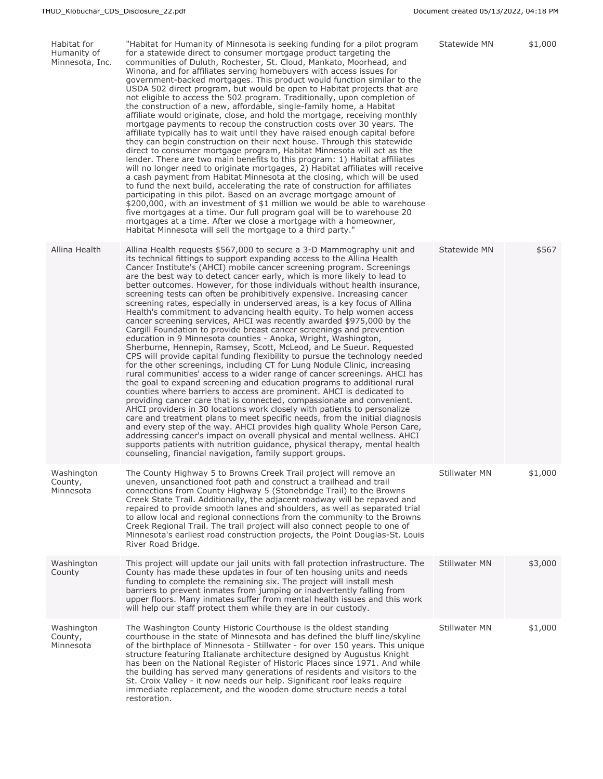| Habitat for<br>Humanity of<br>Minnesota, Inc. | "Habitat for Humanity of Minnesota is seeking funding for a pilot program<br>for a statewide direct to consumer mortgage product targeting the<br>communities of Duluth, Rochester, St. Cloud, Mankato, Moorhead, and<br>Winona, and for affiliates serving homebuyers with access issues for<br>government-backed mortgages. This product would function similar to the<br>USDA 502 direct program, but would be open to Habitat projects that are<br>not eligible to access the 502 program. Traditionally, upon completion of<br>the construction of a new, affordable, single-family home, a Habitat<br>affiliate would originate, close, and hold the mortgage, receiving monthly<br>mortgage payments to recoup the construction costs over 30 years. The<br>affiliate typically has to wait until they have raised enough capital before<br>they can begin construction on their next house. Through this statewide<br>direct to consumer mortgage program, Habitat Minnesota will act as the<br>lender. There are two main benefits to this program: 1) Habitat affiliates<br>will no longer need to originate mortgages, 2) Habitat affiliates will receive<br>a cash payment from Habitat Minnesota at the closing, which will be used<br>to fund the next build, accelerating the rate of construction for affiliates<br>participating in this pilot. Based on an average mortgage amount of<br>\$200,000, with an investment of \$1 million we would be able to warehouse<br>five mortgages at a time. Our full program goal will be to warehouse 20<br>mortgages at a time. After we close a mortgage with a homeowner,<br>Habitat Minnesota will sell the mortgage to a third party."                                                                                                                                                 | Statewide MN         | \$1,000 |
|-----------------------------------------------|-----------------------------------------------------------------------------------------------------------------------------------------------------------------------------------------------------------------------------------------------------------------------------------------------------------------------------------------------------------------------------------------------------------------------------------------------------------------------------------------------------------------------------------------------------------------------------------------------------------------------------------------------------------------------------------------------------------------------------------------------------------------------------------------------------------------------------------------------------------------------------------------------------------------------------------------------------------------------------------------------------------------------------------------------------------------------------------------------------------------------------------------------------------------------------------------------------------------------------------------------------------------------------------------------------------------------------------------------------------------------------------------------------------------------------------------------------------------------------------------------------------------------------------------------------------------------------------------------------------------------------------------------------------------------------------------------------------------------------------------------------------------------------------------------------------------------------------------------------|----------------------|---------|
| Allina Health                                 | Allina Health requests \$567,000 to secure a 3-D Mammography unit and<br>its technical fittings to support expanding access to the Allina Health<br>Cancer Institute's (AHCI) mobile cancer screening program. Screenings<br>are the best way to detect cancer early, which is more likely to lead to<br>better outcomes. However, for those individuals without health insurance,<br>screening tests can often be prohibitively expensive. Increasing cancer<br>screening rates, especially in underserved areas, is a key focus of Allina<br>Health's commitment to advancing health equity. To help women access<br>cancer screening services, AHCI was recently awarded \$975,000 by the<br>Cargill Foundation to provide breast cancer screenings and prevention<br>education in 9 Minnesota counties - Anoka, Wright, Washington,<br>Sherburne, Hennepin, Ramsey, Scott, McLeod, and Le Sueur. Requested<br>CPS will provide capital funding flexibility to pursue the technology needed<br>for the other screenings, including CT for Lung Nodule Clinic, increasing<br>rural communities' access to a wider range of cancer screenings. AHCI has<br>the goal to expand screening and education programs to additional rural<br>counties where barriers to access are prominent. AHCI is dedicated to<br>providing cancer care that is connected, compassionate and convenient.<br>AHCI providers in 30 locations work closely with patients to personalize<br>care and treatment plans to meet specific needs, from the initial diagnosis<br>and every step of the way. AHCI provides high quality Whole Person Care,<br>addressing cancer's impact on overall physical and mental wellness. AHCI<br>supports patients with nutrition guidance, physical therapy, mental health<br>counseling, financial navigation, family support groups. | Statewide MN         | \$567   |
| Washington<br>County,<br>Minnesota            | The County Highway 5 to Browns Creek Trail project will remove an<br>uneven, unsanctioned foot path and construct a trailhead and trail<br>connections from County Highway 5 (Stonebridge Trail) to the Browns<br>Creek State Trail. Additionally, the adjacent roadway will be repaved and<br>repaired to provide smooth lanes and shoulders, as well as separated trial<br>to allow local and regional connections from the community to the Browns<br>Creek Regional Trail. The trail project will also connect people to one of<br>Minnesota's earliest road construction projects, the Point Douglas-St. Louis<br>River Road Bridge.                                                                                                                                                                                                                                                                                                                                                                                                                                                                                                                                                                                                                                                                                                                                                                                                                                                                                                                                                                                                                                                                                                                                                                                                           | Stillwater MN        | \$1,000 |
| Washington<br>County                          | This project will update our jail units with fall protection infrastructure. The<br>County has made these updates in four of ten housing units and needs<br>funding to complete the remaining six. The project will install mesh<br>barriers to prevent inmates from jumping or inadvertently falling from<br>upper floors. Many inmates suffer from mental health issues and this work<br>will help our staff protect them while they are in our custody.                                                                                                                                                                                                                                                                                                                                                                                                                                                                                                                                                                                                                                                                                                                                                                                                                                                                                                                                                                                                                                                                                                                                                                                                                                                                                                                                                                                          | <b>Stillwater MN</b> | \$3,000 |
| Washington<br>County,<br>Minnesota            | The Washington County Historic Courthouse is the oldest standing<br>courthouse in the state of Minnesota and has defined the bluff line/skyline<br>of the birthplace of Minnesota - Stillwater - for over 150 years. This unique<br>structure featuring Italianate architecture designed by Augustus Knight<br>has been on the National Register of Historic Places since 1971. And while<br>the building has served many generations of residents and visitors to the<br>St. Croix Valley - it now needs our help. Significant roof leaks require<br>immediate replacement, and the wooden dome structure needs a total<br>restoration.                                                                                                                                                                                                                                                                                                                                                                                                                                                                                                                                                                                                                                                                                                                                                                                                                                                                                                                                                                                                                                                                                                                                                                                                            | Stillwater MN        | \$1,000 |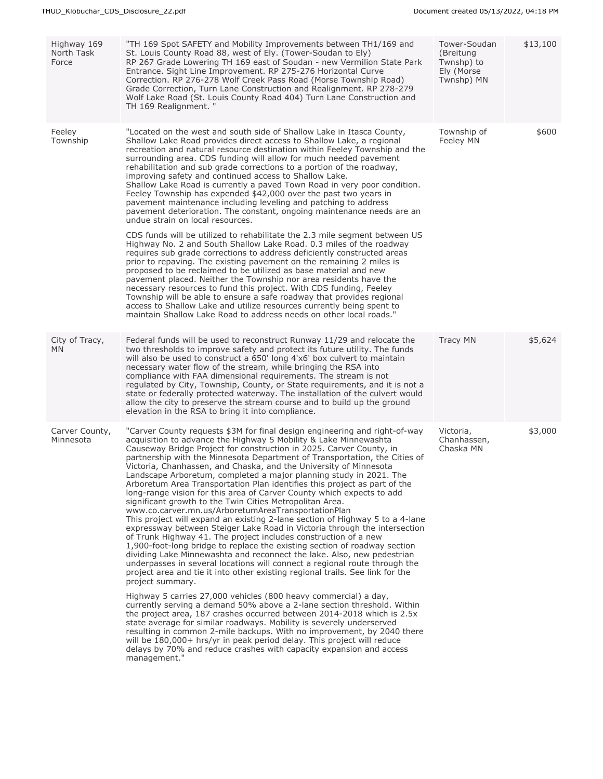| Highway 169<br>North Task<br>Force | "TH 169 Spot SAFETY and Mobility Improvements between TH1/169 and<br>St. Louis County Road 88, west of Ely. (Tower-Soudan to Ely)<br>RP 267 Grade Lowering TH 169 east of Soudan - new Vermilion State Park<br>Entrance. Sight Line Improvement. RP 275-276 Horizontal Curve<br>Correction. RP 276-278 Wolf Creek Pass Road (Morse Township Road)<br>Grade Correction, Turn Lane Construction and Realignment. RP 278-279<br>Wolf Lake Road (St. Louis County Road 404) Turn Lane Construction and<br>TH 169 Realignment. "                                                                                                                                                                                                                                                                                                                                                                                                                                                                                                                                                                                                                                                                                                                                                                                                                                                                                                                                                                                                                                                                                                                                                                                                                                                                                                                  | Tower-Soudan<br>(Breitung<br>Twnshp) to<br>Ely (Morse<br>Twnshp) MN | \$13,100 |
|------------------------------------|----------------------------------------------------------------------------------------------------------------------------------------------------------------------------------------------------------------------------------------------------------------------------------------------------------------------------------------------------------------------------------------------------------------------------------------------------------------------------------------------------------------------------------------------------------------------------------------------------------------------------------------------------------------------------------------------------------------------------------------------------------------------------------------------------------------------------------------------------------------------------------------------------------------------------------------------------------------------------------------------------------------------------------------------------------------------------------------------------------------------------------------------------------------------------------------------------------------------------------------------------------------------------------------------------------------------------------------------------------------------------------------------------------------------------------------------------------------------------------------------------------------------------------------------------------------------------------------------------------------------------------------------------------------------------------------------------------------------------------------------------------------------------------------------------------------------------------------------|---------------------------------------------------------------------|----------|
| Feeley<br>Township                 | "Located on the west and south side of Shallow Lake in Itasca County,<br>Shallow Lake Road provides direct access to Shallow Lake, a regional<br>recreation and natural resource destination within Feeley Township and the<br>surrounding area. CDS funding will allow for much needed pavement<br>rehabilitation and sub grade corrections to a portion of the roadway,<br>improving safety and continued access to Shallow Lake.<br>Shallow Lake Road is currently a paved Town Road in very poor condition.<br>Feeley Township has expended \$42,000 over the past two years in<br>pavement maintenance including leveling and patching to address<br>pavement deterioration. The constant, ongoing maintenance needs are an<br>undue strain on local resources.                                                                                                                                                                                                                                                                                                                                                                                                                                                                                                                                                                                                                                                                                                                                                                                                                                                                                                                                                                                                                                                                         | Township of<br>Feeley MN                                            | \$600    |
|                                    | CDS funds will be utilized to rehabilitate the 2.3 mile segment between US<br>Highway No. 2 and South Shallow Lake Road. 0.3 miles of the roadway<br>requires sub grade corrections to address deficiently constructed areas<br>prior to repaving. The existing pavement on the remaining 2 miles is<br>proposed to be reclaimed to be utilized as base material and new<br>pavement placed. Neither the Township nor area residents have the<br>necessary resources to fund this project. With CDS funding, Feeley<br>Township will be able to ensure a safe roadway that provides regional<br>access to Shallow Lake and utilize resources currently being spent to<br>maintain Shallow Lake Road to address needs on other local roads."                                                                                                                                                                                                                                                                                                                                                                                                                                                                                                                                                                                                                                                                                                                                                                                                                                                                                                                                                                                                                                                                                                  |                                                                     |          |
| City of Tracy,<br><b>MN</b>        | Federal funds will be used to reconstruct Runway 11/29 and relocate the<br>two thresholds to improve safety and protect its future utility. The funds<br>will also be used to construct a 650' long 4'x6' box culvert to maintain<br>necessary water flow of the stream, while bringing the RSA into<br>compliance with FAA dimensional requirements. The stream is not<br>regulated by City, Township, County, or State requirements, and it is not a<br>state or federally protected waterway. The installation of the culvert would<br>allow the city to preserve the stream course and to build up the ground<br>elevation in the RSA to bring it into compliance.                                                                                                                                                                                                                                                                                                                                                                                                                                                                                                                                                                                                                                                                                                                                                                                                                                                                                                                                                                                                                                                                                                                                                                       | <b>Tracy MN</b>                                                     | \$5,624  |
| Carver County,<br>Minnesota        | "Carver County requests \$3M for final design engineering and right-of-way<br>acquisition to advance the Highway 5 Mobility & Lake Minnewashta<br>Causeway Bridge Project for construction in 2025. Carver County, in<br>partnership with the Minnesota Department of Transportation, the Cities of<br>Victoria, Chanhassen, and Chaska, and the University of Minnesota<br>Landscape Arboretum, completed a major planning study in 2021. The<br>Arboretum Area Transportation Plan identifies this project as part of the<br>long-range vision for this area of Carver County which expects to add<br>significant growth to the Twin Cities Metropolitan Area.<br>www.co.carver.mn.us/ArboretumAreaTransportationPlan<br>This project will expand an existing 2-lane section of Highway 5 to a 4-lane<br>expressway between Steiger Lake Road in Victoria through the intersection<br>of Trunk Highway 41. The project includes construction of a new<br>1,900-foot-long bridge to replace the existing section of roadway section<br>dividing Lake Minnewashta and reconnect the lake. Also, new pedestrian<br>underpasses in several locations will connect a regional route through the<br>project area and tie it into other existing regional trails. See link for the<br>project summary.<br>Highway 5 carries 27,000 vehicles (800 heavy commercial) a day,<br>currently serving a demand 50% above a 2-lane section threshold. Within<br>the project area, 187 crashes occurred between 2014-2018 which is 2.5x<br>state average for similar roadways. Mobility is severely underserved<br>resulting in common 2-mile backups. With no improvement, by 2040 there<br>will be 180,000+ hrs/yr in peak period delay. This project will reduce<br>delays by 70% and reduce crashes with capacity expansion and access<br>management." | Victoria,<br>Chanhassen,<br>Chaska MN                               | \$3,000  |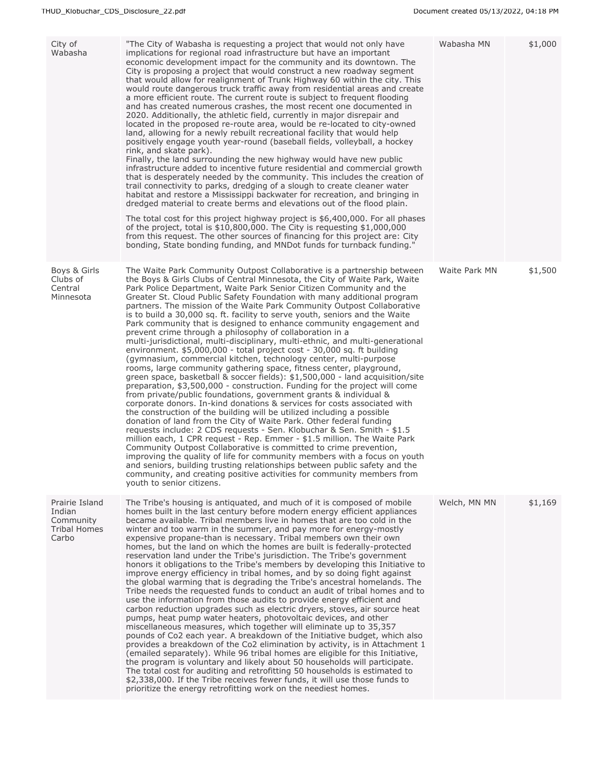| City of<br>Wabasha                                                    | "The City of Wabasha is requesting a project that would not only have<br>implications for regional road infrastructure but have an important<br>economic development impact for the community and its downtown. The<br>City is proposing a project that would construct a new roadway segment<br>that would allow for realignment of Trunk Highway 60 within the city. This<br>would route dangerous truck traffic away from residential areas and create<br>a more efficient route. The current route is subject to frequent flooding<br>and has created numerous crashes, the most recent one documented in<br>2020. Additionally, the athletic field, currently in major disrepair and<br>located in the proposed re-route area, would be re-located to city-owned<br>land, allowing for a newly rebuilt recreational facility that would help<br>positively engage youth year-round (baseball fields, volleyball, a hockey<br>rink, and skate park).<br>Finally, the land surrounding the new highway would have new public<br>infrastructure added to incentive future residential and commercial growth<br>that is desperately needed by the community. This includes the creation of<br>trail connectivity to parks, dredging of a slough to create cleaner water<br>habitat and restore a Mississippi backwater for recreation, and bringing in<br>dredged material to create berms and elevations out of the flood plain.<br>The total cost for this project highway project is $$6,400,000$ . For all phases<br>of the project, total is $$10,800,000$ . The City is requesting $$1,000,000$<br>from this request. The other sources of financing for this project are: City<br>bonding, State bonding funding, and MNDot funds for turnback funding."                                                                                                          | Wabasha MN    | \$1,000 |
|-----------------------------------------------------------------------|---------------------------------------------------------------------------------------------------------------------------------------------------------------------------------------------------------------------------------------------------------------------------------------------------------------------------------------------------------------------------------------------------------------------------------------------------------------------------------------------------------------------------------------------------------------------------------------------------------------------------------------------------------------------------------------------------------------------------------------------------------------------------------------------------------------------------------------------------------------------------------------------------------------------------------------------------------------------------------------------------------------------------------------------------------------------------------------------------------------------------------------------------------------------------------------------------------------------------------------------------------------------------------------------------------------------------------------------------------------------------------------------------------------------------------------------------------------------------------------------------------------------------------------------------------------------------------------------------------------------------------------------------------------------------------------------------------------------------------------------------------------------------------------------------------------------------------------------------------------------------|---------------|---------|
| Boys & Girls<br>Clubs of<br>Central<br>Minnesota                      | The Waite Park Community Outpost Collaborative is a partnership between<br>the Boys & Girls Clubs of Central Minnesota, the City of Waite Park, Waite<br>Park Police Department, Waite Park Senior Citizen Community and the<br>Greater St. Cloud Public Safety Foundation with many additional program<br>partners. The mission of the Waite Park Community Outpost Collaborative<br>is to build a 30,000 sq. ft. facility to serve youth, seniors and the Waite<br>Park community that is designed to enhance community engagement and<br>prevent crime through a philosophy of collaboration in a<br>multi-jurisdictional, multi-disciplinary, multi-ethnic, and multi-generational<br>environment. \$5,000,000 - total project cost - 30,000 sq. ft building<br>(gymnasium, commercial kitchen, technology center, multi-purpose<br>rooms, large community gathering space, fitness center, playground,<br>green space, basketball & soccer fields): \$1,500,000 - land acquisition/site<br>preparation, \$3,500,000 - construction. Funding for the project will come<br>from private/public foundations, government grants & individual &<br>corporate donors. In-kind donations & services for costs associated with<br>the construction of the building will be utilized including a possible<br>donation of land from the City of Waite Park. Other federal funding<br>requests include: 2 CDS requests - Sen. Klobuchar & Sen. Smith - \$1.5<br>million each, 1 CPR request - Rep. Emmer - \$1.5 million. The Waite Park<br>Community Outpost Collaborative is committed to crime prevention,<br>improving the quality of life for community members with a focus on youth<br>and seniors, building trusting relationships between public safety and the<br>community, and creating positive activities for community members from<br>youth to senior citizens. | Waite Park MN | \$1,500 |
| Prairie Island<br>Indian<br>Community<br><b>Tribal Homes</b><br>Carbo | The Tribe's housing is antiguated, and much of it is composed of mobile<br>homes built in the last century before modern energy efficient appliances<br>became available. Tribal members live in homes that are too cold in the<br>winter and too warm in the summer, and pay more for energy-mostly<br>expensive propane-than is necessary. Tribal members own their own<br>homes, but the land on which the homes are built is federally-protected<br>reservation land under the Tribe's jurisdiction. The Tribe's government<br>honors it obligations to the Tribe's members by developing this Initiative to<br>improve energy efficiency in tribal homes, and by so doing fight against<br>the global warming that is degrading the Tribe's ancestral homelands. The<br>Tribe needs the requested funds to conduct an audit of tribal homes and to<br>use the information from those audits to provide energy efficient and<br>carbon reduction upgrades such as electric dryers, stoves, air source heat<br>pumps, heat pump water heaters, photovoltaic devices, and other<br>miscellaneous measures, which together will eliminate up to 35,357<br>pounds of Co2 each year. A breakdown of the Initiative budget, which also<br>provides a breakdown of the Co2 elimination by activity, is in Attachment 1<br>(emailed separately). While 96 tribal homes are eligible for this Initiative,<br>the program is voluntary and likely about 50 households will participate.<br>The total cost for auditing and retrofitting 50 households is estimated to<br>\$2,338,000. If the Tribe receives fewer funds, it will use those funds to<br>prioritize the energy retrofitting work on the neediest homes.                                                                                                                                                           | Welch, MN MN  | \$1,169 |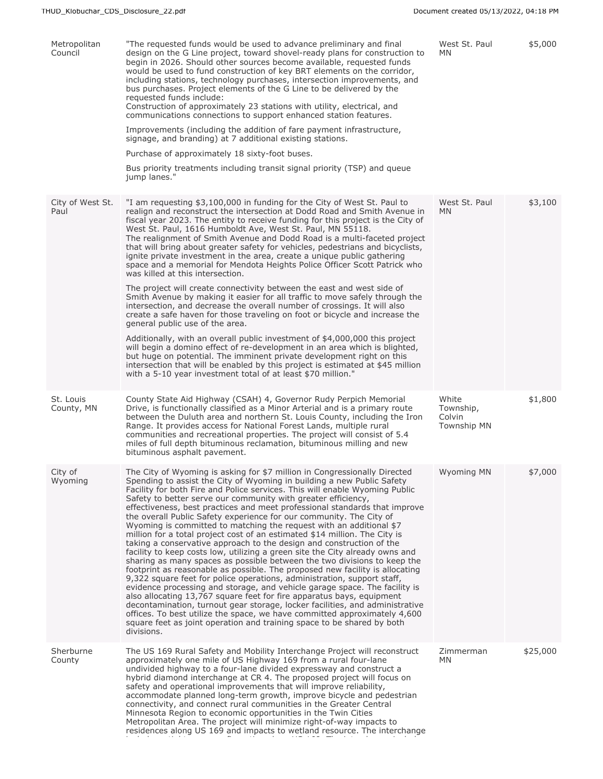| Metropolitan<br>Council  | "The requested funds would be used to advance preliminary and final<br>design on the G Line project, toward shovel-ready plans for construction to<br>begin in 2026. Should other sources become available, requested funds<br>would be used to fund construction of key BRT elements on the corridor,<br>including stations, technology purchases, intersection improvements, and<br>bus purchases. Project elements of the G Line to be delivered by the<br>requested funds include:<br>Construction of approximately 23 stations with utility, electrical, and<br>communications connections to support enhanced station features.<br>Improvements (including the addition of fare payment infrastructure,<br>signage, and branding) at 7 additional existing stations.<br>Purchase of approximately 18 sixty-foot buses.<br>Bus priority treatments including transit signal priority (TSP) and queue<br>jump lanes."                                                                                                                                                                                                                                                                                                                                                                                                                                                                                                | West St. Paul<br>MN.                               | \$5,000  |
|--------------------------|--------------------------------------------------------------------------------------------------------------------------------------------------------------------------------------------------------------------------------------------------------------------------------------------------------------------------------------------------------------------------------------------------------------------------------------------------------------------------------------------------------------------------------------------------------------------------------------------------------------------------------------------------------------------------------------------------------------------------------------------------------------------------------------------------------------------------------------------------------------------------------------------------------------------------------------------------------------------------------------------------------------------------------------------------------------------------------------------------------------------------------------------------------------------------------------------------------------------------------------------------------------------------------------------------------------------------------------------------------------------------------------------------------------------------|----------------------------------------------------|----------|
| City of West St.<br>Paul | "I am requesting \$3,100,000 in funding for the City of West St. Paul to<br>realign and reconstruct the intersection at Dodd Road and Smith Avenue in<br>fiscal year 2023. The entity to receive funding for this project is the City of<br>West St. Paul, 1616 Humboldt Ave, West St. Paul, MN 55118.<br>The realignment of Smith Avenue and Dodd Road is a multi-faceted project<br>that will bring about greater safety for vehicles, pedestrians and bicyclists,<br>ignite private investment in the area, create a unique public gathering<br>space and a memorial for Mendota Heights Police Officer Scott Patrick who<br>was killed at this intersection.<br>The project will create connectivity between the east and west side of<br>Smith Avenue by making it easier for all traffic to move safely through the<br>intersection, and decrease the overall number of crossings. It will also<br>create a safe haven for those traveling on foot or bicycle and increase the<br>general public use of the area.<br>Additionally, with an overall public investment of \$4,000,000 this project<br>will begin a domino effect of re-development in an area which is blighted,<br>but huge on potential. The imminent private development right on this<br>intersection that will be enabled by this project is estimated at \$45 million<br>with a 5-10 year investment total of at least \$70 million."          | West St. Paul<br><b>MN</b>                         | \$3,100  |
| St. Louis<br>County, MN  | County State Aid Highway (CSAH) 4, Governor Rudy Perpich Memorial<br>Drive, is functionally classified as a Minor Arterial and is a primary route<br>between the Duluth area and northern St. Louis County, including the Iron<br>Range. It provides access for National Forest Lands, multiple rural<br>communities and recreational properties. The project will consist of 5.4<br>miles of full depth bituminous reclamation, bituminous milling and new<br>bituminous asphalt pavement.                                                                                                                                                                                                                                                                                                                                                                                                                                                                                                                                                                                                                                                                                                                                                                                                                                                                                                                              | White<br>Township,<br>Colvin<br><b>Township MN</b> | \$1,800  |
| City of<br>Wyoming       | The City of Wyoming is asking for \$7 million in Congressionally Directed<br>Spending to assist the City of Wyoming in building a new Public Safety<br>Facility for both Fire and Police services. This will enable Wyoming Public<br>Safety to better serve our community with greater efficiency,<br>effectiveness, best practices and meet professional standards that improve<br>the overall Public Safety experience for our community. The City of<br>Wyoming is committed to matching the request with an additional \$7<br>million for a total project cost of an estimated \$14 million. The City is<br>taking a conservative approach to the design and construction of the<br>facility to keep costs low, utilizing a green site the City already owns and<br>sharing as many spaces as possible between the two divisions to keep the<br>footprint as reasonable as possible. The proposed new facility is allocating<br>9,322 square feet for police operations, administration, support staff,<br>evidence processing and storage, and vehicle garage space. The facility is<br>also allocating 13,767 square feet for fire apparatus bays, equipment<br>decontamination, turnout gear storage, locker facilities, and administrative<br>offices. To best utilize the space, we have committed approximately 4,600<br>square feet as joint operation and training space to be shared by both<br>divisions. | Wyoming MN                                         | \$7,000  |
| Sherburne<br>County      | The US 169 Rural Safety and Mobility Interchange Project will reconstruct<br>approximately one mile of US Highway 169 from a rural four-lane<br>undivided highway to a four-lane divided expressway and construct a<br>hybrid diamond interchange at CR 4. The proposed project will focus on<br>safety and operational improvements that will improve reliability,<br>accommodate planned long-term growth, improve bicycle and pedestrian<br>connectivity, and connect rural communities in the Greater Central<br>Minnesota Region to economic opportunities in the Twin Cities<br>Metropolitan Area. The project will minimize right-of-way impacts to<br>residences along US 169 and impacts to wetland resource. The interchange                                                                                                                                                                                                                                                                                                                                                                                                                                                                                                                                                                                                                                                                                   | Zimmerman<br>MN.                                   | \$25,000 |